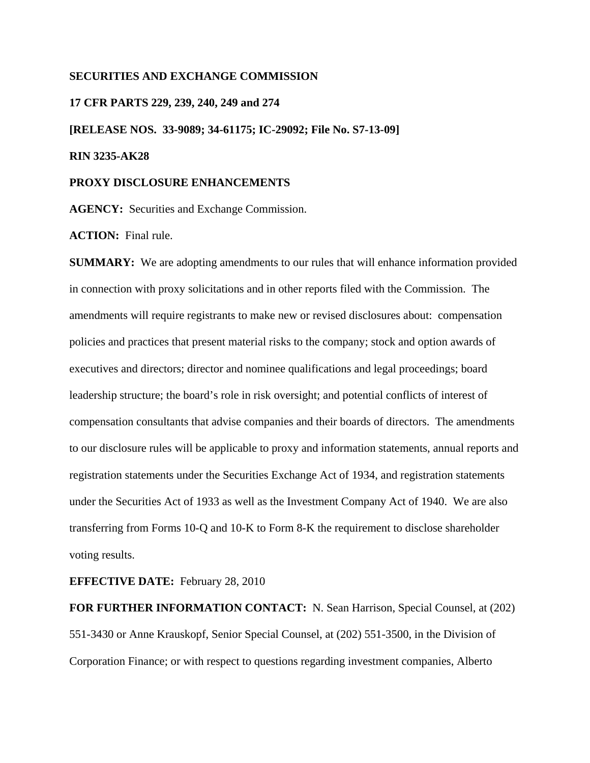## **SECURITIES AND EXCHANGE COMMISSION**

**17 CFR PARTS 229, 239, 240, 249 and 274 [RELEASE NOS. 33-9089; 34-61175; IC-29092; File No. S7-13-09] RIN 3235-AK28** 

## **PROXY DISCLOSURE ENHANCEMENTS**

**AGENCY:** Securities and Exchange Commission.

**ACTION:** Final rule.

**SUMMARY:** We are adopting amendments to our rules that will enhance information provided in connection with proxy solicitations and in other reports filed with the Commission. The amendments will require registrants to make new or revised disclosures about: compensation policies and practices that present material risks to the company; stock and option awards of executives and directors; director and nominee qualifications and legal proceedings; board leadership structure; the board's role in risk oversight; and potential conflicts of interest of compensation consultants that advise companies and their boards of directors. The amendments to our disclosure rules will be applicable to proxy and information statements, annual reports and registration statements under the Securities Exchange Act of 1934, and registration statements under the Securities Act of 1933 as well as the Investment Company Act of 1940. We are also transferring from Forms 10-Q and 10-K to Form 8-K the requirement to disclose shareholder voting results.

## **EFFECTIVE DATE:** February 28, 2010

**FOR FURTHER INFORMATION CONTACT:** N. Sean Harrison, Special Counsel, at (202) 551-3430 or Anne Krauskopf, Senior Special Counsel, at (202) 551-3500, in the Division of Corporation Finance; or with respect to questions regarding investment companies, Alberto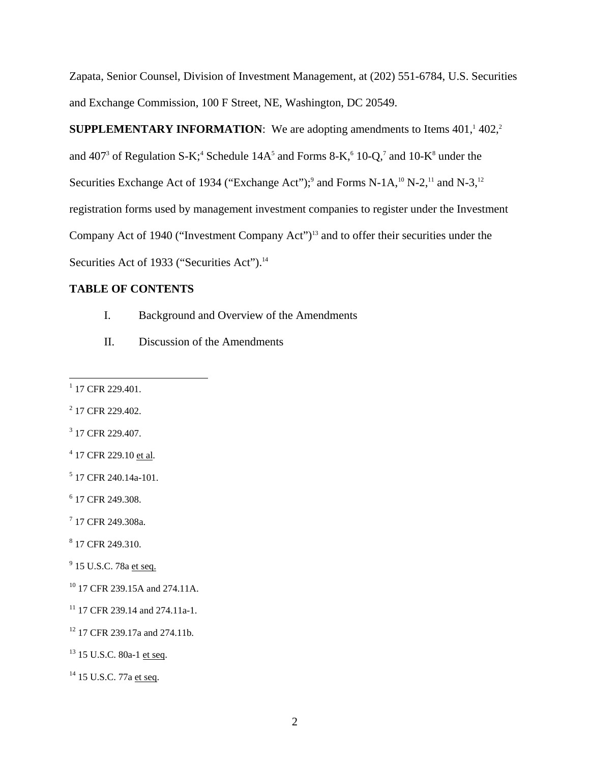Zapata, Senior Counsel, Division of Investment Management, at (202) 551-6784, U.S. Securities and Exchange Commission, 100 F Street, NE, Washington, DC 20549.

**SUPPLEMENTARY INFORMATION:** We are adopting amendments to Items  $401, 402, 2$ and  $407<sup>3</sup>$  of Regulation S-K<sup>4</sup> Schedule  $14A<sup>5</sup>$  and Forms 8-K<sub>1</sub><sup>6</sup> 10-Q<sub>1</sub><sup>7</sup> and 10-K<sup>8</sup> under the Securities Exchange Act of 1934 ("Exchange Act");<sup>9</sup> and Forms N-1A,<sup>10</sup> N-2,<sup>11</sup> and N-3,<sup>12</sup> registration forms used by management investment companies to register under the Investment Company Act of 1940 ("Investment Company Act")<sup>13</sup> and to offer their securities under the Securities Act of 1933 ("Securities Act").<sup>14</sup>

# **TABLE OF CONTENTS**

- I. Background and Overview of the Amendments
- II. Discussion of the Amendments

- <sup>3</sup> 17 CFR 229.407.
- <sup>4</sup> 17 CFR 229.10 et al.
- 5 17 CFR 240.14a-101.
- 6 17 CFR 249.308.
- 7 17 CFR 249.308a.
- 8 17 CFR 249.310.
- <sup>9</sup> 15 U.S.C. 78a <u>et seq.</u>
- 10 17 CFR 239.15A and 274.11A.
- <sup>11</sup> 17 CFR 239.14 and 274.11a-1.
- <sup>12</sup> 17 CFR 239.17a and 274.11b.
- <sup>13</sup> 15 U.S.C. 80a-1 et seq.
- <sup>14</sup> 15 U.S.C. 77a et seq.

 $1$ <sup>1</sup> 17 CFR 229.401.

<sup>&</sup>lt;sup>2</sup> 17 CFR 229.402.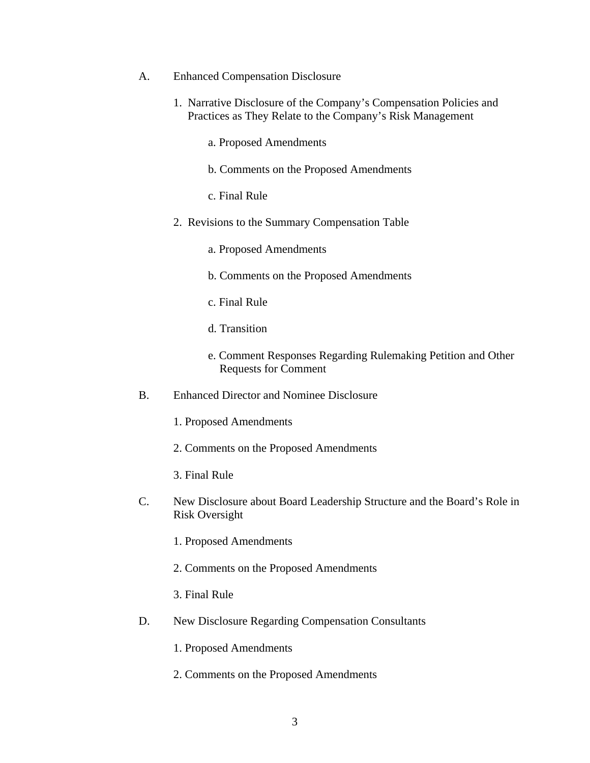- A. Enhanced Compensation Disclosure
	- 1. Narrative Disclosure of the Company's Compensation Policies and Practices as They Relate to the Company's Risk Management
		- a. Proposed Amendments
		- b. Comments on the Proposed Amendments
- c. Final Rule
	- 2. Revisions to the Summary Compensation Table
		- a. Proposed Amendments
		- b. Comments on the Proposed Amendments
- c. Final Rule
- d. Transition
	- e. Comment Responses Regarding Rulemaking Petition and Other Requests for Comment
	- B. Enhanced Director and Nominee Disclosure
		- 1. Proposed Amendments
		- 2. Comments on the Proposed Amendments
		- 3. Final Rule
	- C. New Disclosure about Board Leadership Structure and the Board's Role in Risk Oversight
		- 1. Proposed Amendments
		- 2. Comments on the Proposed Amendments
		- 3. Final Rule
	- D. New Disclosure Regarding Compensation Consultants
		- 1. Proposed Amendments
		- 2. Comments on the Proposed Amendments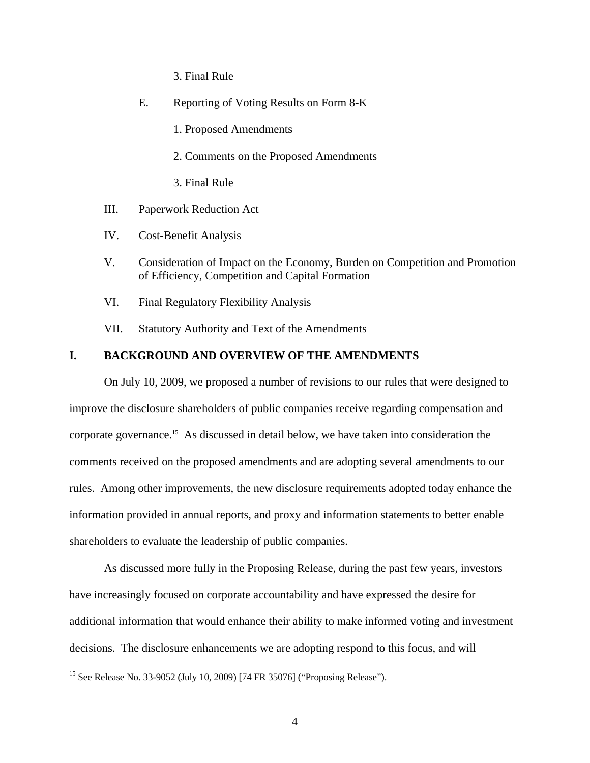3. Final Rule

- E. Reporting of Voting Results on Form 8-K
	- 1. Proposed Amendments
	- 2. Comments on the Proposed Amendments
	- 3. Final Rule
- III. Paperwork Reduction Act
- IV. Cost-Benefit Analysis
- V. Consideration of Impact on the Economy, Burden on Competition and Promotion of Efficiency, Competition and Capital Formation
- VI. Final Regulatory Flexibility Analysis
- VII. Statutory Authority and Text of the Amendments

## **I. BACKGROUND AND OVERVIEW OF THE AMENDMENTS**

On July 10, 2009, we proposed a number of revisions to our rules that were designed to improve the disclosure shareholders of public companies receive regarding compensation and corporate governance.15 As discussed in detail below, we have taken into consideration the comments received on the proposed amendments and are adopting several amendments to our rules. Among other improvements, the new disclosure requirements adopted today enhance the information provided in annual reports, and proxy and information statements to better enable shareholders to evaluate the leadership of public companies.

As discussed more fully in the Proposing Release, during the past few years, investors have increasingly focused on corporate accountability and have expressed the desire for additional information that would enhance their ability to make informed voting and investment decisions. The disclosure enhancements we are adopting respond to this focus, and will

<sup>&</sup>lt;sup>15</sup> See Release No. 33-9052 (July 10, 2009) [74 FR 35076] ("Proposing Release").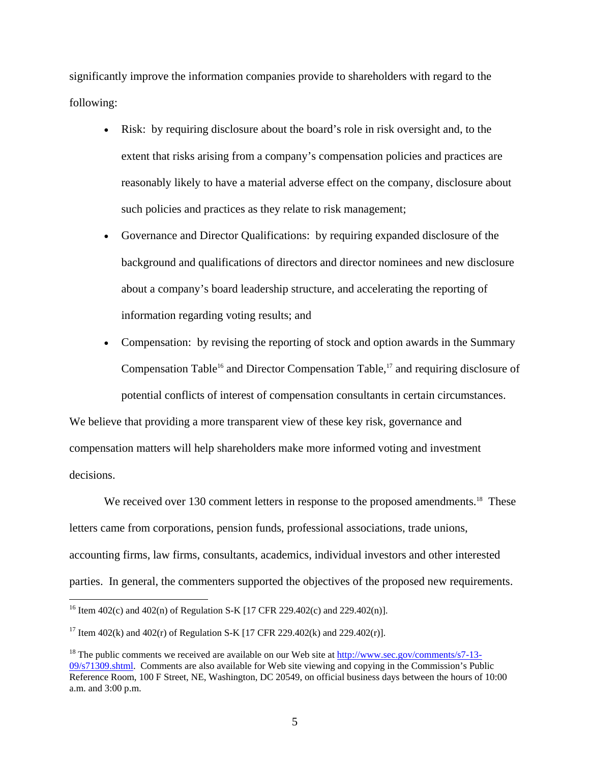significantly improve the information companies provide to shareholders with regard to the following:

- Risk: by requiring disclosure about the board's role in risk oversight and, to the extent that risks arising from a company's compensation policies and practices are reasonably likely to have a material adverse effect on the company, disclosure about such policies and practices as they relate to risk management;
- • Governance and Director Qualifications: by requiring expanded disclosure of the background and qualifications of directors and director nominees and new disclosure about a company's board leadership structure, and accelerating the reporting of information regarding voting results; and
- Compensation: by revising the reporting of stock and option awards in the Summary Compensation Table<sup>16</sup> and Director Compensation Table,<sup>17</sup> and requiring disclosure of potential conflicts of interest of compensation consultants in certain circumstances.

We believe that providing a more transparent view of these key risk, governance and compensation matters will help shareholders make more informed voting and investment decisions.

We received over 130 comment letters in response to the proposed amendments.<sup>18</sup> These letters came from corporations, pension funds, professional associations, trade unions, accounting firms, law firms, consultants, academics, individual investors and other interested parties. In general, the commenters supported the objectives of the proposed new requirements.

<sup>&</sup>lt;sup>16</sup> Item 402(c) and 402(n) of Regulation S-K [17 CFR 229.402(c) and 229.402(n)].

<sup>&</sup>lt;sup>17</sup> Item 402(k) and 402(r) of Regulation S-K [17 CFR 229.402(k) and 229.402(r)].

 Reference Room, 100 F Street, NE, Washington, DC 20549, on official business days between the hours of 10:00  $18$  The public comments we received are available on our Web site at http://www.sec.gov/comments/s7-13-09/s71309.shtml. Comments are also available for Web site viewing and copying in the Commission's Public a.m. and 3:00 p.m.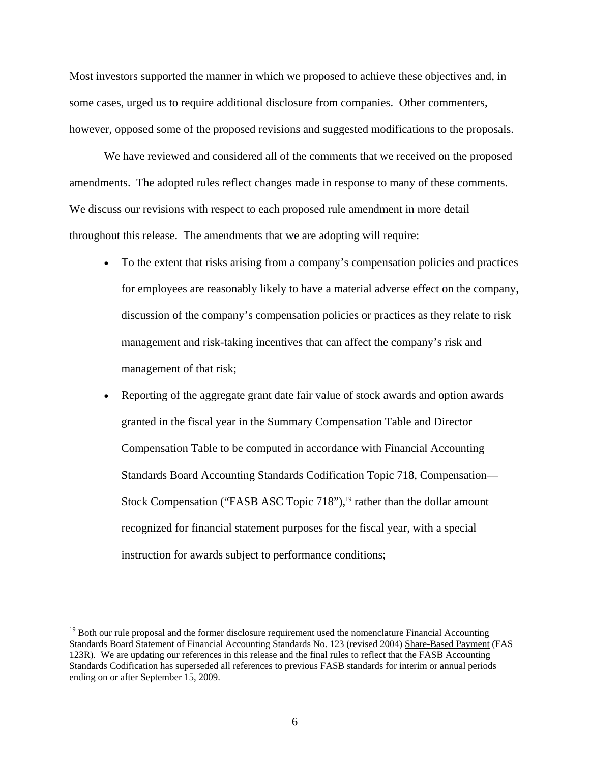Most investors supported the manner in which we proposed to achieve these objectives and, in some cases, urged us to require additional disclosure from companies. Other commenters, however, opposed some of the proposed revisions and suggested modifications to the proposals.

We have reviewed and considered all of the comments that we received on the proposed amendments. The adopted rules reflect changes made in response to many of these comments. We discuss our revisions with respect to each proposed rule amendment in more detail throughout this release. The amendments that we are adopting will require:

- To the extent that risks arising from a company's compensation policies and practices for employees are reasonably likely to have a material adverse effect on the company, discussion of the company's compensation policies or practices as they relate to risk management and risk-taking incentives that can affect the company's risk and management of that risk;
- Reporting of the aggregate grant date fair value of stock awards and option awards granted in the fiscal year in the Summary Compensation Table and Director Compensation Table to be computed in accordance with Financial Accounting Standards Board Accounting Standards Codification Topic 718, Compensation— Stock Compensation ("FASB ASC Topic 718"),<sup>19</sup> rather than the dollar amount recognized for financial statement purposes for the fiscal year, with a special instruction for awards subject to performance conditions;

Standards Board Statement of Financial Accounting Standards No. 123 (revised 2004) Share-Based Payment (FAS 123R). We are updating our references in this release and the final rules to reflect that the FASB Accounting Standards Codification has superseded all references to previous FASB standards for interim or annual periods <sup>19</sup> Both our rule proposal and the former disclosure requirement used the nomenclature Financial Accounting ending on or after September 15, 2009.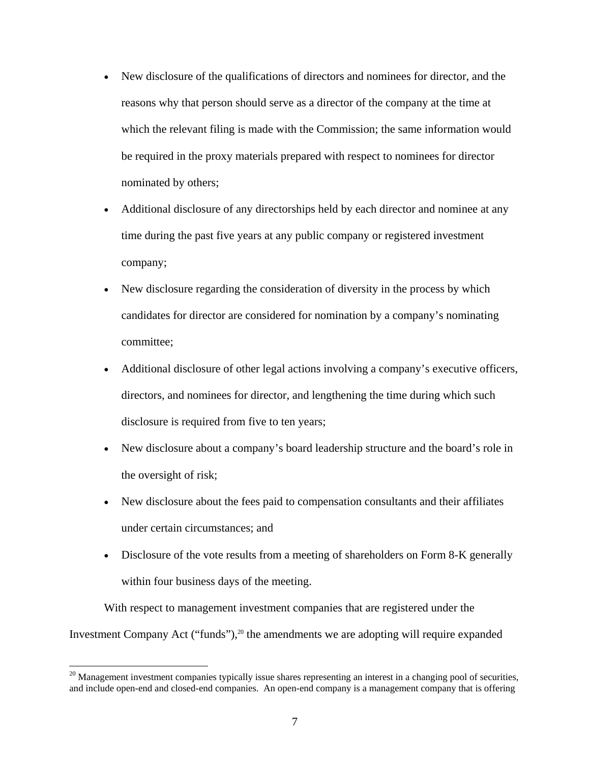- New disclosure of the qualifications of directors and nominees for director, and the reasons why that person should serve as a director of the company at the time at which the relevant filing is made with the Commission; the same information would be required in the proxy materials prepared with respect to nominees for director nominated by others;
- Additional disclosure of any directorships held by each director and nominee at any time during the past five years at any public company or registered investment company;
- New disclosure regarding the consideration of diversity in the process by which candidates for director are considered for nomination by a company's nominating committee;
- Additional disclosure of other legal actions involving a company's executive officers, directors, and nominees for director, and lengthening the time during which such disclosure is required from five to ten years;
- New disclosure about a company's board leadership structure and the board's role in the oversight of risk;
- New disclosure about the fees paid to compensation consultants and their affiliates under certain circumstances; and
- Disclosure of the vote results from a meeting of shareholders on Form 8-K generally within four business days of the meeting.

With respect to management investment companies that are registered under the Investment Company Act ("funds"), $^{20}$  the amendments we are adopting will require expanded

 $20$  Management investment companies typically issue shares representing an interest in a changing pool of securities, and include open-end and closed-end companies. An open-end company is a management company that is offering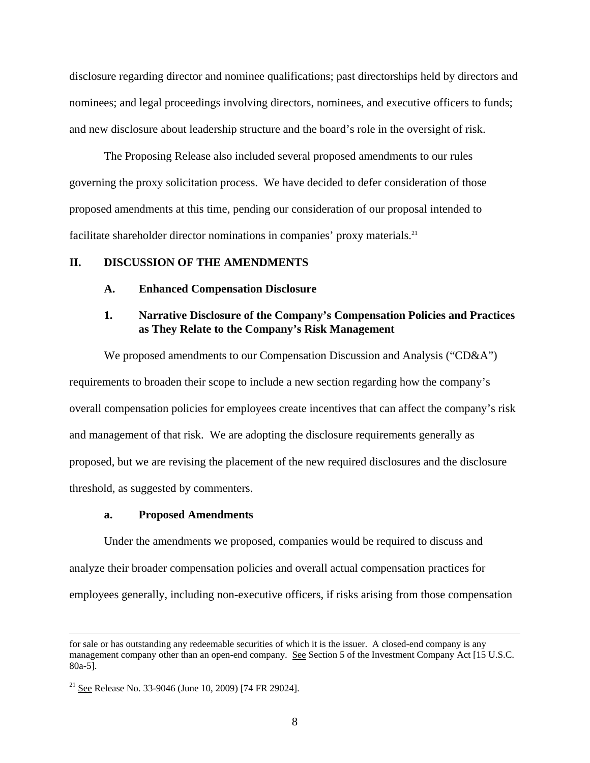disclosure regarding director and nominee qualifications; past directorships held by directors and nominees; and legal proceedings involving directors, nominees, and executive officers to funds; and new disclosure about leadership structure and the board's role in the oversight of risk.

The Proposing Release also included several proposed amendments to our rules governing the proxy solicitation process. We have decided to defer consideration of those proposed amendments at this time, pending our consideration of our proposal intended to facilitate shareholder director nominations in companies' proxy materials.<sup>21</sup>

#### **II. DISCUSSION OF THE AMENDMENTS**

#### **A. Enhanced Compensation Disclosure**

## **1. Narrative Disclosure of the Company's Compensation Policies and Practices as They Relate to the Company's Risk Management**

We proposed amendments to our Compensation Discussion and Analysis ("CD&A") requirements to broaden their scope to include a new section regarding how the company's overall compensation policies for employees create incentives that can affect the company's risk and management of that risk. We are adopting the disclosure requirements generally as proposed, but we are revising the placement of the new required disclosures and the disclosure threshold, as suggested by commenters.

#### **a. Proposed Amendments**

Under the amendments we proposed, companies would be required to discuss and analyze their broader compensation policies and overall actual compensation practices for employees generally, including non-executive officers, if risks arising from those compensation

for sale or has outstanding any redeemable securities of which it is the issuer. A closed-end company is any management company other than an open-end company. See Section 5 of the Investment Company Act [15 U.S.C. 80a-5].

<sup>&</sup>lt;sup>21</sup> See Release No. 33-9046 (June 10, 2009) [74 FR 29024].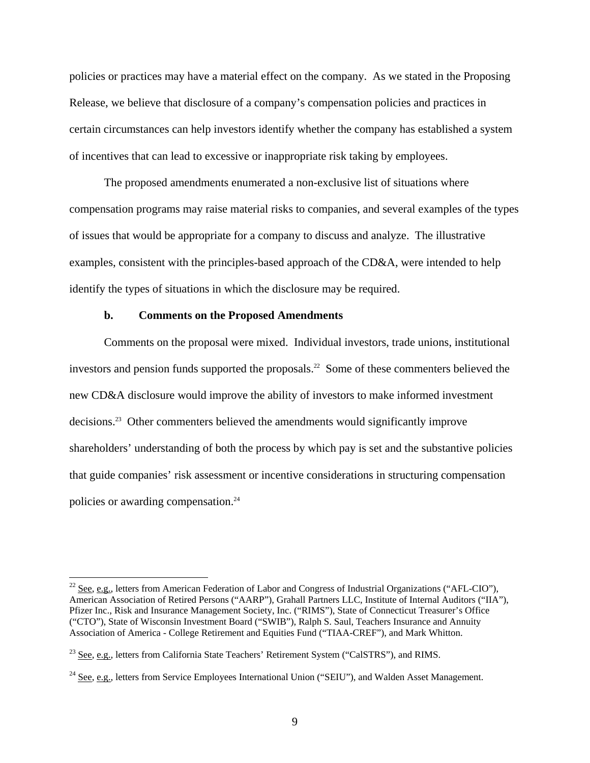policies or practices may have a material effect on the company. As we stated in the Proposing Release, we believe that disclosure of a company's compensation policies and practices in certain circumstances can help investors identify whether the company has established a system of incentives that can lead to excessive or inappropriate risk taking by employees.

The proposed amendments enumerated a non-exclusive list of situations where compensation programs may raise material risks to companies, and several examples of the types of issues that would be appropriate for a company to discuss and analyze. The illustrative examples, consistent with the principles-based approach of the CD&A, were intended to help identify the types of situations in which the disclosure may be required.

### **b. Comments on the Proposed Amendments**

policies or awarding compensation.<sup>24</sup> Comments on the proposal were mixed. Individual investors, trade unions, institutional investors and pension funds supported the proposals.<sup>22</sup> Some of these commenters believed the new CD&A disclosure would improve the ability of investors to make informed investment decisions.23 Other commenters believed the amendments would significantly improve shareholders' understanding of both the process by which pay is set and the substantive policies that guide companies' risk assessment or incentive considerations in structuring compensation

 American Association of Retired Persons ("AARP"), Grahall Partners LLC, Institute of Internal Auditors ("IIA"), <sup>22</sup> See, e.g., letters from American Federation of Labor and Congress of Industrial Organizations ("AFL-CIO"), Pfizer Inc., Risk and Insurance Management Society, Inc. ("RIMS"), State of Connecticut Treasurer's Office ("CTO"), State of Wisconsin Investment Board ("SWIB"), Ralph S. Saul, Teachers Insurance and Annuity Association of America - College Retirement and Equities Fund ("TIAA-CREF"), and Mark Whitton.

 $^{23}$  See, e.g., letters from California State Teachers' Retirement System ("CalSTRS"), and RIMS.

 $^{24}$  See, e.g., letters from Service Employees International Union ("SEIU"), and Walden Asset Management.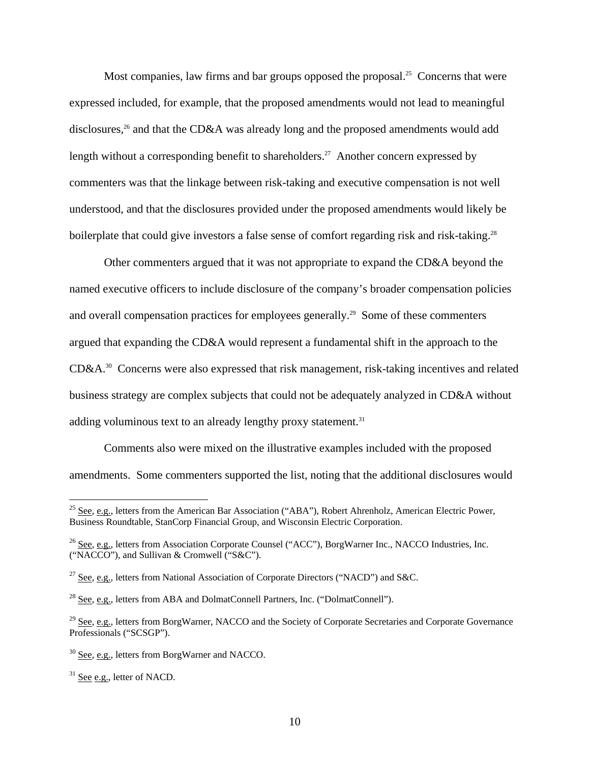Most companies, law firms and bar groups opposed the proposal.<sup>25</sup> Concerns that were expressed included, for example, that the proposed amendments would not lead to meaningful disclosures,<sup>26</sup> and that the CD&A was already long and the proposed amendments would add length without a corresponding benefit to shareholders.<sup>27</sup> Another concern expressed by commenters was that the linkage between risk-taking and executive compensation is not well understood, and that the disclosures provided under the proposed amendments would likely be boilerplate that could give investors a false sense of comfort regarding risk and risk-taking.<sup>28</sup>

Other commenters argued that it was not appropriate to expand the CD&A beyond the named executive officers to include disclosure of the company's broader compensation policies and overall compensation practices for employees generally.<sup>29</sup> Some of these commenters argued that expanding the CD&A would represent a fundamental shift in the approach to the CD&A.30 Concerns were also expressed that risk management, risk-taking incentives and related business strategy are complex subjects that could not be adequately analyzed in CD&A without adding voluminous text to an already lengthy proxy statement.<sup>31</sup>

Comments also were mixed on the illustrative examples included with the proposed amendments. Some commenters supported the list, noting that the additional disclosures would

<sup>&</sup>lt;sup>25</sup> See, e.g., letters from the American Bar Association ("ABA"), Robert Ahrenholz, American Electric Power, Business Roundtable, StanCorp Financial Group, and Wisconsin Electric Corporation.

<sup>&</sup>lt;sup>26</sup> See, e.g., letters from Association Corporate Counsel ("ACC"), BorgWarner Inc., NACCO Industries, Inc. ("NACCO"), and Sullivan & Cromwell ("S&C").

<sup>&</sup>lt;sup>27</sup> See, e.g., letters from National Association of Corporate Directors ("NACD") and S&C.

<sup>28</sup> See, e.g., letters from ABA and DolmatConnell Partners, Inc. ("DolmatConnell").

<sup>&</sup>lt;sup>29</sup> See, e.g., letters from BorgWarner, NACCO and the Society of Corporate Secretaries and Corporate Governance Professionals ("SCSGP").

<sup>&</sup>lt;sup>30</sup> See, e.g., letters from BorgWarner and NACCO.

 $31$  See e.g., letter of NACD.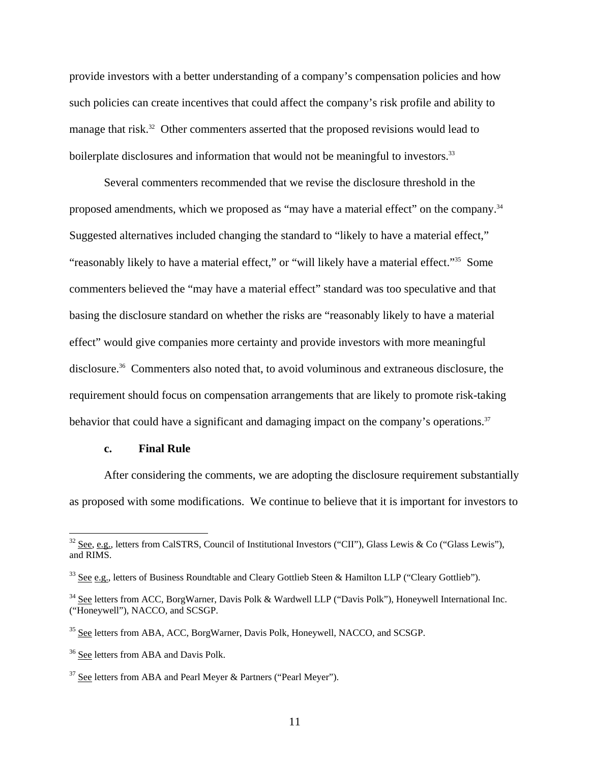boilerplate disclosures and information that would not be meaningful to investors.<sup>33</sup> provide investors with a better understanding of a company's compensation policies and how such policies can create incentives that could affect the company's risk profile and ability to manage that risk.<sup>32</sup> Other commenters asserted that the proposed revisions would lead to

proposed amendments, which we proposed as "may have a material effect" on the company.<sup>34</sup> Several commenters recommended that we revise the disclosure threshold in the Suggested alternatives included changing the standard to "likely to have a material effect," "reasonably likely to have a material effect," or "will likely have a material effect."35 Some commenters believed the "may have a material effect" standard was too speculative and that basing the disclosure standard on whether the risks are "reasonably likely to have a material effect" would give companies more certainty and provide investors with more meaningful disclosure.<sup>36</sup> Commenters also noted that, to avoid voluminous and extraneous disclosure, the requirement should focus on compensation arrangements that are likely to promote risk-taking behavior that could have a significant and damaging impact on the company's operations.<sup>37</sup>

#### **c. Final Rule**

1

After considering the comments, we are adopting the disclosure requirement substantially as proposed with some modifications. We continue to believe that it is important for investors to

 $32$  See, e.g., letters from CalSTRS, Council of Institutional Investors ("CII"), Glass Lewis & Co ("Glass Lewis"), and RIMS.

 $33$  See e.g., letters of Business Roundtable and Cleary Gottlieb Steen & Hamilton LLP ("Cleary Gottlieb").

<sup>&</sup>lt;sup>34</sup> See letters from ACC, BorgWarner, Davis Polk & Wardwell LLP ("Davis Polk"), Honeywell International Inc. ("Honeywell"), NACCO, and SCSGP.

<sup>&</sup>lt;sup>35</sup> See letters from ABA, ACC, BorgWarner, Davis Polk, Honeywell, NACCO, and SCSGP.

<sup>&</sup>lt;sup>36</sup> See letters from ABA and Davis Polk.

 $37$  See letters from ABA and Pearl Meyer & Partners ("Pearl Meyer").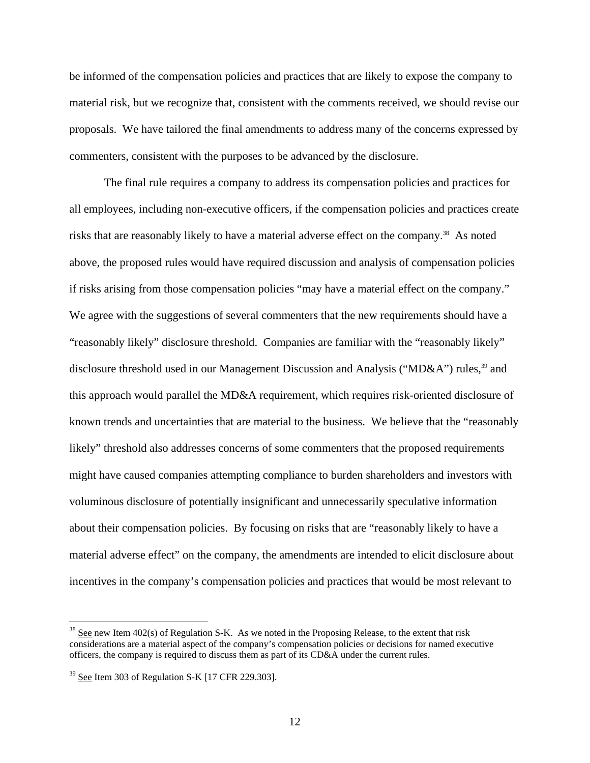be informed of the compensation policies and practices that are likely to expose the company to material risk, but we recognize that, consistent with the comments received, we should revise our proposals. We have tailored the final amendments to address many of the concerns expressed by commenters, consistent with the purposes to be advanced by the disclosure.

The final rule requires a company to address its compensation policies and practices for all employees, including non-executive officers, if the compensation policies and practices create risks that are reasonably likely to have a material adverse effect on the company.<sup>38</sup> As noted above, the proposed rules would have required discussion and analysis of compensation policies if risks arising from those compensation policies "may have a material effect on the company." We agree with the suggestions of several commenters that the new requirements should have a "reasonably likely" disclosure threshold. Companies are familiar with the "reasonably likely" disclosure threshold used in our Management Discussion and Analysis ("MD&A") rules,<sup>39</sup> and this approach would parallel the MD&A requirement, which requires risk-oriented disclosure of known trends and uncertainties that are material to the business. We believe that the "reasonably likely" threshold also addresses concerns of some commenters that the proposed requirements might have caused companies attempting compliance to burden shareholders and investors with voluminous disclosure of potentially insignificant and unnecessarily speculative information about their compensation policies. By focusing on risks that are "reasonably likely to have a material adverse effect" on the company, the amendments are intended to elicit disclosure about incentives in the company's compensation policies and practices that would be most relevant to

 officers, the company is required to discuss them as part of its CD&A under the current rules.  $38$  See new Item 402(s) of Regulation S-K. As we noted in the Proposing Release, to the extent that risk considerations are a material aspect of the company's compensation policies or decisions for named executive

 $39$  See Item 303 of Regulation S-K [17 CFR 229.303].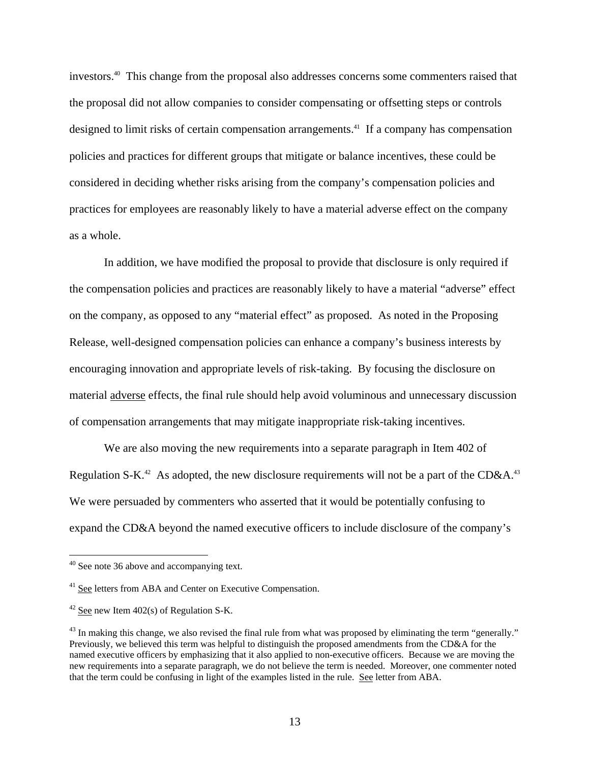investors.40 This change from the proposal also addresses concerns some commenters raised that the proposal did not allow companies to consider compensating or offsetting steps or controls designed to limit risks of certain compensation arrangements.<sup>41</sup> If a company has compensation policies and practices for different groups that mitigate or balance incentives, these could be considered in deciding whether risks arising from the company's compensation policies and practices for employees are reasonably likely to have a material adverse effect on the company as a whole.

In addition, we have modified the proposal to provide that disclosure is only required if the compensation policies and practices are reasonably likely to have a material "adverse" effect on the company, as opposed to any "material effect" as proposed. As noted in the Proposing Release, well-designed compensation policies can enhance a company's business interests by encouraging innovation and appropriate levels of risk-taking. By focusing the disclosure on material adverse effects, the final rule should help avoid voluminous and unnecessary discussion of compensation arrangements that may mitigate inappropriate risk-taking incentives.

Regulation S-K.<sup>42</sup> As adopted, the new disclosure requirements will not be a part of the CD&A.<sup>43</sup> We are also moving the new requirements into a separate paragraph in Item 402 of We were persuaded by commenters who asserted that it would be potentially confusing to expand the CD&A beyond the named executive officers to include disclosure of the company's

<sup>40</sup> See note 36 above and accompanying text.

<sup>&</sup>lt;sup>41</sup> See letters from ABA and Center on Executive Compensation.

 $42$  See new Item 402(s) of Regulation S-K.

<sup>&</sup>lt;sup>42</sup> <u>See</u> new Item 402(s) of Regulation S-K.<br><sup>43</sup> In making this change, we also revised the final rule from what was proposed by eliminating the term "generally." Previously, we believed this term was helpful to distinguish the proposed amendments from the CD&A for the named executive officers by emphasizing that it also applied to non-executive officers. Because we are moving the new requirements into a separate paragraph, we do not believe the term is needed. Moreover, one commenter noted that the term could be confusing in light of the examples listed in the rule. See letter from ABA.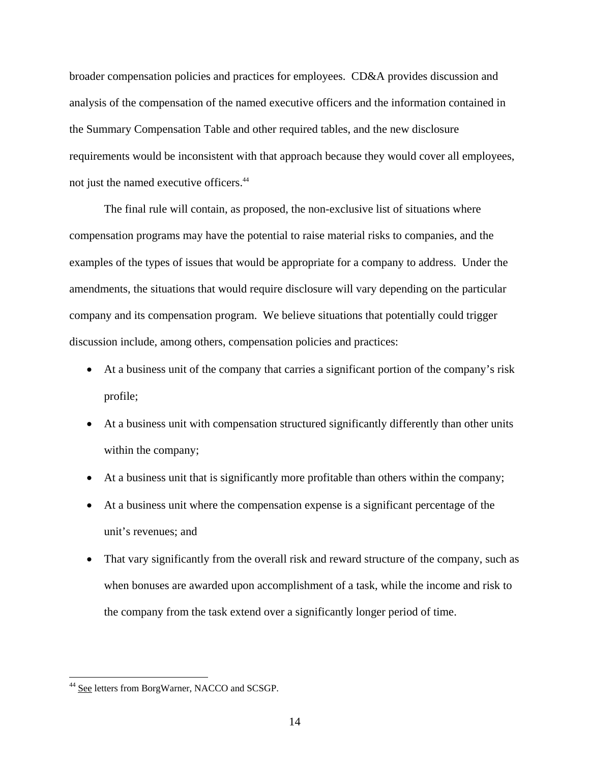not just the named executive officers.<sup>44</sup> broader compensation policies and practices for employees. CD&A provides discussion and analysis of the compensation of the named executive officers and the information contained in the Summary Compensation Table and other required tables, and the new disclosure requirements would be inconsistent with that approach because they would cover all employees,

The final rule will contain, as proposed, the non-exclusive list of situations where compensation programs may have the potential to raise material risks to companies, and the examples of the types of issues that would be appropriate for a company to address. Under the amendments, the situations that would require disclosure will vary depending on the particular company and its compensation program. We believe situations that potentially could trigger discussion include, among others, compensation policies and practices:

- At a business unit of the company that carries a significant portion of the company's risk profile;
- At a business unit with compensation structured significantly differently than other units within the company;
- At a business unit that is significantly more profitable than others within the company;
- At a business unit where the compensation expense is a significant percentage of the unit's revenues; and
- That vary significantly from the overall risk and reward structure of the company, such as when bonuses are awarded upon accomplishment of a task, while the income and risk to the company from the task extend over a significantly longer period of time.

<u>.</u>

<sup>&</sup>lt;sup>44</sup> See letters from BorgWarner, NACCO and SCSGP.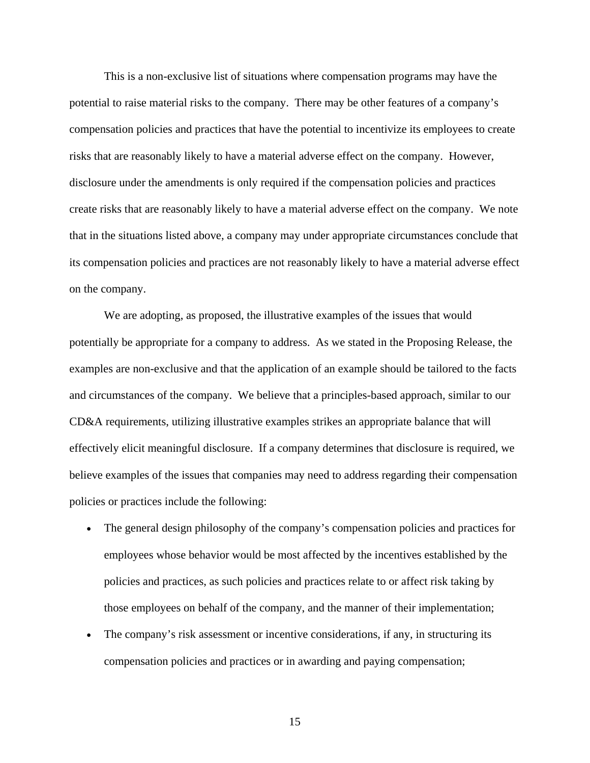This is a non-exclusive list of situations where compensation programs may have the potential to raise material risks to the company. There may be other features of a company's compensation policies and practices that have the potential to incentivize its employees to create risks that are reasonably likely to have a material adverse effect on the company. However, disclosure under the amendments is only required if the compensation policies and practices create risks that are reasonably likely to have a material adverse effect on the company. We note that in the situations listed above, a company may under appropriate circumstances conclude that its compensation policies and practices are not reasonably likely to have a material adverse effect on the company.

We are adopting, as proposed, the illustrative examples of the issues that would potentially be appropriate for a company to address. As we stated in the Proposing Release, the examples are non-exclusive and that the application of an example should be tailored to the facts and circumstances of the company. We believe that a principles-based approach, similar to our CD&A requirements, utilizing illustrative examples strikes an appropriate balance that will effectively elicit meaningful disclosure. If a company determines that disclosure is required, we believe examples of the issues that companies may need to address regarding their compensation policies or practices include the following:

- The general design philosophy of the company's compensation policies and practices for employees whose behavior would be most affected by the incentives established by the policies and practices, as such policies and practices relate to or affect risk taking by those employees on behalf of the company, and the manner of their implementation;
- The company's risk assessment or incentive considerations, if any, in structuring its compensation policies and practices or in awarding and paying compensation;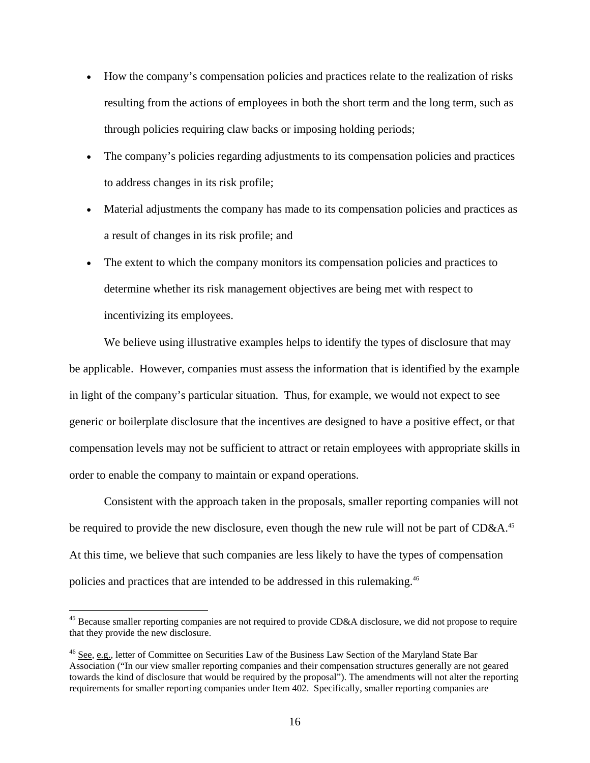- How the company's compensation policies and practices relate to the realization of risks resulting from the actions of employees in both the short term and the long term, such as through policies requiring claw backs or imposing holding periods;
- The company's policies regarding adjustments to its compensation policies and practices to address changes in its risk profile;
- Material adjustments the company has made to its compensation policies and practices as a result of changes in its risk profile; and
- The extent to which the company monitors its compensation policies and practices to determine whether its risk management objectives are being met with respect to incentivizing its employees.

We believe using illustrative examples helps to identify the types of disclosure that may be applicable. However, companies must assess the information that is identified by the example in light of the company's particular situation. Thus, for example, we would not expect to see generic or boilerplate disclosure that the incentives are designed to have a positive effect, or that compensation levels may not be sufficient to attract or retain employees with appropriate skills in order to enable the company to maintain or expand operations.

be required to provide the new disclosure, even though the new rule will not be part of  $CD&A.<sup>45</sup>$ policies and practices that are intended to be addressed in this rulemaking.<sup>46</sup> Consistent with the approach taken in the proposals, smaller reporting companies will not At this time, we believe that such companies are less likely to have the types of compensation

 $45$  Because smaller reporting companies are not required to provide CD&A disclosure, we did not propose to require that they provide the new disclosure.

 Association ("In our view smaller reporting companies and their compensation structures generally are not geared towards the kind of disclosure that would be required by the proposal"). The amendments will not alter the reporting <sup>46</sup> See, e.g., letter of Committee on Securities Law of the Business Law Section of the Maryland State Bar requirements for smaller reporting companies under Item 402. Specifically, smaller reporting companies are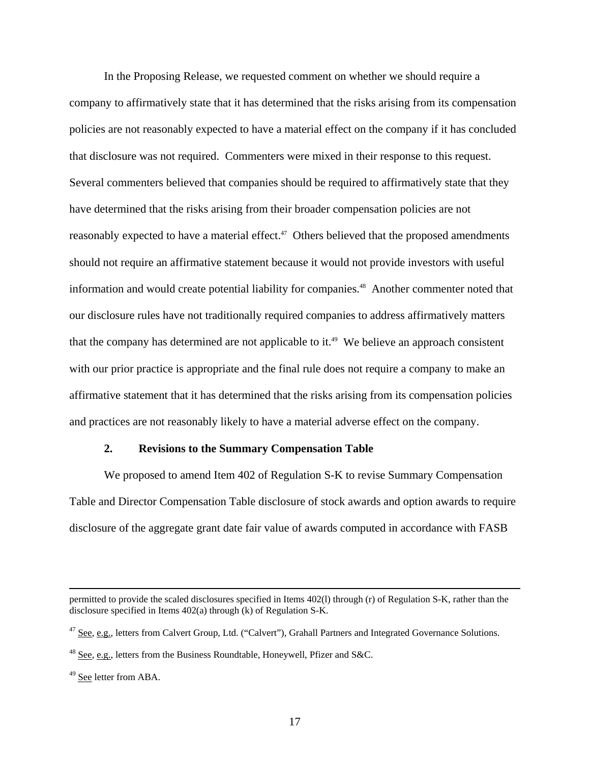In the Proposing Release, we requested comment on whether we should require a company to affirmatively state that it has determined that the risks arising from its compensation policies are not reasonably expected to have a material effect on the company if it has concluded that disclosure was not required. Commenters were mixed in their response to this request. Several commenters believed that companies should be required to affirmatively state that they have determined that the risks arising from their broader compensation policies are not reasonably expected to have a material effect.<sup>47</sup> Others believed that the proposed amendments should not require an affirmative statement because it would not provide investors with useful information and would create potential liability for companies.<sup>48</sup> Another commenter noted that our disclosure rules have not traditionally required companies to address affirmatively matters that the company has determined are not applicable to it.<sup>49</sup> We believe an approach consistent with our prior practice is appropriate and the final rule does not require a company to make an affirmative statement that it has determined that the risks arising from its compensation policies and practices are not reasonably likely to have a material adverse effect on the company.

#### **2. Revisions to the Summary Compensation Table**

We proposed to amend Item 402 of Regulation S-K to revise Summary Compensation Table and Director Compensation Table disclosure of stock awards and option awards to require disclosure of the aggregate grant date fair value of awards computed in accordance with FASB

permitted to provide the scaled disclosures specified in Items 402(l) through (r) of Regulation S-K, rather than the disclosure specified in Items 402(a) through (k) of Regulation S-K.

<sup>&</sup>lt;sup>47</sup> See, e.g., letters from Calvert Group, Ltd. ("Calvert"), Grahall Partners and Integrated Governance Solutions.

 $48$  See, e.g., letters from the Business Roundtable, Honeywell, Pfizer and S&C.

<sup>&</sup>lt;sup>49</sup> See letter from ABA.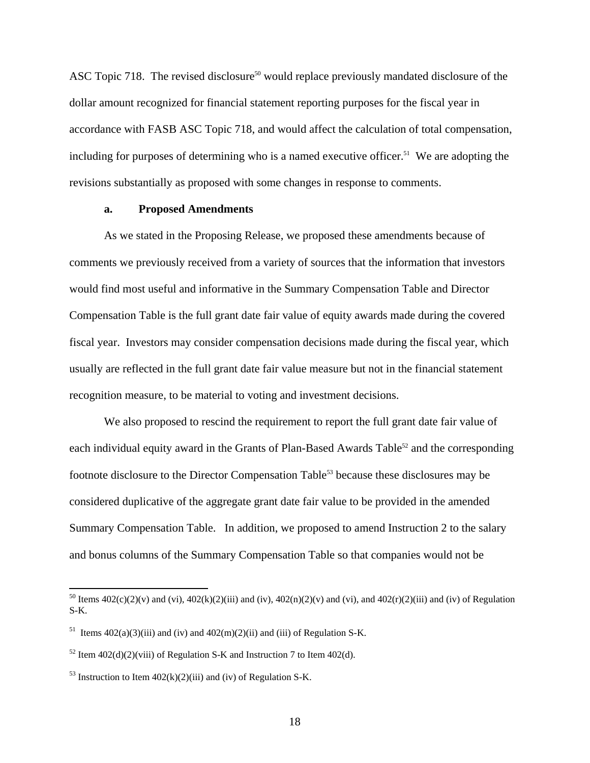ASC Topic 718. The revised disclosure<sup>50</sup> would replace previously mandated disclosure of the dollar amount recognized for financial statement reporting purposes for the fiscal year in accordance with FASB ASC Topic 718, and would affect the calculation of total compensation, including for purposes of determining who is a named executive officer.<sup>51</sup> We are adopting the revisions substantially as proposed with some changes in response to comments.

## **a. Proposed Amendments**

As we stated in the Proposing Release, we proposed these amendments because of comments we previously received from a variety of sources that the information that investors would find most useful and informative in the Summary Compensation Table and Director Compensation Table is the full grant date fair value of equity awards made during the covered fiscal year. Investors may consider compensation decisions made during the fiscal year, which usually are reflected in the full grant date fair value measure but not in the financial statement recognition measure, to be material to voting and investment decisions.

We also proposed to rescind the requirement to report the full grant date fair value of each individual equity award in the Grants of Plan-Based Awards Table<sup>52</sup> and the corresponding footnote disclosure to the Director Compensation Table<sup>53</sup> because these disclosures may be considered duplicative of the aggregate grant date fair value to be provided in the amended Summary Compensation Table. In addition, we proposed to amend Instruction 2 to the salary and bonus columns of the Summary Compensation Table so that companies would not be

<sup>&</sup>lt;sup>50</sup> Items 402(c)(2)(v) and (vi), 402(k)(2)(iii) and (iv), 402(n)(2)(v) and (vi), and 402(r)(2)(iii) and (iv) of Regulation S-K.

<sup>&</sup>lt;sup>51</sup> Items  $402(a)(3)(iii)$  and (iv) and  $402(m)(2)(ii)$  and (iii) of Regulation S-K.

<sup>&</sup>lt;sup>52</sup> Item 402(d)(2)(viii) of Regulation S-K and Instruction 7 to Item 402(d).

 $53$  Instruction to Item  $402(k)(2)(iii)$  and (iv) of Regulation S-K.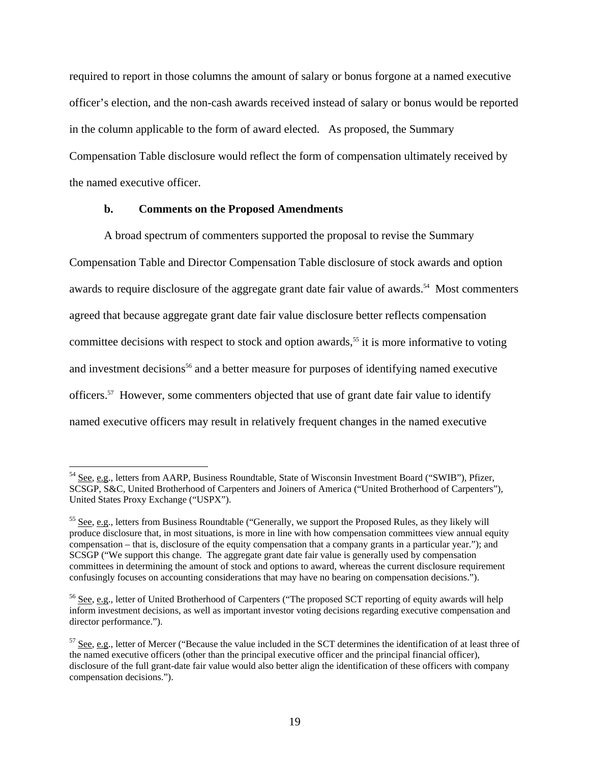required to report in those columns the amount of salary or bonus forgone at a named executive officer's election, and the non-cash awards received instead of salary or bonus would be reported in the column applicable to the form of award elected. As proposed, the Summary Compensation Table disclosure would reflect the form of compensation ultimately received by the named executive officer.

## **b. Comments on the Proposed Amendments**

1

A broad spectrum of commenters supported the proposal to revise the Summary Compensation Table and Director Compensation Table disclosure of stock awards and option awards to require disclosure of the aggregate grant date fair value of awards.<sup>54</sup> Most commenters agreed that because aggregate grant date fair value disclosure better reflects compensation committee decisions with respect to stock and option awards,<sup>55</sup> it is more informative to voting and investment decisions<sup>56</sup> and a better measure for purposes of identifying named executive officers.<sup>57</sup> However, some commenters objected that use of grant date fair value to identify named executive officers may result in relatively frequent changes in the named executive

<sup>&</sup>lt;sup>54</sup> See, e.g., letters from AARP, Business Roundtable, State of Wisconsin Investment Board ("SWIB"), Pfizer, SCSGP, S&C, United Brotherhood of Carpenters and Joiners of America ("United Brotherhood of Carpenters"), United States Proxy Exchange ("USPX").

 SCSGP ("We support this change. The aggregate grant date fair value is generally used by compensation confusingly focuses on accounting considerations that may have no bearing on compensation decisions."). <sup>55</sup> See, e.g., letters from Business Roundtable ("Generally, we support the Proposed Rules, as they likely will produce disclosure that, in most situations, is more in line with how compensation committees view annual equity compensation – that is, disclosure of the equity compensation that a company grants in a particular year."); and committees in determining the amount of stock and options to award, whereas the current disclosure requirement

<sup>&</sup>lt;sup>56</sup> See, e.g., letter of United Brotherhood of Carpenters ("The proposed SCT reporting of equity awards will help inform investment decisions, as well as important investor voting decisions regarding executive compensation and director performance.").

 $57$  See, e.g., letter of Mercer ("Because the value included in the SCT determines the identification of at least three of the named executive officers (other than the principal executive officer and the principal financial officer), disclosure of the full grant-date fair value would also better align the identification of these officers with company compensation decisions.").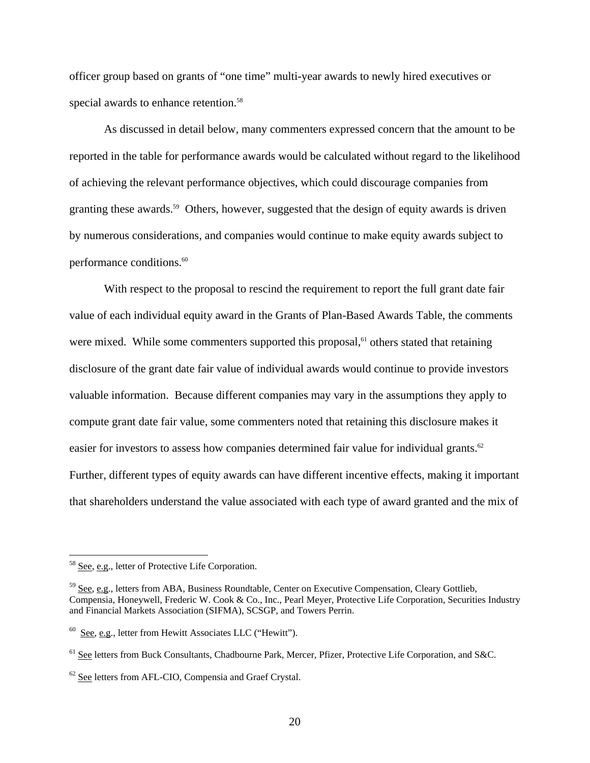officer group based on grants of "one time" multi-year awards to newly hired executives or special awards to enhance retention.<sup>58</sup>

As discussed in detail below, many commenters expressed concern that the amount to be reported in the table for performance awards would be calculated without regard to the likelihood of achieving the relevant performance objectives, which could discourage companies from granting these awards.<sup>59</sup> Others, however, suggested that the design of equity awards is driven by numerous considerations, and companies would continue to make equity awards subject to performance conditions.<sup>60</sup>

easier for investors to assess how companies determined fair value for individual grants.<sup>62</sup> With respect to the proposal to rescind the requirement to report the full grant date fair value of each individual equity award in the Grants of Plan-Based Awards Table, the comments were mixed. While some commenters supported this proposal,<sup>61</sup> others stated that retaining disclosure of the grant date fair value of individual awards would continue to provide investors valuable information. Because different companies may vary in the assumptions they apply to compute grant date fair value, some commenters noted that retaining this disclosure makes it Further, different types of equity awards can have different incentive effects, making it important that shareholders understand the value associated with each type of award granted and the mix of

<sup>58</sup> See, e.g., letter of Protective Life Corporation.

<sup>&</sup>lt;sup>59</sup> See, e.g., letters from ABA, Business Roundtable, Center on Executive Compensation, Cleary Gottlieb, Compensia, Honeywell, Frederic W. Cook & Co., Inc., Pearl Meyer, Protective Life Corporation, Securities Industry and Financial Markets Association (SIFMA), SCSGP, and Towers Perrin.

 $60$  See, e.g., letter from Hewitt Associates LLC ("Hewitt").

<sup>&</sup>lt;sup>61</sup> See letters from Buck Consultants, Chadbourne Park, Mercer, Pfizer, Protective Life Corporation, and S&C.

<sup>&</sup>lt;sup>62</sup> See letters from AFL-CIO, Compensia and Graef Crystal.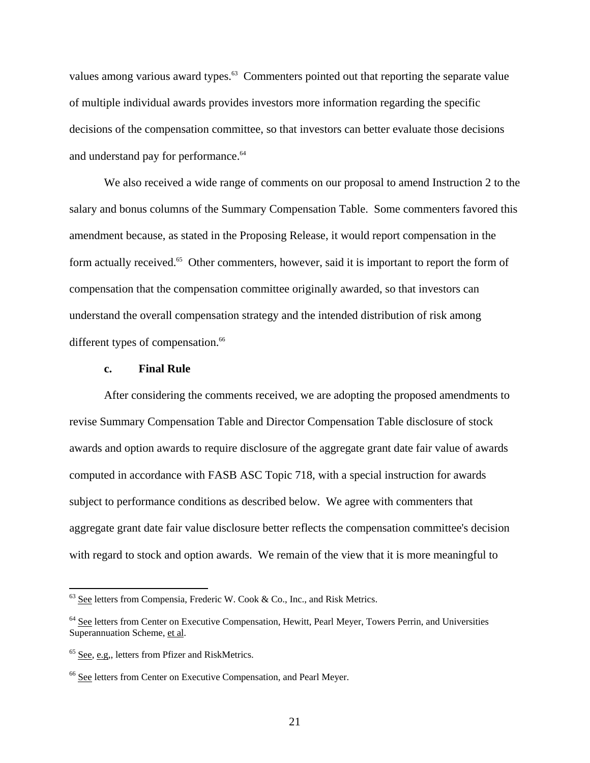values among various award types.<sup>63</sup> Commenters pointed out that reporting the separate value of multiple individual awards provides investors more information regarding the specific decisions of the compensation committee, so that investors can better evaluate those decisions and understand pay for performance.<sup>64</sup>

We also received a wide range of comments on our proposal to amend Instruction 2 to the salary and bonus columns of the Summary Compensation Table. Some commenters favored this amendment because, as stated in the Proposing Release, it would report compensation in the form actually received.<sup>65</sup> Other commenters, however, said it is important to report the form of compensation that the compensation committee originally awarded, so that investors can understand the overall compensation strategy and the intended distribution of risk among different types of compensation.<sup>66</sup>

### **c. Final Rule**

After considering the comments received, we are adopting the proposed amendments to revise Summary Compensation Table and Director Compensation Table disclosure of stock awards and option awards to require disclosure of the aggregate grant date fair value of awards computed in accordance with FASB ASC Topic 718, with a special instruction for awards subject to performance conditions as described below. We agree with commenters that aggregate grant date fair value disclosure better reflects the compensation committee's decision with regard to stock and option awards. We remain of the view that it is more meaningful to

 $63$  See letters from Compensia, Frederic W. Cook & Co., Inc., and Risk Metrics.

<sup>&</sup>lt;sup>64</sup> See letters from Center on Executive Compensation, Hewitt, Pearl Meyer, Towers Perrin, and Universities Superannuation Scheme, et al.

<sup>&</sup>lt;sup>65</sup> See, e.g., letters from Pfizer and RiskMetrics.

<sup>&</sup>lt;sup>66</sup> See letters from Center on Executive Compensation, and Pearl Meyer.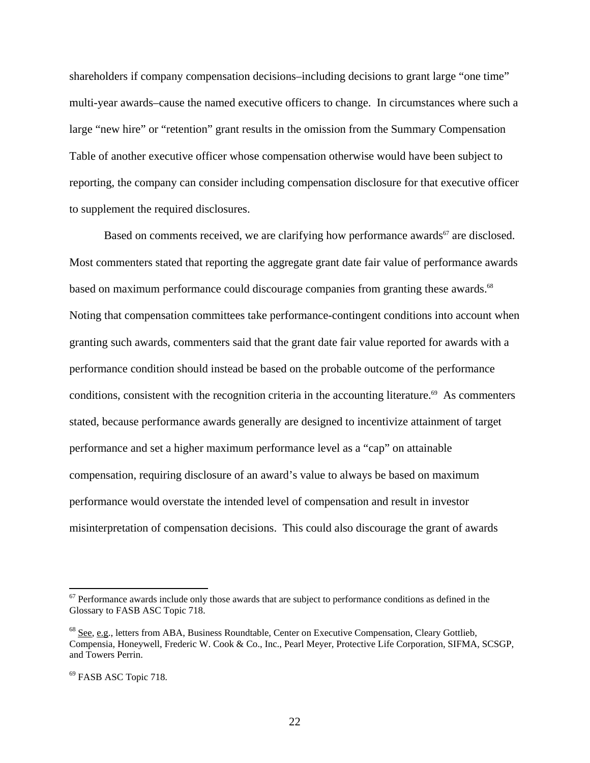shareholders if company compensation decisions–including decisions to grant large "one time" multi-year awards–cause the named executive officers to change. In circumstances where such a large "new hire" or "retention" grant results in the omission from the Summary Compensation Table of another executive officer whose compensation otherwise would have been subject to reporting, the company can consider including compensation disclosure for that executive officer to supplement the required disclosures.

based on maximum performance could discourage companies from granting these awards.<sup>68</sup> Based on comments received, we are clarifying how performance awards $67$  are disclosed. Most commenters stated that reporting the aggregate grant date fair value of performance awards Noting that compensation committees take performance-contingent conditions into account when granting such awards, commenters said that the grant date fair value reported for awards with a performance condition should instead be based on the probable outcome of the performance conditions, consistent with the recognition criteria in the accounting literature.<sup>69</sup> As commenters stated, because performance awards generally are designed to incentivize attainment of target performance and set a higher maximum performance level as a "cap" on attainable compensation, requiring disclosure of an award's value to always be based on maximum performance would overstate the intended level of compensation and result in investor misinterpretation of compensation decisions. This could also discourage the grant of awards

 $67$  Performance awards include only those awards that are subject to performance conditions as defined in the Glossary to FASB ASC Topic 718.

<sup>68</sup> See, e.g., letters from ABA, Business Roundtable, Center on Executive Compensation, Cleary Gottlieb, Compensia, Honeywell, Frederic W. Cook & Co., Inc., Pearl Meyer, Protective Life Corporation, SIFMA, SCSGP, and Towers Perrin.

<sup>&</sup>lt;sup>69</sup> FASB ASC Topic 718.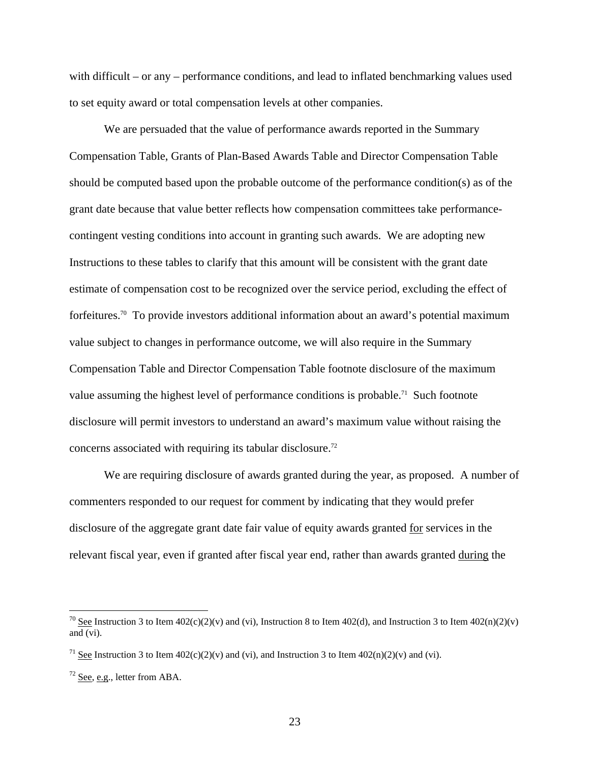with difficult – or any – performance conditions, and lead to inflated benchmarking values used to set equity award or total compensation levels at other companies.

We are persuaded that the value of performance awards reported in the Summary Compensation Table, Grants of Plan-Based Awards Table and Director Compensation Table should be computed based upon the probable outcome of the performance condition(s) as of the grant date because that value better reflects how compensation committees take performancecontingent vesting conditions into account in granting such awards. We are adopting new Instructions to these tables to clarify that this amount will be consistent with the grant date estimate of compensation cost to be recognized over the service period, excluding the effect of forfeitures.<sup>70</sup> To provide investors additional information about an award's potential maximum value subject to changes in performance outcome, we will also require in the Summary Compensation Table and Director Compensation Table footnote disclosure of the maximum value assuming the highest level of performance conditions is probable.<sup>71</sup> Such footnote disclosure will permit investors to understand an award's maximum value without raising the concerns associated with requiring its tabular disclosure.<sup>72</sup>

We are requiring disclosure of awards granted during the year, as proposed. A number of commenters responded to our request for comment by indicating that they would prefer disclosure of the aggregate grant date fair value of equity awards granted for services in the relevant fiscal year, even if granted after fiscal year end, rather than awards granted during the

<u>.</u>

 $70$  See Instruction 3 to Item 402(c)(2)(v) and (vi), Instruction 8 to Item 402(d), and Instruction 3 to Item 402(n)(2)(v) and (vi).

<sup>&</sup>lt;sup>71</sup> See Instruction 3 to Item  $402(c)(2)(v)$  and (vi), and Instruction 3 to Item  $402(n)(2)(v)$  and (vi).

 $72$  See, e.g., letter from ABA.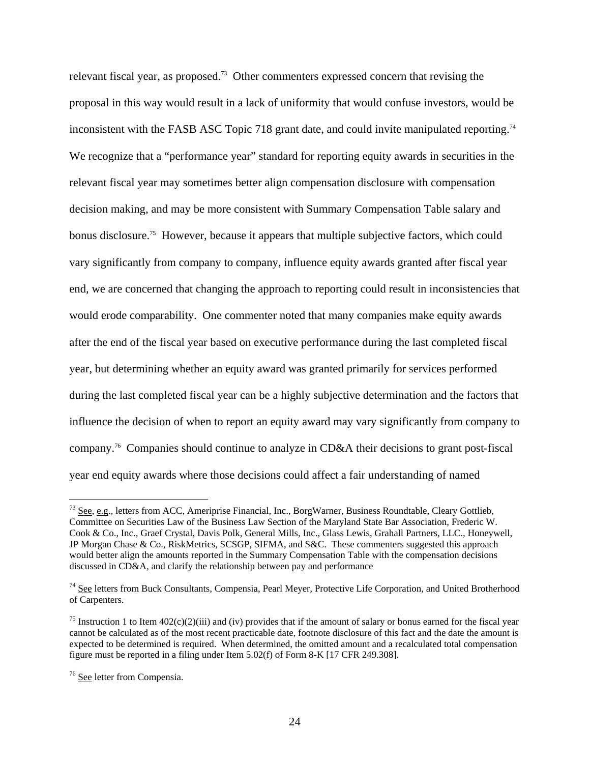inconsistent with the FASB ASC Topic 718 grant date, and could invite manipulated reporting.<sup>74</sup> relevant fiscal year, as proposed.73 Other commenters expressed concern that revising the proposal in this way would result in a lack of uniformity that would confuse investors, would be We recognize that a "performance year" standard for reporting equity awards in securities in the relevant fiscal year may sometimes better align compensation disclosure with compensation decision making, and may be more consistent with Summary Compensation Table salary and bonus disclosure.<sup>75</sup> However, because it appears that multiple subjective factors, which could vary significantly from company to company, influence equity awards granted after fiscal year end, we are concerned that changing the approach to reporting could result in inconsistencies that would erode comparability. One commenter noted that many companies make equity awards after the end of the fiscal year based on executive performance during the last completed fiscal year, but determining whether an equity award was granted primarily for services performed during the last completed fiscal year can be a highly subjective determination and the factors that influence the decision of when to report an equity award may vary significantly from company to company.76 Companies should continue to analyze in CD&A their decisions to grant post-fiscal year end equity awards where those decisions could affect a fair understanding of named

 $^{73}$  See, e.g., letters from ACC, Ameriprise Financial, Inc., BorgWarner, Business Roundtable, Cleary Gottlieb, Committee on Securities Law of the Business Law Section of the Maryland State Bar Association, Frederic W. Cook & Co., Inc., Graef Crystal, Davis Polk, General Mills, Inc., Glass Lewis, Grahall Partners, LLC., Honeywell, JP Morgan Chase & Co., RiskMetrics, SCSGP, SIFMA, and S&C. These commenters suggested this approach would better align the amounts reported in the Summary Compensation Table with the compensation decisions discussed in CD&A, and clarify the relationship between pay and performance

<sup>&</sup>lt;sup>74</sup> See letters from Buck Consultants, Compensia, Pearl Meyer, Protective Life Corporation, and United Brotherhood of Carpenters.

<sup>&</sup>lt;sup>75</sup> Instruction 1 to Item  $402(c)(2)(iii)$  and (iv) provides that if the amount of salary or bonus earned for the fiscal year cannot be calculated as of the most recent practicable date, footnote disclosure of this fact and the date the amount is expected to be determined is required. When determined, the omitted amount and a recalculated total compensation figure must be reported in a filing under Item 5.02(f) of Form 8-K [17 CFR 249.308].

<sup>76</sup> See letter from Compensia.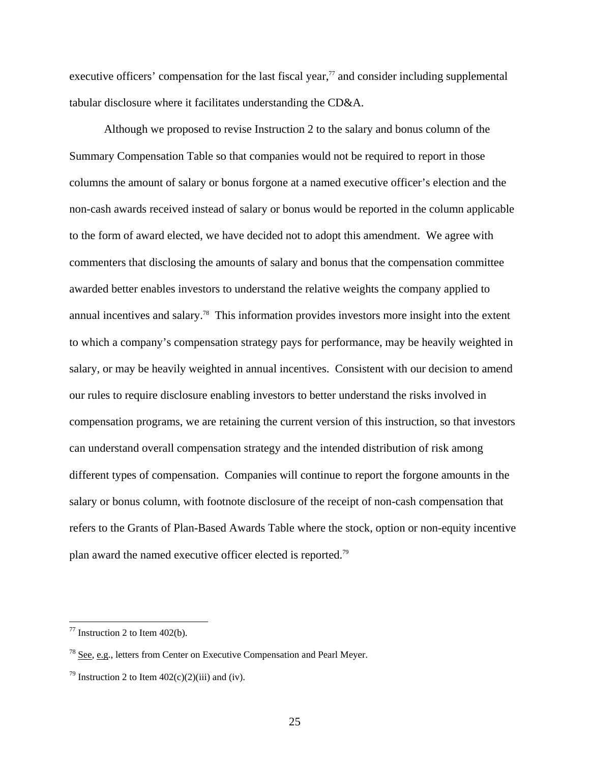executive officers' compensation for the last fiscal year, $\frac{7}{7}$  and consider including supplemental tabular disclosure where it facilitates understanding the CD&A.

Although we proposed to revise Instruction 2 to the salary and bonus column of the Summary Compensation Table so that companies would not be required to report in those columns the amount of salary or bonus forgone at a named executive officer's election and the non-cash awards received instead of salary or bonus would be reported in the column applicable to the form of award elected, we have decided not to adopt this amendment. We agree with commenters that disclosing the amounts of salary and bonus that the compensation committee awarded better enables investors to understand the relative weights the company applied to annual incentives and salary.78 This information provides investors more insight into the extent to which a company's compensation strategy pays for performance, may be heavily weighted in salary, or may be heavily weighted in annual incentives. Consistent with our decision to amend our rules to require disclosure enabling investors to better understand the risks involved in compensation programs, we are retaining the current version of this instruction, so that investors can understand overall compensation strategy and the intended distribution of risk among different types of compensation. Companies will continue to report the forgone amounts in the salary or bonus column, with footnote disclosure of the receipt of non-cash compensation that refers to the Grants of Plan-Based Awards Table where the stock, option or non-equity incentive plan award the named executive officer elected is reported.79

 $77$  Instruction 2 to Item 402(b).

 $78$  See, e.g., letters from Center on Executive Compensation and Pearl Meyer.

<sup>&</sup>lt;sup>79</sup> Instruction 2 to Item  $402(c)(2)(iii)$  and (iv).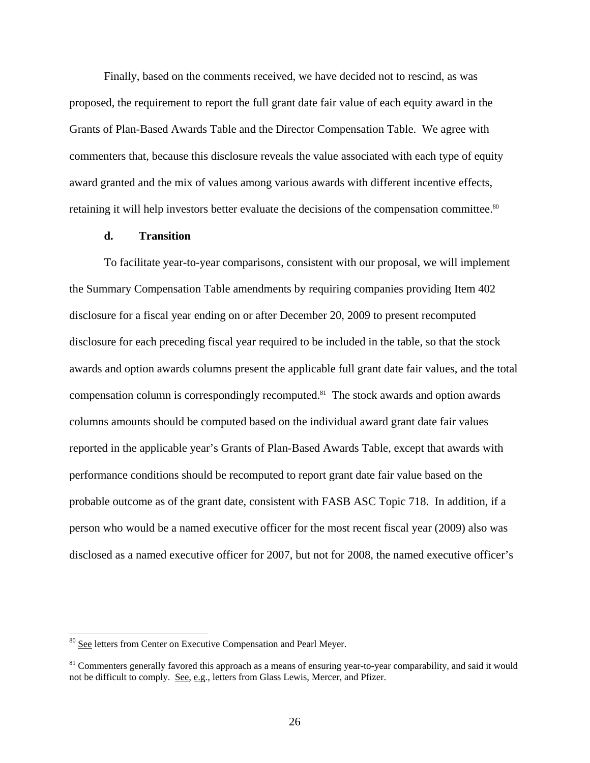Finally, based on the comments received, we have decided not to rescind, as was proposed, the requirement to report the full grant date fair value of each equity award in the Grants of Plan-Based Awards Table and the Director Compensation Table. We agree with commenters that, because this disclosure reveals the value associated with each type of equity award granted and the mix of values among various awards with different incentive effects, retaining it will help investors better evaluate the decisions of the compensation committee.<sup>80</sup>

## **d. Transition**

To facilitate year-to-year comparisons, consistent with our proposal, we will implement the Summary Compensation Table amendments by requiring companies providing Item 402 disclosure for a fiscal year ending on or after December 20, 2009 to present recomputed disclosure for each preceding fiscal year required to be included in the table, so that the stock awards and option awards columns present the applicable full grant date fair values, and the total compensation column is correspondingly recomputed.<sup>81</sup> The stock awards and option awards columns amounts should be computed based on the individual award grant date fair values reported in the applicable year's Grants of Plan-Based Awards Table, except that awards with performance conditions should be recomputed to report grant date fair value based on the probable outcome as of the grant date, consistent with FASB ASC Topic 718. In addition, if a person who would be a named executive officer for the most recent fiscal year (2009) also was disclosed as a named executive officer for 2007, but not for 2008, the named executive officer's

<sup>&</sup>lt;sup>80</sup> See letters from Center on Executive Compensation and Pearl Meyer.

<sup>&</sup>lt;sup>81</sup> Commenters generally favored this approach as a means of ensuring year-to-year comparability, and said it would not be difficult to comply. See, e.g., letters from Glass Lewis, Mercer, and Pfizer.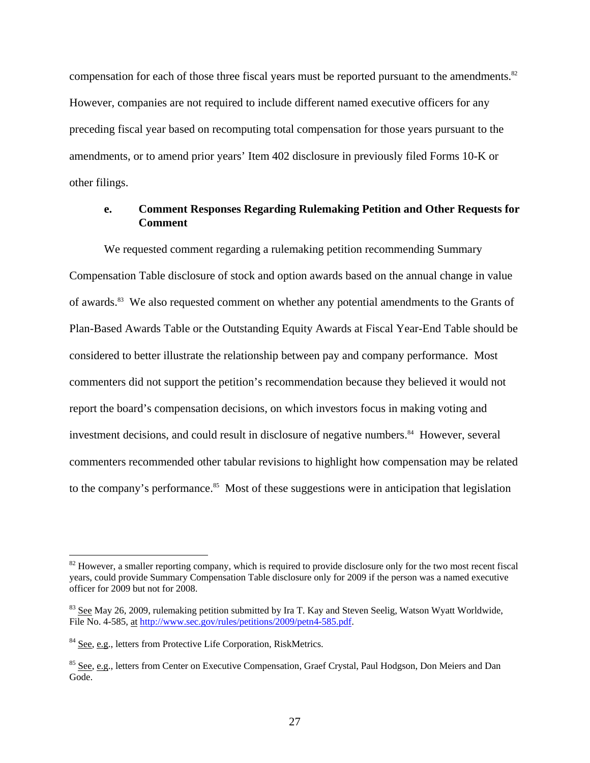compensation for each of those three fiscal years must be reported pursuant to the amendments.<sup>82</sup> However, companies are not required to include different named executive officers for any preceding fiscal year based on recomputing total compensation for those years pursuant to the amendments, or to amend prior years' Item 402 disclosure in previously filed Forms 10-K or other filings.

## **e. Comment Responses Regarding Rulemaking Petition and Other Requests for Comment**

We requested comment regarding a rulemaking petition recommending Summary Compensation Table disclosure of stock and option awards based on the annual change in value of awards.<sup>83</sup> We also requested comment on whether any potential amendments to the Grants of Plan-Based Awards Table or the Outstanding Equity Awards at Fiscal Year-End Table should be considered to better illustrate the relationship between pay and company performance. Most commenters did not support the petition's recommendation because they believed it would not report the board's compensation decisions, on which investors focus in making voting and investment decisions, and could result in disclosure of negative numbers.<sup>84</sup> However, several commenters recommended other tabular revisions to highlight how compensation may be related to the company's performance.<sup>85</sup> Most of these suggestions were in anticipation that legislation

<sup>&</sup>lt;sup>82</sup> However, a smaller reporting company, which is required to provide disclosure only for the two most recent fiscal years, could provide Summary Compensation Table disclosure only for 2009 if the person was a named executive officer for 2009 but not for 2008.

<sup>&</sup>lt;sup>83</sup> See May 26, 2009, rulemaking petition submitted by Ira T. Kay and Steven Seelig, Watson Wyatt Worldwide, File No. 4-585, at http://www.sec.gov/rules/petitions/2009/petn4-585.pdf.

<sup>&</sup>lt;sup>84</sup> See, e.g., letters from Protective Life Corporation, RiskMetrics.

<sup>&</sup>lt;sup>85</sup> See, e.g., letters from Center on Executive Compensation, Graef Crystal, Paul Hodgson, Don Meiers and Dan Gode.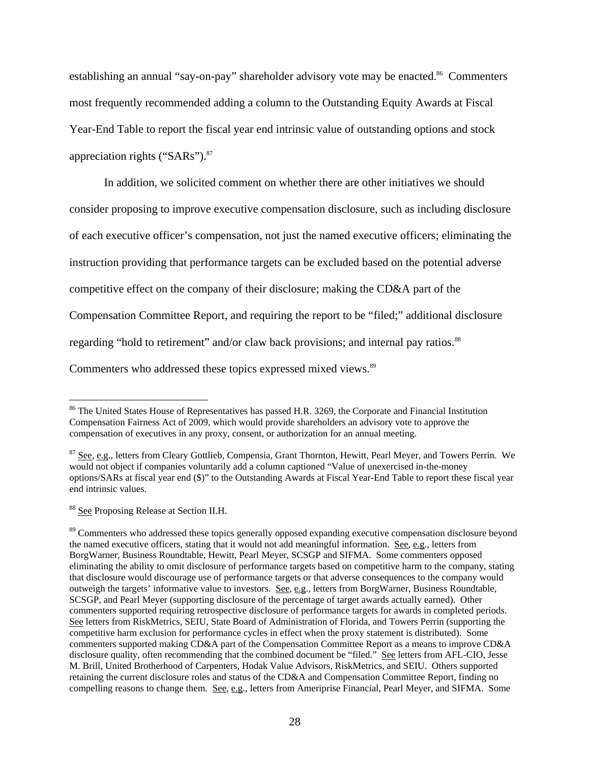appreciation rights ("SARs").<sup>87</sup> establishing an annual "say-on-pay" shareholder advisory vote may be enacted.<sup>86</sup> Commenters most frequently recommended adding a column to the Outstanding Equity Awards at Fiscal Year-End Table to report the fiscal year end intrinsic value of outstanding options and stock

regarding "hold to retirement" and/or claw back provisions; and internal pay ratios.<sup>88</sup> Commenters who addressed these topics expressed mixed views.<sup>89</sup> In addition, we solicited comment on whether there are other initiatives we should consider proposing to improve executive compensation disclosure, such as including disclosure of each executive officer's compensation, not just the named executive officers; eliminating the instruction providing that performance targets can be excluded based on the potential adverse competitive effect on the company of their disclosure; making the CD&A part of the Compensation Committee Report, and requiring the report to be "filed;" additional disclosure

compensation of executives in any proxy, consent, or authorization for an annual meeting. <sup>86</sup> The United States House of Representatives has passed H.R. 3269, the Corporate and Financial Institution Compensation Fairness Act of 2009, which would provide shareholders an advisory vote to approve the

compensation of executives in any proxy, consent, or authorization for an annual meeting.<br><sup>87</sup> <u>See, e.g</u>., letters from Cleary Gottlieb, Compensia, Grant Thornton, Hewitt, Pearl Meyer, and Towers Perrin. We would not object if companies voluntarily add a column captioned "Value of unexercised in-the-money options/SARs at fiscal year end (\$)" to the Outstanding Awards at Fiscal Year-End Table to report these fiscal year end intrinsic values.

<sup>88</sup> See Proposing Release at Section II.H.

 BorgWarner, Business Roundtable, Hewitt, Pearl Meyer, SCSGP and SIFMA. Some commenters opposed that disclosure would discourage use of performance targets or that adverse consequences to the company would commenters supported making CD&A part of the Compensation Committee Report as a means to improve CD&A <sup>89</sup> Commenters who addressed these topics generally opposed expanding executive compensation disclosure beyond the named executive officers, stating that it would not add meaningful information. See, e.g., letters from eliminating the ability to omit disclosure of performance targets based on competitive harm to the company, stating outweigh the targets' informative value to investors. See, e.g., letters from BorgWarner, Business Roundtable, SCSGP, and Pearl Meyer (supporting disclosure of the percentage of target awards actually earned). Other commenters supported requiring retrospective disclosure of performance targets for awards in completed periods. See letters from RiskMetrics, SEIU, State Board of Administration of Florida, and Towers Perrin (supporting the competitive harm exclusion for performance cycles in effect when the proxy statement is distributed). Some disclosure quality, often recommending that the combined document be "filed." See letters from AFL-CIO, Jesse M. Brill, United Brotherhood of Carpenters, Hodak Value Advisors, RiskMetrics, and SEIU. Others supported retaining the current disclosure roles and status of the CD&A and Compensation Committee Report, finding no compelling reasons to change them. See, e.g., letters from Ameriprise Financial, Pearl Meyer, and SIFMA. Some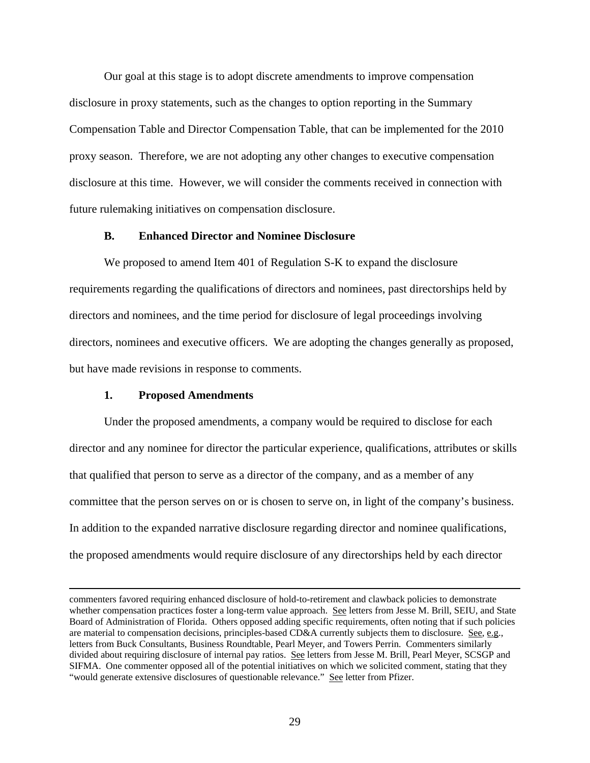Our goal at this stage is to adopt discrete amendments to improve compensation disclosure in proxy statements, such as the changes to option reporting in the Summary Compensation Table and Director Compensation Table, that can be implemented for the 2010 proxy season. Therefore, we are not adopting any other changes to executive compensation disclosure at this time. However, we will consider the comments received in connection with future rulemaking initiatives on compensation disclosure.

#### **B. Enhanced Director and Nominee Disclosure**

We proposed to amend Item 401 of Regulation S-K to expand the disclosure requirements regarding the qualifications of directors and nominees, past directorships held by directors and nominees, and the time period for disclosure of legal proceedings involving directors, nominees and executive officers. We are adopting the changes generally as proposed, but have made revisions in response to comments.

### **1. Proposed Amendments**

1

Under the proposed amendments, a company would be required to disclose for each director and any nominee for director the particular experience, qualifications, attributes or skills that qualified that person to serve as a director of the company, and as a member of any committee that the person serves on or is chosen to serve on, in light of the company's business. In addition to the expanded narrative disclosure regarding director and nominee qualifications, the proposed amendments would require disclosure of any directorships held by each director

 SIFMA. One commenter opposed all of the potential initiatives on which we solicited comment, stating that they commenters favored requiring enhanced disclosure of hold-to-retirement and clawback policies to demonstrate whether compensation practices foster a long-term value approach. See letters from Jesse M. Brill, SEIU, and State Board of Administration of Florida. Others opposed adding specific requirements, often noting that if such policies are material to compensation decisions, principles-based CD&A currently subjects them to disclosure. See, e.g., letters from Buck Consultants, Business Roundtable, Pearl Meyer, and Towers Perrin. Commenters similarly divided about requiring disclosure of internal pay ratios. See letters from Jesse M. Brill, Pearl Meyer, SCSGP and "would generate extensive disclosures of questionable relevance." See letter from Pfizer.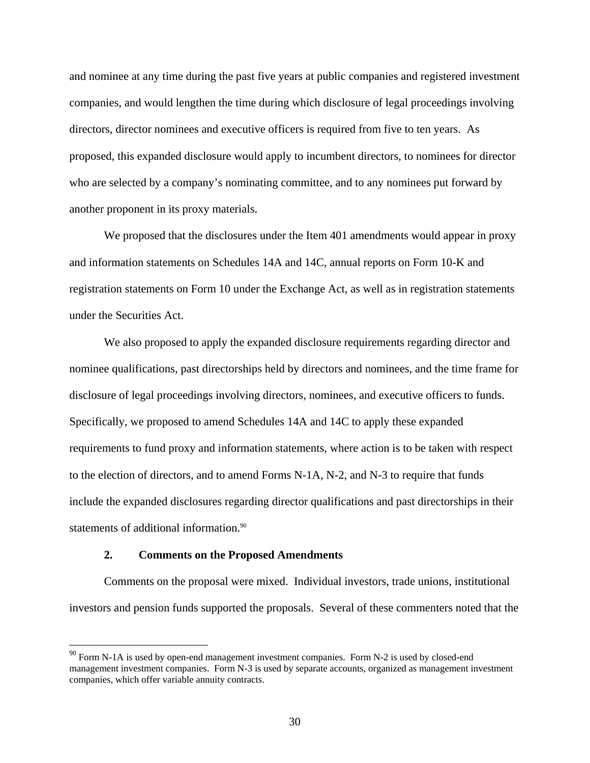and nominee at any time during the past five years at public companies and registered investment companies, and would lengthen the time during which disclosure of legal proceedings involving directors, director nominees and executive officers is required from five to ten years. As proposed, this expanded disclosure would apply to incumbent directors, to nominees for director who are selected by a company's nominating committee, and to any nominees put forward by another proponent in its proxy materials.

We proposed that the disclosures under the Item 401 amendments would appear in proxy and information statements on Schedules 14A and 14C, annual reports on Form 10-K and registration statements on Form 10 under the Exchange Act, as well as in registration statements under the Securities Act.

We also proposed to apply the expanded disclosure requirements regarding director and nominee qualifications, past directorships held by directors and nominees, and the time frame for disclosure of legal proceedings involving directors, nominees, and executive officers to funds. Specifically, we proposed to amend Schedules 14A and 14C to apply these expanded requirements to fund proxy and information statements, where action is to be taken with respect to the election of directors, and to amend Forms N-1A, N-2, and N-3 to require that funds include the expanded disclosures regarding director qualifications and past directorships in their statements of additional information.<sup>90</sup>

#### **2. Comments on the Proposed Amendments**

1

Comments on the proposal were mixed. Individual investors, trade unions, institutional investors and pension funds supported the proposals. Several of these commenters noted that the

 $90$  Form N-1A is used by open-end management investment companies. Form N-2 is used by closed-end management investment companies. Form N-3 is used by separate accounts, organized as management investment companies, which offer variable annuity contracts.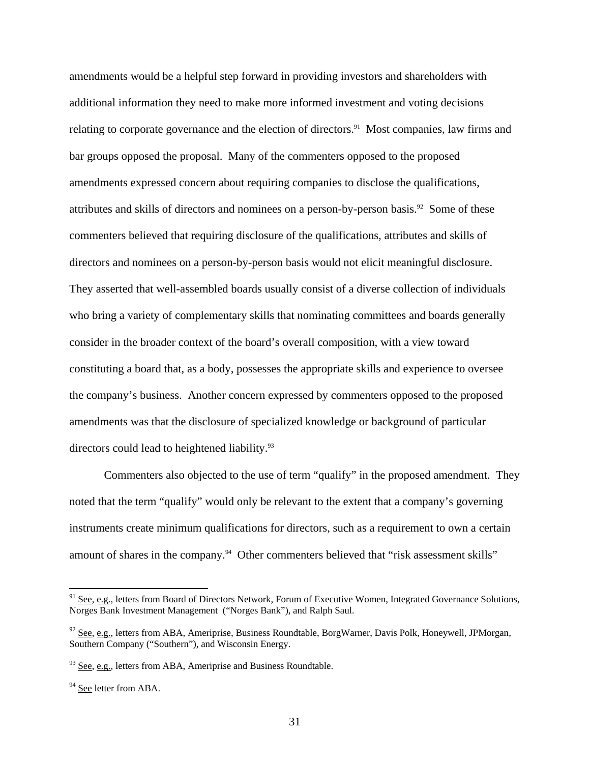amendments would be a helpful step forward in providing investors and shareholders with additional information they need to make more informed investment and voting decisions relating to corporate governance and the election of directors.<sup>91</sup> Most companies, law firms and bar groups opposed the proposal. Many of the commenters opposed to the proposed amendments expressed concern about requiring companies to disclose the qualifications, attributes and skills of directors and nominees on a person-by-person basis.<sup>92</sup> Some of these commenters believed that requiring disclosure of the qualifications, attributes and skills of directors and nominees on a person-by-person basis would not elicit meaningful disclosure. They asserted that well-assembled boards usually consist of a diverse collection of individuals who bring a variety of complementary skills that nominating committees and boards generally consider in the broader context of the board's overall composition, with a view toward constituting a board that, as a body, possesses the appropriate skills and experience to oversee the company's business. Another concern expressed by commenters opposed to the proposed amendments was that the disclosure of specialized knowledge or background of particular directors could lead to heightened liability.<sup>93</sup>

Commenters also objected to the use of term "qualify" in the proposed amendment. They noted that the term "qualify" would only be relevant to the extent that a company's governing instruments create minimum qualifications for directors, such as a requirement to own a certain amount of shares in the company.<sup>94</sup> Other commenters believed that "risk assessment skills"

 $91$  See, e.g., letters from Board of Directors Network, Forum of Executive Women, Integrated Governance Solutions, Norges Bank Investment Management ("Norges Bank"), and Ralph Saul.

 $92$  See, e.g., letters from ABA, Ameriprise, Business Roundtable, BorgWarner, Davis Polk, Honeywell, JPMorgan, Southern Company ("Southern"), and Wisconsin Energy.

 $93$  See, e.g., letters from ABA, Ameriprise and Business Roundtable.

<sup>&</sup>lt;sup>94</sup> See letter from ABA.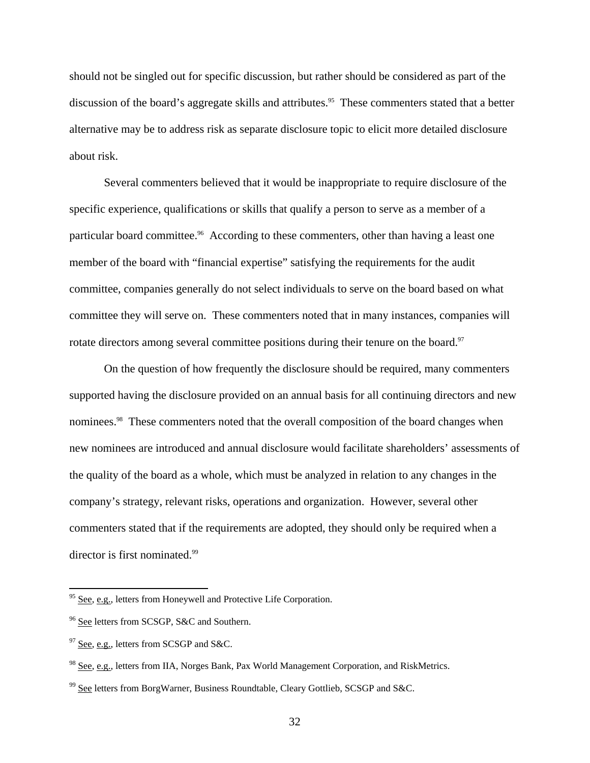should not be singled out for specific discussion, but rather should be considered as part of the discussion of the board's aggregate skills and attributes.<sup>95</sup> These commenters stated that a better alternative may be to address risk as separate disclosure topic to elicit more detailed disclosure about risk.

Several commenters believed that it would be inappropriate to require disclosure of the specific experience, qualifications or skills that qualify a person to serve as a member of a particular board committee.<sup>96</sup> According to these commenters, other than having a least one member of the board with "financial expertise" satisfying the requirements for the audit committee, companies generally do not select individuals to serve on the board based on what committee they will serve on. These commenters noted that in many instances, companies will rotate directors among several committee positions during their tenure on the board.<sup>97</sup>

On the question of how frequently the disclosure should be required, many commenters supported having the disclosure provided on an annual basis for all continuing directors and new nominees.<sup>98</sup> These commenters noted that the overall composition of the board changes when new nominees are introduced and annual disclosure would facilitate shareholders' assessments of the quality of the board as a whole, which must be analyzed in relation to any changes in the company's strategy, relevant risks, operations and organization. However, several other commenters stated that if the requirements are adopted, they should only be required when a director is first nominated.<sup>99</sup>

 $95$  See, e.g., letters from Honeywell and Protective Life Corporation.

<sup>&</sup>lt;sup>96</sup> See letters from SCSGP, S&C and Southern.

 $97$  See, e.g., letters from SCSGP and S&C.

<sup>&</sup>lt;sup>98</sup> See, e.g., letters from IIA, Norges Bank, Pax World Management Corporation, and RiskMetrics.

<sup>&</sup>lt;sup>99</sup> See letters from BorgWarner, Business Roundtable, Cleary Gottlieb, SCSGP and S&C.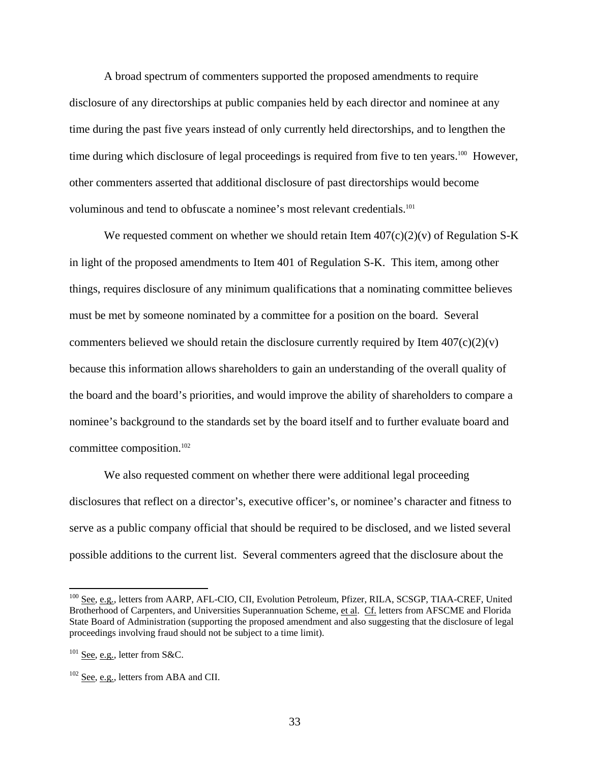voluminous and tend to obfuscate a nominee's most relevant credentials.<sup>101</sup> A broad spectrum of commenters supported the proposed amendments to require disclosure of any directorships at public companies held by each director and nominee at any time during the past five years instead of only currently held directorships, and to lengthen the time during which disclosure of legal proceedings is required from five to ten years.<sup>100</sup> However, other commenters asserted that additional disclosure of past directorships would become

We requested comment on whether we should retain Item  $407(c)(2)(v)$  of Regulation S-K in light of the proposed amendments to Item 401 of Regulation S-K. This item, among other things, requires disclosure of any minimum qualifications that a nominating committee believes must be met by someone nominated by a committee for a position on the board. Several commenters believed we should retain the disclosure currently required by Item  $407(c)(2)(v)$ because this information allows shareholders to gain an understanding of the overall quality of the board and the board's priorities, and would improve the ability of shareholders to compare a nominee's background to the standards set by the board itself and to further evaluate board and committee composition.102

We also requested comment on whether there were additional legal proceeding disclosures that reflect on a director's, executive officer's, or nominee's character and fitness to serve as a public company official that should be required to be disclosed, and we listed several possible additions to the current list. Several commenters agreed that the disclosure about the

 State Board of Administration (supporting the proposed amendment and also suggesting that the disclosure of legal <sup>100</sup> See, e.g., letters from AARP, AFL-CIO, CII, Evolution Petroleum, Pfizer, RILA, SCSGP, TIAA-CREF, United Brotherhood of Carpenters, and Universities Superannuation Scheme, et al. Cf. letters from AFSCME and Florida proceedings involving fraud should not be subject to a time limit).

 $101$  See, e.g., letter from S&C.

 $102$  See, e.g., letters from ABA and CII.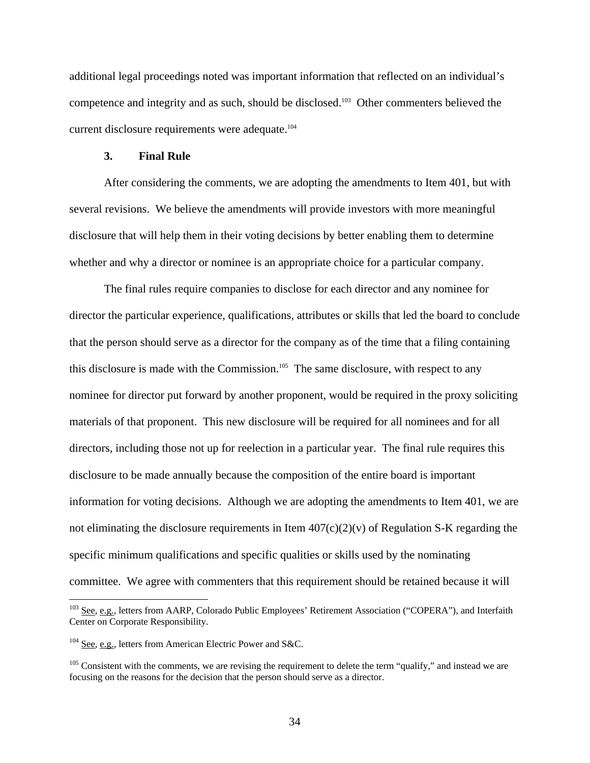additional legal proceedings noted was important information that reflected on an individual's competence and integrity and as such, should be disclosed.103 Other commenters believed the current disclosure requirements were adequate.<sup>104</sup>

#### **3. Final Rule**

After considering the comments, we are adopting the amendments to Item 401, but with several revisions. We believe the amendments will provide investors with more meaningful disclosure that will help them in their voting decisions by better enabling them to determine whether and why a director or nominee is an appropriate choice for a particular company.

The final rules require companies to disclose for each director and any nominee for director the particular experience, qualifications, attributes or skills that led the board to conclude that the person should serve as a director for the company as of the time that a filing containing this disclosure is made with the Commission.<sup>105</sup> The same disclosure, with respect to any nominee for director put forward by another proponent, would be required in the proxy soliciting materials of that proponent. This new disclosure will be required for all nominees and for all directors, including those not up for reelection in a particular year. The final rule requires this disclosure to be made annually because the composition of the entire board is important information for voting decisions. Although we are adopting the amendments to Item 401, we are not eliminating the disclosure requirements in Item  $407(c)(2)(v)$  of Regulation S-K regarding the specific minimum qualifications and specific qualities or skills used by the nominating committee. We agree with commenters that this requirement should be retained because it will

<sup>&</sup>lt;sup>103</sup> See, e.g., letters from AARP, Colorado Public Employees' Retirement Association ("COPERA"), and Interfaith Center on Corporate Responsibility.

 $104$  See, e.g., letters from American Electric Power and S&C.

 $105$  Consistent with the comments, we are revising the requirement to delete the term "qualify," and instead we are focusing on the reasons for the decision that the person should serve as a director.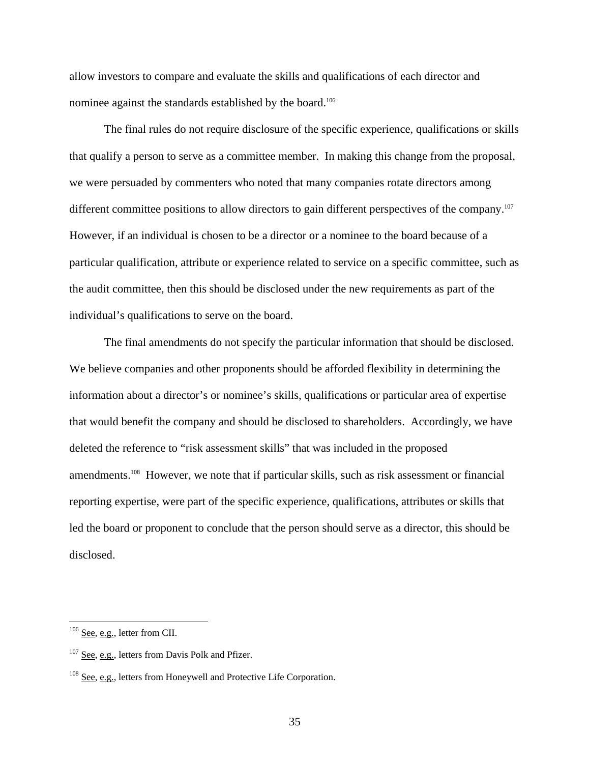nominee against the standards established by the board.<sup>106</sup> allow investors to compare and evaluate the skills and qualifications of each director and

different committee positions to allow directors to gain different perspectives of the company.<sup>107</sup> The final rules do not require disclosure of the specific experience, qualifications or skills that qualify a person to serve as a committee member. In making this change from the proposal, we were persuaded by commenters who noted that many companies rotate directors among However, if an individual is chosen to be a director or a nominee to the board because of a particular qualification, attribute or experience related to service on a specific committee, such as the audit committee, then this should be disclosed under the new requirements as part of the individual's qualifications to serve on the board.

The final amendments do not specify the particular information that should be disclosed. We believe companies and other proponents should be afforded flexibility in determining the information about a director's or nominee's skills, qualifications or particular area of expertise that would benefit the company and should be disclosed to shareholders. Accordingly, we have deleted the reference to "risk assessment skills" that was included in the proposed amendments.108 However, we note that if particular skills, such as risk assessment or financial reporting expertise, were part of the specific experience, qualifications, attributes or skills that led the board or proponent to conclude that the person should serve as a director, this should be disclosed.

 $106$  See, e.g., letter from CII.

 $107$  See, e.g., letters from Davis Polk and Pfizer.

<sup>&</sup>lt;sup>108</sup> See, e.g., letters from Honeywell and Protective Life Corporation.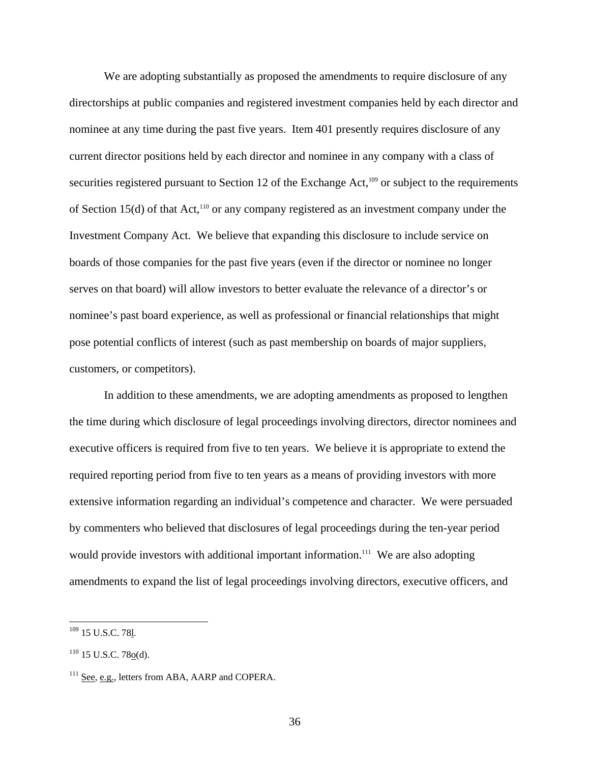We are adopting substantially as proposed the amendments to require disclosure of any directorships at public companies and registered investment companies held by each director and nominee at any time during the past five years. Item 401 presently requires disclosure of any current director positions held by each director and nominee in any company with a class of securities registered pursuant to Section 12 of the Exchange Act,<sup>109</sup> or subject to the requirements of Section 15(d) of that Act,<sup>110</sup> or any company registered as an investment company under the Investment Company Act. We believe that expanding this disclosure to include service on boards of those companies for the past five years (even if the director or nominee no longer serves on that board) will allow investors to better evaluate the relevance of a director's or nominee's past board experience, as well as professional or financial relationships that might pose potential conflicts of interest (such as past membership on boards of major suppliers, customers, or competitors).

In addition to these amendments, we are adopting amendments as proposed to lengthen the time during which disclosure of legal proceedings involving directors, director nominees and executive officers is required from five to ten years. We believe it is appropriate to extend the required reporting period from five to ten years as a means of providing investors with more extensive information regarding an individual's competence and character. We were persuaded by commenters who believed that disclosures of legal proceedings during the ten-year period would provide investors with additional important information.<sup>111</sup> We are also adopting amendments to expand the list of legal proceedings involving directors, executive officers, and

1

 $109$  15 U.S.C. 781.

 $110$  15 U.S.C. 78 $o(d)$ .

<sup>&</sup>lt;sup>111</sup> See, e.g., letters from ABA, AARP and COPERA.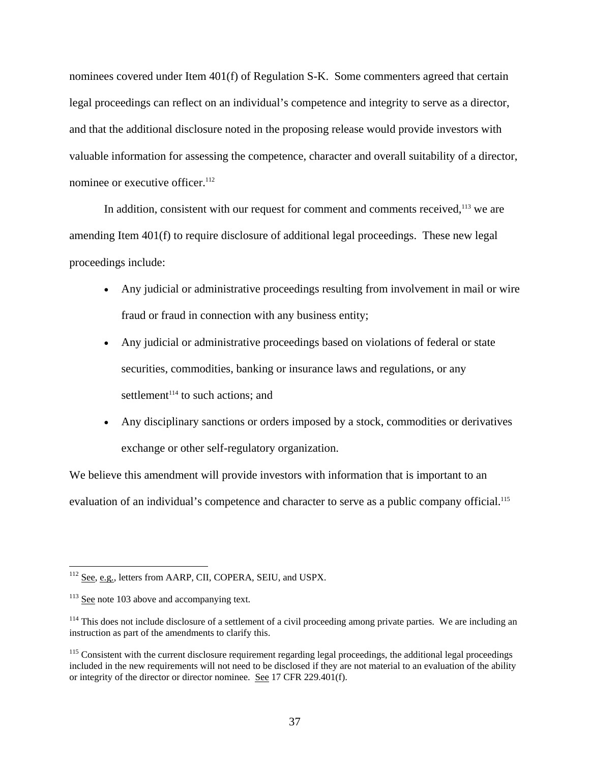nominee or executive officer.<sup>112</sup> nominees covered under Item 401(f) of Regulation S-K. Some commenters agreed that certain legal proceedings can reflect on an individual's competence and integrity to serve as a director, and that the additional disclosure noted in the proposing release would provide investors with valuable information for assessing the competence, character and overall suitability of a director,

In addition, consistent with our request for comment and comments received, $113$  we are amending Item 401(f) to require disclosure of additional legal proceedings. These new legal proceedings include:

- Any judicial or administrative proceedings resulting from involvement in mail or wire fraud or fraud in connection with any business entity;
- Any judicial or administrative proceedings based on violations of federal or state securities, commodities, banking or insurance laws and regulations, or any settlement $114}$  to such actions; and
- Any disciplinary sanctions or orders imposed by a stock, commodities or derivatives exchange or other self-regulatory organization.

We believe this amendment will provide investors with information that is important to an evaluation of an individual's competence and character to serve as a public company official.<sup>115</sup>

<sup>112</sup> See, e.g., letters from AARP, CII, COPERA, SEIU, and USPX.

 $113$  See note 103 above and accompanying text.

 $114$  This does not include disclosure of a settlement of a civil proceeding among private parties. We are including an instruction as part of the amendments to clarify this.

<sup>&</sup>lt;sup>115</sup> Consistent with the current disclosure requirement regarding legal proceedings, the additional legal proceedings included in the new requirements will not need to be disclosed if they are not material to an evaluation of the ability or integrity of the director or director nominee. See 17 CFR 229.401(f).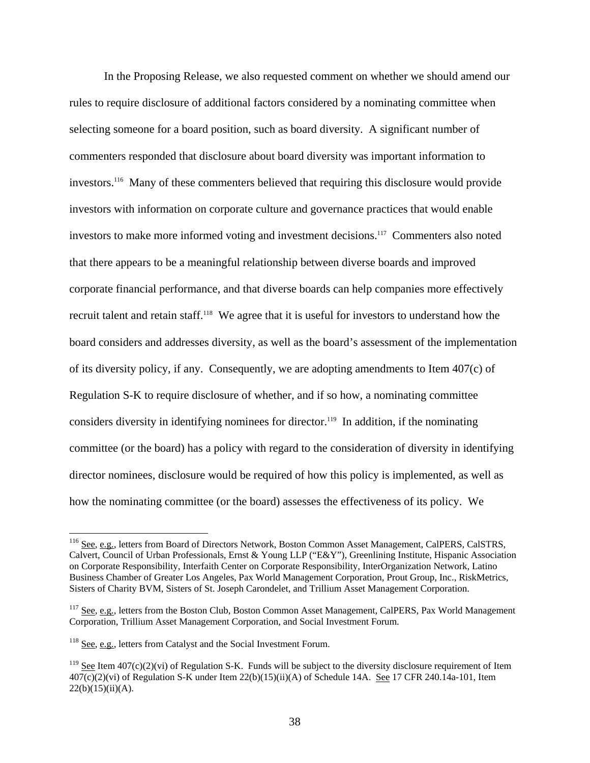In the Proposing Release, we also requested comment on whether we should amend our rules to require disclosure of additional factors considered by a nominating committee when selecting someone for a board position, such as board diversity. A significant number of commenters responded that disclosure about board diversity was important information to investors.116 Many of these commenters believed that requiring this disclosure would provide investors with information on corporate culture and governance practices that would enable investors to make more informed voting and investment decisions.<sup>117</sup> Commenters also noted that there appears to be a meaningful relationship between diverse boards and improved corporate financial performance, and that diverse boards can help companies more effectively recruit talent and retain staff.<sup>118</sup> We agree that it is useful for investors to understand how the board considers and addresses diversity, as well as the board's assessment of the implementation of its diversity policy, if any. Consequently, we are adopting amendments to Item  $407(c)$  of Regulation S-K to require disclosure of whether, and if so how, a nominating committee considers diversity in identifying nominees for director.<sup>119</sup> In addition, if the nominating committee (or the board) has a policy with regard to the consideration of diversity in identifying director nominees, disclosure would be required of how this policy is implemented, as well as how the nominating committee (or the board) assesses the effectiveness of its policy. We

<sup>&</sup>lt;sup>116</sup> See, e.g., letters from Board of Directors Network, Boston Common Asset Management, CalPERS, CalSTRS, Calvert, Council of Urban Professionals, Ernst & Young LLP ("E&Y"), Greenlining Institute, Hispanic Association on Corporate Responsibility, Interfaith Center on Corporate Responsibility, InterOrganization Network, Latino Business Chamber of Greater Los Angeles, Pax World Management Corporation, Prout Group, Inc., RiskMetrics, Sisters of Charity BVM, Sisters of St. Joseph Carondelet, and Trillium Asset Management Corporation.

<sup>&</sup>lt;sup>117</sup> See, e.g., letters from the Boston Club, Boston Common Asset Management, CalPERS, Pax World Management Corporation, Trillium Asset Management Corporation, and Social Investment Forum.

 $118$  See, e.g., letters from Catalyst and the Social Investment Forum.

 $407(c)(2)(vi)$  of Regulation S-K under Item  $22(b)(15)(ii)(A)$  of Schedule 14A. See 17 CFR 240.14a-101, Item  $22(b)(15)(ii)(A).$  $119$  See Item  $407(c)(2)(vi)$  of Regulation S-K. Funds will be subject to the diversity disclosure requirement of Item  $22(b)(15)(ii)(A).$  38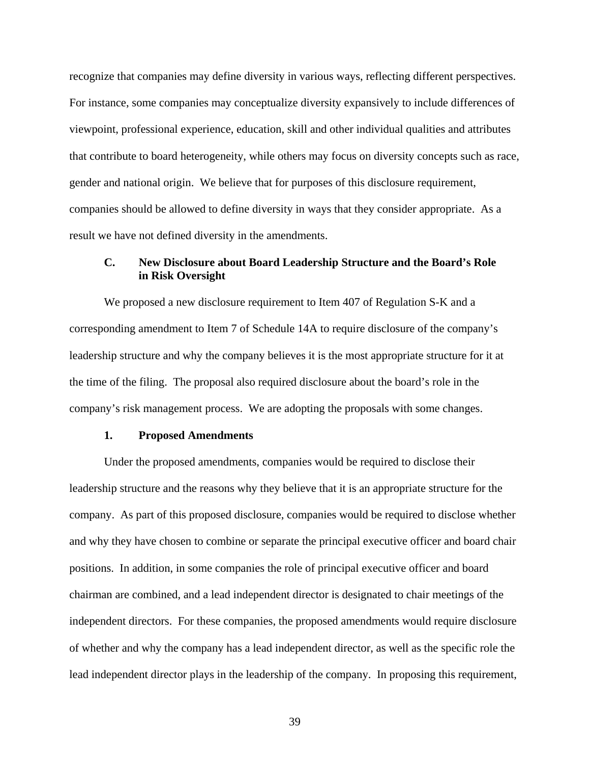recognize that companies may define diversity in various ways, reflecting different perspectives. For instance, some companies may conceptualize diversity expansively to include differences of viewpoint, professional experience, education, skill and other individual qualities and attributes that contribute to board heterogeneity, while others may focus on diversity concepts such as race, gender and national origin. We believe that for purposes of this disclosure requirement, companies should be allowed to define diversity in ways that they consider appropriate. As a result we have not defined diversity in the amendments.

# **C. New Disclosure about Board Leadership Structure and the Board's Role in Risk Oversight**

We proposed a new disclosure requirement to Item 407 of Regulation S-K and a corresponding amendment to Item 7 of Schedule 14A to require disclosure of the company's leadership structure and why the company believes it is the most appropriate structure for it at the time of the filing. The proposal also required disclosure about the board's role in the company's risk management process. We are adopting the proposals with some changes.

# **1. Proposed Amendments**

Under the proposed amendments, companies would be required to disclose their leadership structure and the reasons why they believe that it is an appropriate structure for the company. As part of this proposed disclosure, companies would be required to disclose whether and why they have chosen to combine or separate the principal executive officer and board chair positions. In addition, in some companies the role of principal executive officer and board chairman are combined, and a lead independent director is designated to chair meetings of the independent directors. For these companies, the proposed amendments would require disclosure of whether and why the company has a lead independent director, as well as the specific role the lead independent director plays in the leadership of the company. In proposing this requirement,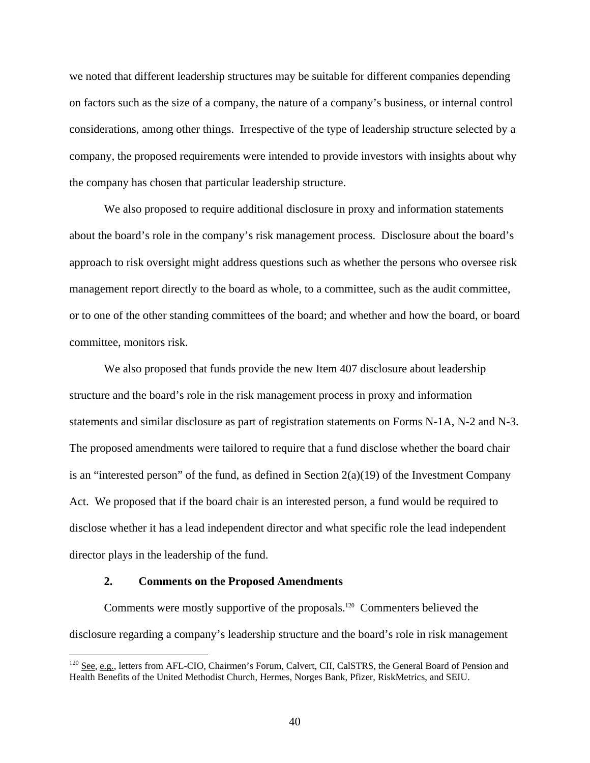we noted that different leadership structures may be suitable for different companies depending on factors such as the size of a company, the nature of a company's business, or internal control considerations, among other things. Irrespective of the type of leadership structure selected by a company, the proposed requirements were intended to provide investors with insights about why the company has chosen that particular leadership structure.

We also proposed to require additional disclosure in proxy and information statements about the board's role in the company's risk management process. Disclosure about the board's approach to risk oversight might address questions such as whether the persons who oversee risk management report directly to the board as whole, to a committee, such as the audit committee, or to one of the other standing committees of the board; and whether and how the board, or board committee, monitors risk.

We also proposed that funds provide the new Item 407 disclosure about leadership structure and the board's role in the risk management process in proxy and information statements and similar disclosure as part of registration statements on Forms N-1A, N-2 and N-3. The proposed amendments were tailored to require that a fund disclose whether the board chair is an "interested person" of the fund, as defined in Section  $2(a)(19)$  of the Investment Company Act. We proposed that if the board chair is an interested person, a fund would be required to disclose whether it has a lead independent director and what specific role the lead independent director plays in the leadership of the fund.

### **2. Comments on the Proposed Amendments**

1

Comments were mostly supportive of the proposals.<sup>120</sup> Commenters believed the disclosure regarding a company's leadership structure and the board's role in risk management

<sup>&</sup>lt;sup>120</sup> See, e.g., letters from AFL-CIO, Chairmen's Forum, Calvert, CII, CalSTRS, the General Board of Pension and Health Benefits of the United Methodist Church, Hermes, Norges Bank, Pfizer, RiskMetrics, and SEIU.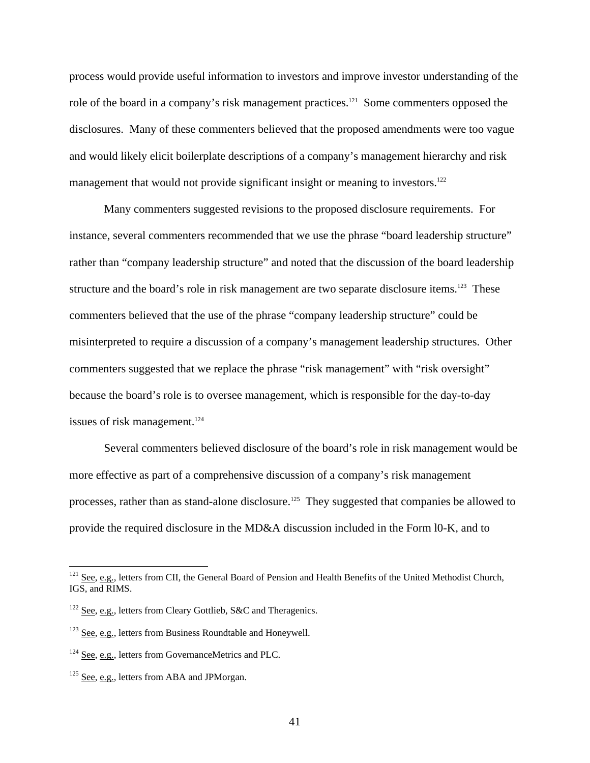management that would not provide significant insight or meaning to investors.<sup>122</sup> process would provide useful information to investors and improve investor understanding of the role of the board in a company's risk management practices.<sup>121</sup> Some commenters opposed the disclosures. Many of these commenters believed that the proposed amendments were too vague and would likely elicit boilerplate descriptions of a company's management hierarchy and risk

issues of risk management.<sup>124</sup> Many commenters suggested revisions to the proposed disclosure requirements. For instance, several commenters recommended that we use the phrase "board leadership structure" rather than "company leadership structure" and noted that the discussion of the board leadership structure and the board's role in risk management are two separate disclosure items.<sup>123</sup> These commenters believed that the use of the phrase "company leadership structure" could be misinterpreted to require a discussion of a company's management leadership structures. Other commenters suggested that we replace the phrase "risk management" with "risk oversight" because the board's role is to oversee management, which is responsible for the day-to-day

Several commenters believed disclosure of the board's role in risk management would be more effective as part of a comprehensive discussion of a company's risk management processes, rather than as stand-alone disclosure.<sup>125</sup> They suggested that companies be allowed to provide the required disclosure in the MD&A discussion included in the Form l0-K, and to

 $121$  See, e.g., letters from CII, the General Board of Pension and Health Benefits of the United Methodist Church, IGS, and RIMS.

<sup>&</sup>lt;sup>122</sup> See, e.g., letters from Cleary Gottlieb, S&C and Theragenics.

<sup>&</sup>lt;sup>123</sup> See, e.g., letters from Business Roundtable and Honeywell.

<sup>&</sup>lt;sup>124</sup> See, e.g., letters from GovernanceMetrics and PLC.

 $125$  See, e.g., letters from ABA and JPMorgan.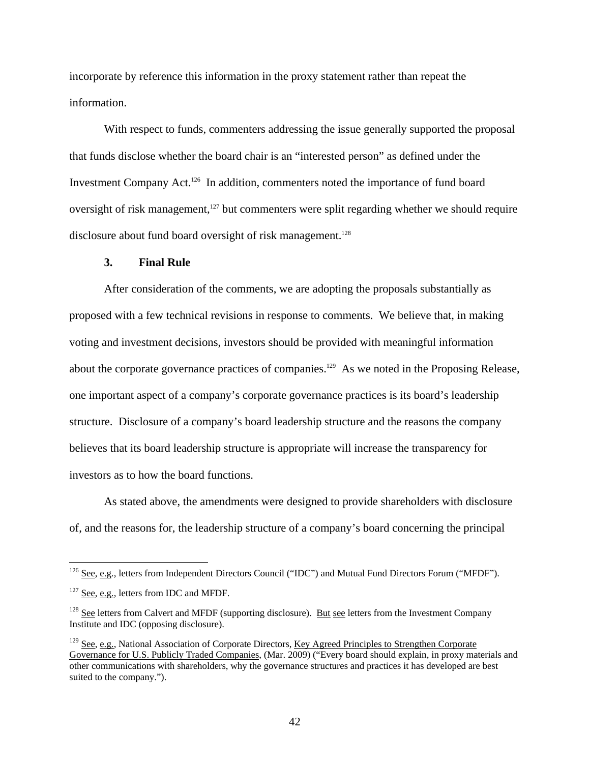incorporate by reference this information in the proxy statement rather than repeat the information.

With respect to funds, commenters addressing the issue generally supported the proposal that funds disclose whether the board chair is an "interested person" as defined under the Investment Company Act.126 In addition, commenters noted the importance of fund board oversight of risk management,<sup>127</sup> but commenters were split regarding whether we should require disclosure about fund board oversight of risk management.<sup>128</sup>

#### **3. Final Rule**

After consideration of the comments, we are adopting the proposals substantially as proposed with a few technical revisions in response to comments. We believe that, in making voting and investment decisions, investors should be provided with meaningful information about the corporate governance practices of companies.<sup>129</sup> As we noted in the Proposing Release, one important aspect of a company's corporate governance practices is its board's leadership structure. Disclosure of a company's board leadership structure and the reasons the company believes that its board leadership structure is appropriate will increase the transparency for investors as to how the board functions.

As stated above, the amendments were designed to provide shareholders with disclosure of, and the reasons for, the leadership structure of a company's board concerning the principal

 $126$  See, e.g., letters from Independent Directors Council ("IDC") and Mutual Fund Directors Forum ("MFDF").

<sup>&</sup>lt;sup>127</sup> See, e.g., letters from IDC and MFDF.

 $128$  See letters from Calvert and MFDF (supporting disclosure). But see letters from the Investment Company Institute and IDC (opposing disclosure).

Governance for U.S. Publicly Traded Companies, (Mar. 2009) ("Every board should explain, in proxy materials and other communications with shareholders, why the governance structures and practices it has developed are best <sup>129</sup> See, e.g., National Association of Corporate Directors, Key Agreed Principles to Strengthen Corporate suited to the company.").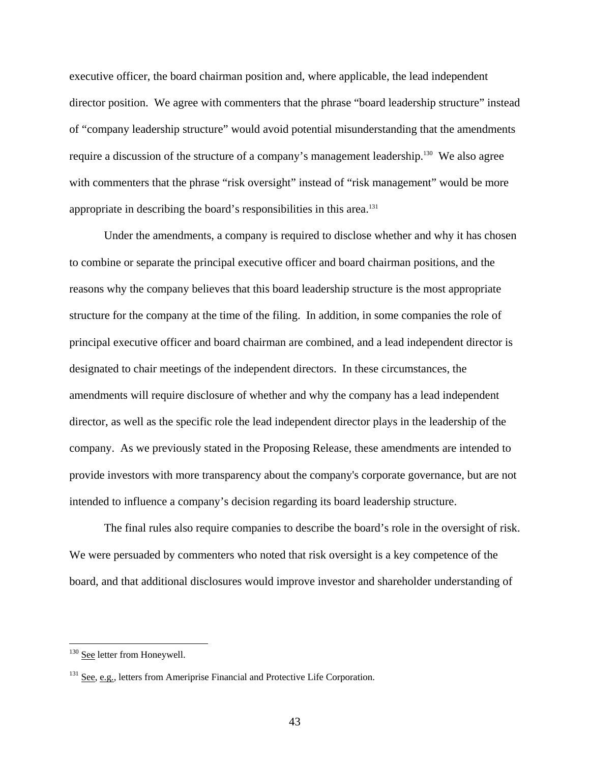executive officer, the board chairman position and, where applicable, the lead independent director position. We agree with commenters that the phrase "board leadership structure" instead of "company leadership structure" would avoid potential misunderstanding that the amendments require a discussion of the structure of a company's management leadership.<sup>130</sup> We also agree with commenters that the phrase "risk oversight" instead of "risk management" would be more appropriate in describing the board's responsibilities in this area.<sup>131</sup>

Under the amendments, a company is required to disclose whether and why it has chosen to combine or separate the principal executive officer and board chairman positions, and the reasons why the company believes that this board leadership structure is the most appropriate structure for the company at the time of the filing. In addition, in some companies the role of principal executive officer and board chairman are combined, and a lead independent director is designated to chair meetings of the independent directors. In these circumstances, the amendments will require disclosure of whether and why the company has a lead independent director, as well as the specific role the lead independent director plays in the leadership of the company. As we previously stated in the Proposing Release, these amendments are intended to provide investors with more transparency about the company's corporate governance, but are not intended to influence a company's decision regarding its board leadership structure.

The final rules also require companies to describe the board's role in the oversight of risk. We were persuaded by commenters who noted that risk oversight is a key competence of the board, and that additional disclosures would improve investor and shareholder understanding of

<u>.</u>

<sup>&</sup>lt;sup>130</sup> See letter from Honeywell.

 $131$  See, e.g., letters from Ameriprise Financial and Protective Life Corporation.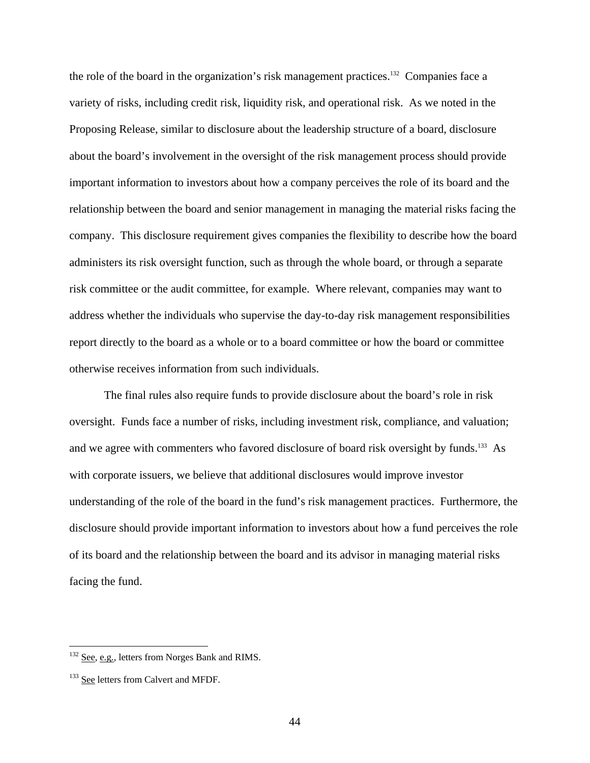the role of the board in the organization's risk management practices.132 Companies face a variety of risks, including credit risk, liquidity risk, and operational risk. As we noted in the Proposing Release, similar to disclosure about the leadership structure of a board, disclosure about the board's involvement in the oversight of the risk management process should provide important information to investors about how a company perceives the role of its board and the relationship between the board and senior management in managing the material risks facing the company. This disclosure requirement gives companies the flexibility to describe how the board administers its risk oversight function, such as through the whole board, or through a separate risk committee or the audit committee, for example. Where relevant, companies may want to address whether the individuals who supervise the day-to-day risk management responsibilities report directly to the board as a whole or to a board committee or how the board or committee otherwise receives information from such individuals.

The final rules also require funds to provide disclosure about the board's role in risk oversight. Funds face a number of risks, including investment risk, compliance, and valuation; and we agree with commenters who favored disclosure of board risk oversight by funds.<sup>133</sup> As with corporate issuers, we believe that additional disclosures would improve investor understanding of the role of the board in the fund's risk management practices. Furthermore, the disclosure should provide important information to investors about how a fund perceives the role of its board and the relationship between the board and its advisor in managing material risks facing the fund.

 $132$  See, e.g., letters from Norges Bank and RIMS.

<sup>&</sup>lt;sup>133</sup> See letters from Calvert and MFDF.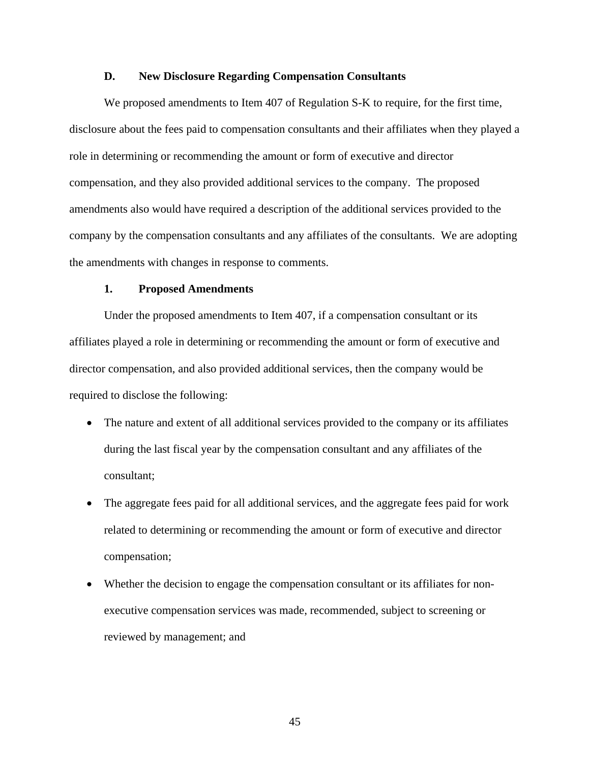#### **D. New Disclosure Regarding Compensation Consultants**

We proposed amendments to Item 407 of Regulation S-K to require, for the first time, disclosure about the fees paid to compensation consultants and their affiliates when they played a role in determining or recommending the amount or form of executive and director compensation, and they also provided additional services to the company. The proposed amendments also would have required a description of the additional services provided to the company by the compensation consultants and any affiliates of the consultants. We are adopting the amendments with changes in response to comments.

### **1. Proposed Amendments**

Under the proposed amendments to Item 407, if a compensation consultant or its affiliates played a role in determining or recommending the amount or form of executive and director compensation, and also provided additional services, then the company would be required to disclose the following:

- The nature and extent of all additional services provided to the company or its affiliates during the last fiscal year by the compensation consultant and any affiliates of the consultant;
- The aggregate fees paid for all additional services, and the aggregate fees paid for work related to determining or recommending the amount or form of executive and director compensation;
- Whether the decision to engage the compensation consultant or its affiliates for nonexecutive compensation services was made, recommended, subject to screening or reviewed by management; and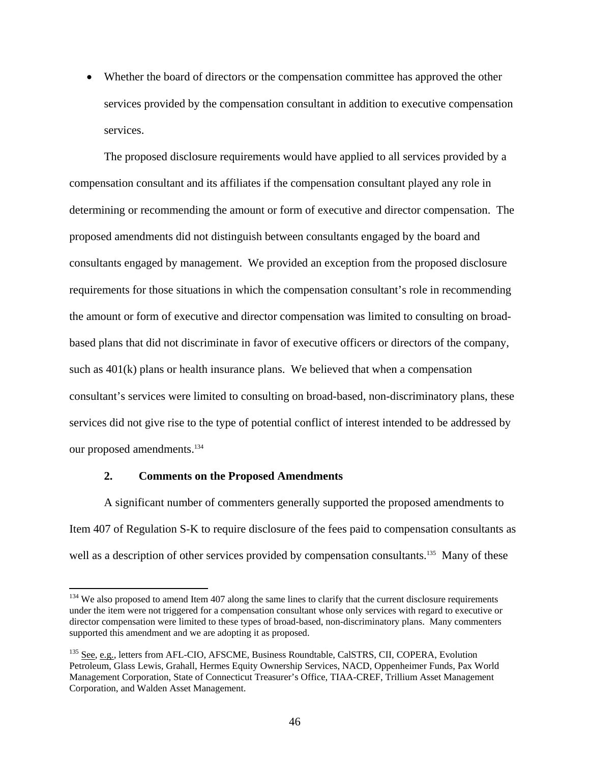• Whether the board of directors or the compensation committee has approved the other services provided by the compensation consultant in addition to executive compensation services.

The proposed disclosure requirements would have applied to all services provided by a compensation consultant and its affiliates if the compensation consultant played any role in determining or recommending the amount or form of executive and director compensation. The proposed amendments did not distinguish between consultants engaged by the board and consultants engaged by management. We provided an exception from the proposed disclosure requirements for those situations in which the compensation consultant's role in recommending the amount or form of executive and director compensation was limited to consulting on broadbased plans that did not discriminate in favor of executive officers or directors of the company, such as 401(k) plans or health insurance plans. We believed that when a compensation consultant's services were limited to consulting on broad-based, non-discriminatory plans, these services did not give rise to the type of potential conflict of interest intended to be addressed by our proposed amendments.<sup>134</sup>

### **2. Comments on the Proposed Amendments**

1

A significant number of commenters generally supported the proposed amendments to Item 407 of Regulation S-K to require disclosure of the fees paid to compensation consultants as well as a description of other services provided by compensation consultants.<sup>135</sup> Many of these

<sup>&</sup>lt;sup>134</sup> We also proposed to amend Item 407 along the same lines to clarify that the current disclosure requirements under the item were not triggered for a compensation consultant whose only services with regard to executive or director compensation were limited to these types of broad-based, non-discriminatory plans. Many commenters supported this amendment and we are adopting it as proposed.

<sup>&</sup>lt;sup>135</sup> See, e.g., letters from AFL-CIO, AFSCME, Business Roundtable, CalSTRS, CII, COPERA, Evolution Petroleum, Glass Lewis, Grahall, Hermes Equity Ownership Services, NACD, Oppenheimer Funds, Pax World Management Corporation, State of Connecticut Treasurer's Office, TIAA-CREF, Trillium Asset Management Corporation, and Walden Asset Management.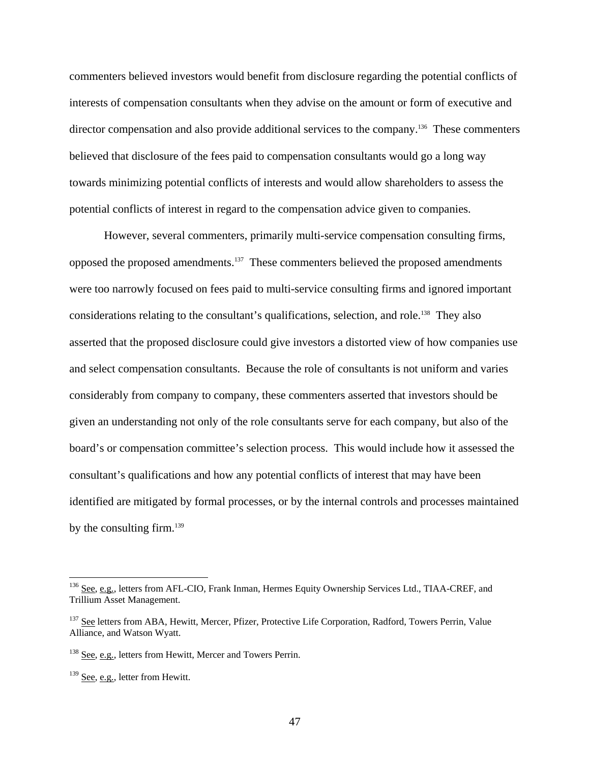commenters believed investors would benefit from disclosure regarding the potential conflicts of interests of compensation consultants when they advise on the amount or form of executive and director compensation and also provide additional services to the company.<sup>136</sup> These commenters believed that disclosure of the fees paid to compensation consultants would go a long way towards minimizing potential conflicts of interests and would allow shareholders to assess the potential conflicts of interest in regard to the compensation advice given to companies.

However, several commenters, primarily multi-service compensation consulting firms, opposed the proposed amendments.137 These commenters believed the proposed amendments were too narrowly focused on fees paid to multi-service consulting firms and ignored important considerations relating to the consultant's qualifications, selection, and role.<sup>138</sup> They also asserted that the proposed disclosure could give investors a distorted view of how companies use and select compensation consultants. Because the role of consultants is not uniform and varies considerably from company to company, these commenters asserted that investors should be given an understanding not only of the role consultants serve for each company, but also of the board's or compensation committee's selection process. This would include how it assessed the consultant's qualifications and how any potential conflicts of interest that may have been identified are mitigated by formal processes, or by the internal controls and processes maintained by the consulting firm.<sup>139</sup>

<sup>&</sup>lt;sup>136</sup> See, e.g., letters from AFL-CIO, Frank Inman, Hermes Equity Ownership Services Ltd., TIAA-CREF, and Trillium Asset Management.

<sup>&</sup>lt;sup>137</sup> See letters from ABA, Hewitt, Mercer, Pfizer, Protective Life Corporation, Radford, Towers Perrin, Value Alliance, and Watson Wyatt.

<sup>&</sup>lt;sup>138</sup> See, e.g., letters from Hewitt, Mercer and Towers Perrin.

 $139$  See, e.g., letter from Hewitt.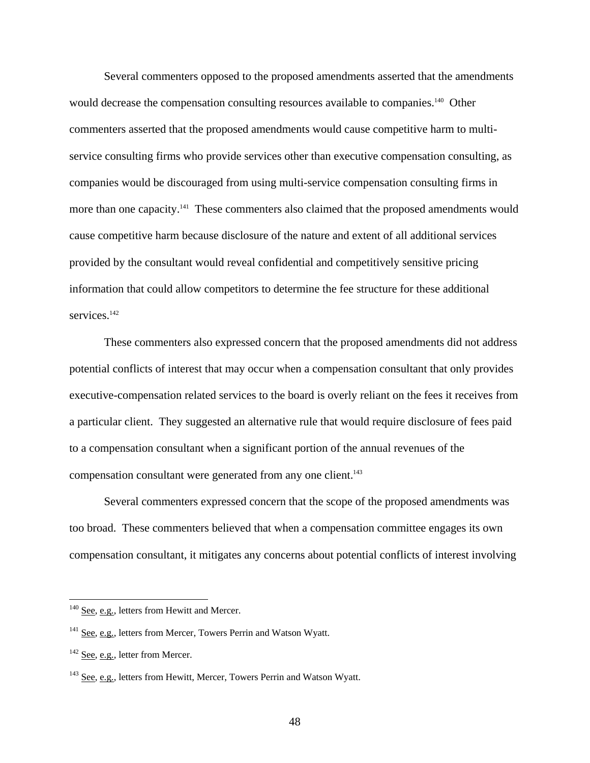services.<sup>142</sup> Several commenters opposed to the proposed amendments asserted that the amendments would decrease the compensation consulting resources available to companies.<sup>140</sup> Other commenters asserted that the proposed amendments would cause competitive harm to multiservice consulting firms who provide services other than executive compensation consulting, as companies would be discouraged from using multi-service compensation consulting firms in more than one capacity.<sup>141</sup> These commenters also claimed that the proposed amendments would cause competitive harm because disclosure of the nature and extent of all additional services provided by the consultant would reveal confidential and competitively sensitive pricing information that could allow competitors to determine the fee structure for these additional

These commenters also expressed concern that the proposed amendments did not address potential conflicts of interest that may occur when a compensation consultant that only provides executive-compensation related services to the board is overly reliant on the fees it receives from a particular client. They suggested an alternative rule that would require disclosure of fees paid to a compensation consultant when a significant portion of the annual revenues of the compensation consultant were generated from any one client.<sup>143</sup>

Several commenters expressed concern that the scope of the proposed amendments was too broad. These commenters believed that when a compensation committee engages its own compensation consultant, it mitigates any concerns about potential conflicts of interest involving

 $140$  See, e.g., letters from Hewitt and Mercer.

<sup>&</sup>lt;sup>141</sup> See, e.g., letters from Mercer, Towers Perrin and Watson Wyatt.

<sup>&</sup>lt;sup>142</sup> See, e.g., letter from Mercer.

<sup>&</sup>lt;sup>143</sup> See, e.g., letters from Hewitt, Mercer, Towers Perrin and Watson Wyatt.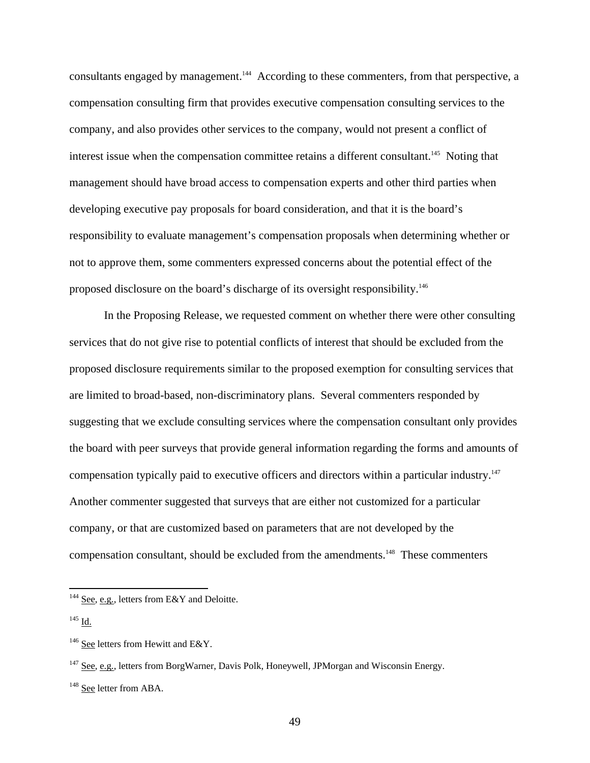consultants engaged by management.<sup>144</sup> According to these commenters, from that perspective, a compensation consulting firm that provides executive compensation consulting services to the company, and also provides other services to the company, would not present a conflict of interest issue when the compensation committee retains a different consultant.<sup>145</sup> Noting that management should have broad access to compensation experts and other third parties when developing executive pay proposals for board consideration, and that it is the board's responsibility to evaluate management's compensation proposals when determining whether or not to approve them, some commenters expressed concerns about the potential effect of the proposed disclosure on the board's discharge of its oversight responsibility.<sup>146</sup>

compensation typically paid to executive officers and directors within a particular industry.<sup>147</sup> In the Proposing Release, we requested comment on whether there were other consulting services that do not give rise to potential conflicts of interest that should be excluded from the proposed disclosure requirements similar to the proposed exemption for consulting services that are limited to broad-based, non-discriminatory plans. Several commenters responded by suggesting that we exclude consulting services where the compensation consultant only provides the board with peer surveys that provide general information regarding the forms and amounts of Another commenter suggested that surveys that are either not customized for a particular company, or that are customized based on parameters that are not developed by the compensation consultant, should be excluded from the amendments.148 These commenters

 $144$  See, e.g., letters from E&Y and Deloitte.

 $^{145}$  Id.

 $146$  See letters from Hewitt and E&Y.

 $147$  See, e.g., letters from BorgWarner, Davis Polk, Honeywell, JPMorgan and Wisconsin Energy.

<sup>&</sup>lt;sup>148</sup> See letter from ABA.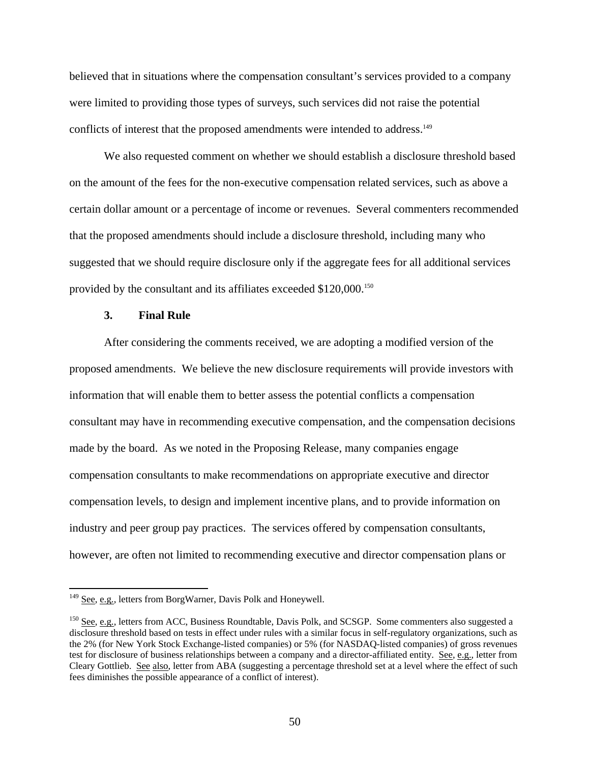conflicts of interest that the proposed amendments were intended to address.<sup>149</sup> believed that in situations where the compensation consultant's services provided to a company were limited to providing those types of surveys, such services did not raise the potential

provided by the consultant and its affiliates exceeded \$120,000.<sup>150</sup> We also requested comment on whether we should establish a disclosure threshold based on the amount of the fees for the non-executive compensation related services, such as above a certain dollar amount or a percentage of income or revenues. Several commenters recommended that the proposed amendments should include a disclosure threshold, including many who suggested that we should require disclosure only if the aggregate fees for all additional services

### **3. Final Rule**

After considering the comments received, we are adopting a modified version of the proposed amendments. We believe the new disclosure requirements will provide investors with information that will enable them to better assess the potential conflicts a compensation consultant may have in recommending executive compensation, and the compensation decisions made by the board. As we noted in the Proposing Release, many companies engage compensation consultants to make recommendations on appropriate executive and director compensation levels, to design and implement incentive plans, and to provide information on industry and peer group pay practices. The services offered by compensation consultants, however, are often not limited to recommending executive and director compensation plans or

<sup>149</sup> See, e.g., letters from BorgWarner, Davis Polk and Honeywell.

Cleary Gottlieb. See also, letter from ABA (suggesting a percentage threshold set at a level where the effect of such <sup>150</sup> See, e.g., letters from ACC, Business Roundtable, Davis Polk, and SCSGP. Some commenters also suggested a disclosure threshold based on tests in effect under rules with a similar focus in self-regulatory organizations, such as the 2% (for New York Stock Exchange-listed companies) or 5% (for NASDAQ-listed companies) of gross revenues test for disclosure of business relationships between a company and a director-affiliated entity. See, e.g., letter from fees diminishes the possible appearance of a conflict of interest).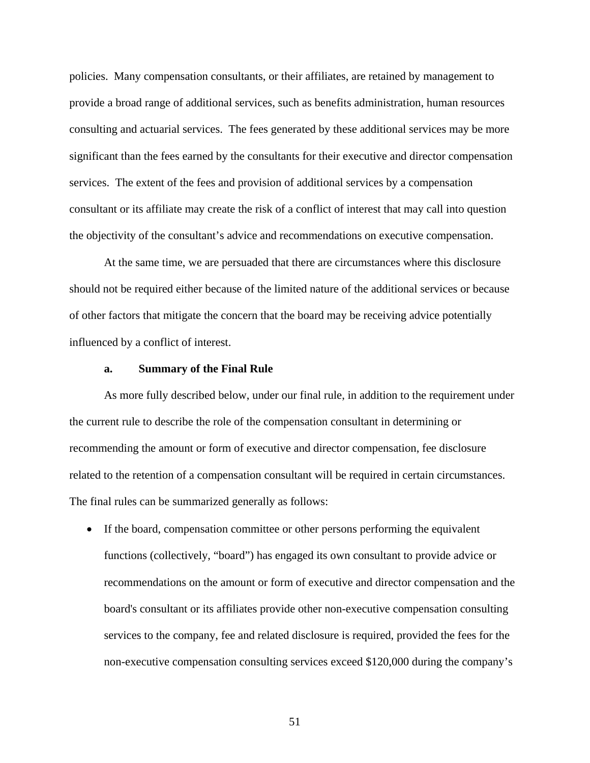policies. Many compensation consultants, or their affiliates, are retained by management to provide a broad range of additional services, such as benefits administration, human resources consulting and actuarial services. The fees generated by these additional services may be more significant than the fees earned by the consultants for their executive and director compensation services. The extent of the fees and provision of additional services by a compensation consultant or its affiliate may create the risk of a conflict of interest that may call into question the objectivity of the consultant's advice and recommendations on executive compensation.

At the same time, we are persuaded that there are circumstances where this disclosure should not be required either because of the limited nature of the additional services or because of other factors that mitigate the concern that the board may be receiving advice potentially influenced by a conflict of interest.

#### **a. Summary of the Final Rule**

As more fully described below, under our final rule, in addition to the requirement under the current rule to describe the role of the compensation consultant in determining or recommending the amount or form of executive and director compensation, fee disclosure related to the retention of a compensation consultant will be required in certain circumstances. The final rules can be summarized generally as follows:

• If the board, compensation committee or other persons performing the equivalent functions (collectively, "board") has engaged its own consultant to provide advice or recommendations on the amount or form of executive and director compensation and the board's consultant or its affiliates provide other non-executive compensation consulting services to the company, fee and related disclosure is required, provided the fees for the non-executive compensation consulting services exceed \$120,000 during the company's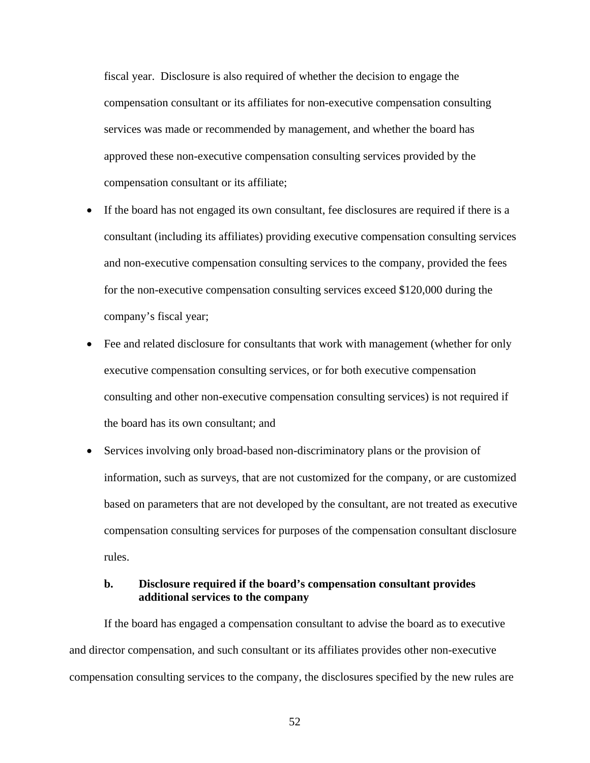fiscal year. Disclosure is also required of whether the decision to engage the compensation consultant or its affiliates for non-executive compensation consulting services was made or recommended by management, and whether the board has approved these non-executive compensation consulting services provided by the compensation consultant or its affiliate;

- If the board has not engaged its own consultant, fee disclosures are required if there is a consultant (including its affiliates) providing executive compensation consulting services and non-executive compensation consulting services to the company, provided the fees for the non-executive compensation consulting services exceed \$120,000 during the company's fiscal year;
- Fee and related disclosure for consultants that work with management (whether for only executive compensation consulting services, or for both executive compensation consulting and other non-executive compensation consulting services) is not required if the board has its own consultant; and
- Services involving only broad-based non-discriminatory plans or the provision of information, such as surveys, that are not customized for the company, or are customized based on parameters that are not developed by the consultant, are not treated as executive compensation consulting services for purposes of the compensation consultant disclosure rules.

# **b. Disclosure required if the board's compensation consultant provides additional services to the company**

If the board has engaged a compensation consultant to advise the board as to executive and director compensation, and such consultant or its affiliates provides other non-executive compensation consulting services to the company, the disclosures specified by the new rules are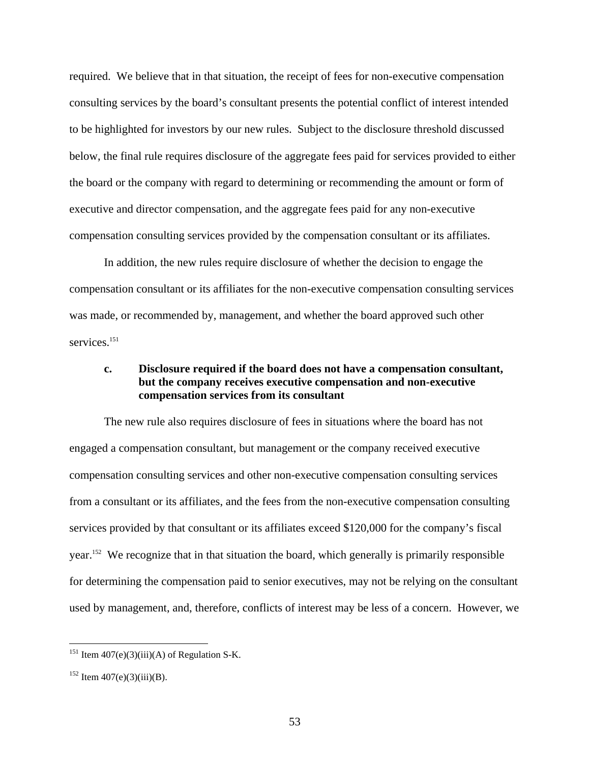required. We believe that in that situation, the receipt of fees for non-executive compensation consulting services by the board's consultant presents the potential conflict of interest intended to be highlighted for investors by our new rules. Subject to the disclosure threshold discussed below, the final rule requires disclosure of the aggregate fees paid for services provided to either the board or the company with regard to determining or recommending the amount or form of executive and director compensation, and the aggregate fees paid for any non-executive compensation consulting services provided by the compensation consultant or its affiliates.

In addition, the new rules require disclosure of whether the decision to engage the compensation consultant or its affiliates for the non-executive compensation consulting services was made, or recommended by, management, and whether the board approved such other services.<sup>151</sup>

## **c. Disclosure required if the board does not have a compensation consultant, but the company receives executive compensation and non-executive compensation services from its consultant**

The new rule also requires disclosure of fees in situations where the board has not engaged a compensation consultant, but management or the company received executive compensation consulting services and other non-executive compensation consulting services from a consultant or its affiliates, and the fees from the non-executive compensation consulting services provided by that consultant or its affiliates exceed \$120,000 for the company's fiscal year.152 We recognize that in that situation the board, which generally is primarily responsible for determining the compensation paid to senior executives, may not be relying on the consultant used by management, and, therefore, conflicts of interest may be less of a concern. However, we

<u>.</u>

<sup>&</sup>lt;sup>151</sup> Item  $407(e)(3)(iii)(A)$  of Regulation S-K.

 $152$  Item  $407(e)(3)(iii)(B)$ .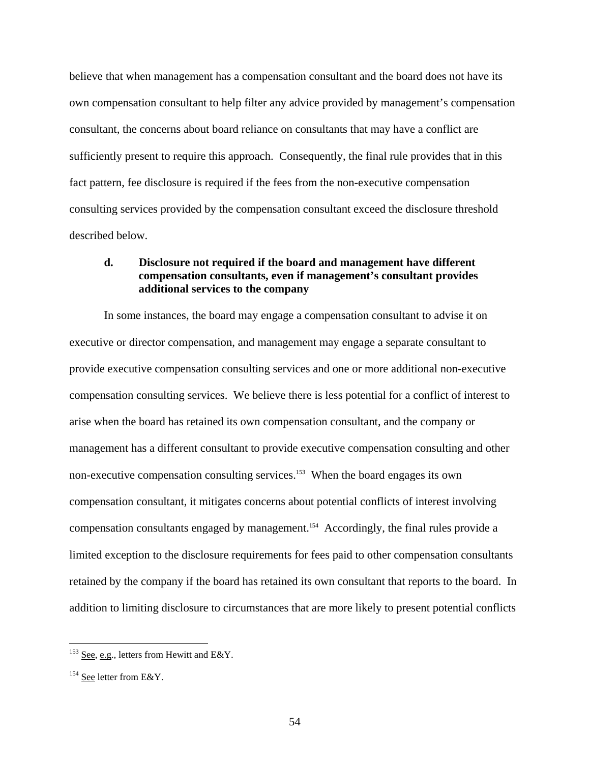believe that when management has a compensation consultant and the board does not have its own compensation consultant to help filter any advice provided by management's compensation consultant, the concerns about board reliance on consultants that may have a conflict are sufficiently present to require this approach. Consequently, the final rule provides that in this fact pattern, fee disclosure is required if the fees from the non-executive compensation consulting services provided by the compensation consultant exceed the disclosure threshold described below.

# **d. Disclosure not required if the board and management have different compensation consultants, even if management's consultant provides additional services to the company**

In some instances, the board may engage a compensation consultant to advise it on executive or director compensation, and management may engage a separate consultant to provide executive compensation consulting services and one or more additional non-executive compensation consulting services. We believe there is less potential for a conflict of interest to arise when the board has retained its own compensation consultant, and the company or management has a different consultant to provide executive compensation consulting and other non-executive compensation consulting services.<sup>153</sup> When the board engages its own compensation consultant, it mitigates concerns about potential conflicts of interest involving compensation consultants engaged by management.154 Accordingly, the final rules provide a limited exception to the disclosure requirements for fees paid to other compensation consultants retained by the company if the board has retained its own consultant that reports to the board. In addition to limiting disclosure to circumstances that are more likely to present potential conflicts

<u>.</u>

 $^{153}$  See, e.g., letters from Hewitt and E&Y.

 $154$  See letter from E&Y.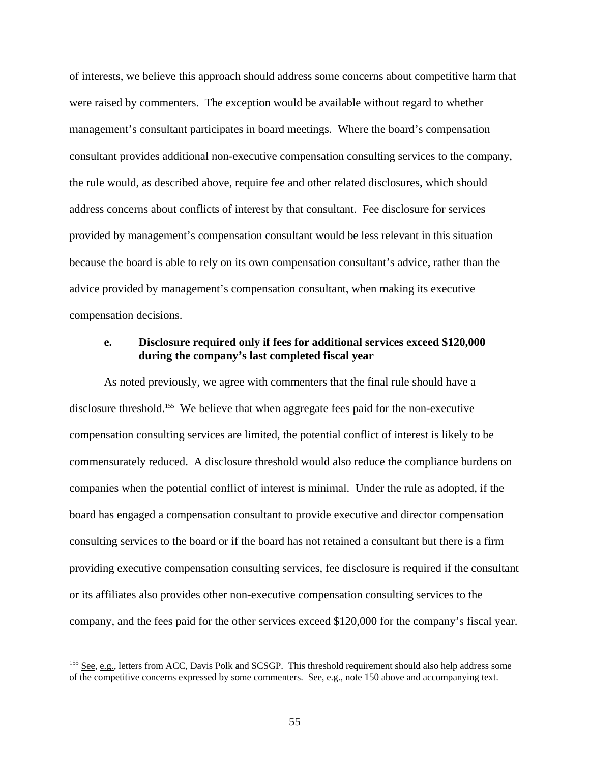of interests, we believe this approach should address some concerns about competitive harm that were raised by commenters. The exception would be available without regard to whether management's consultant participates in board meetings. Where the board's compensation consultant provides additional non-executive compensation consulting services to the company, the rule would, as described above, require fee and other related disclosures, which should address concerns about conflicts of interest by that consultant. Fee disclosure for services provided by management's compensation consultant would be less relevant in this situation because the board is able to rely on its own compensation consultant's advice, rather than the advice provided by management's compensation consultant, when making its executive compensation decisions.

### **e. Disclosure required only if fees for additional services exceed \$120,000 during the company's last completed fiscal year**

As noted previously, we agree with commenters that the final rule should have a disclosure threshold.<sup>155</sup> We believe that when aggregate fees paid for the non-executive compensation consulting services are limited, the potential conflict of interest is likely to be commensurately reduced. A disclosure threshold would also reduce the compliance burdens on companies when the potential conflict of interest is minimal. Under the rule as adopted, if the board has engaged a compensation consultant to provide executive and director compensation consulting services to the board or if the board has not retained a consultant but there is a firm providing executive compensation consulting services, fee disclosure is required if the consultant or its affiliates also provides other non-executive compensation consulting services to the company, and the fees paid for the other services exceed \$120,000 for the company's fiscal year.

<sup>&</sup>lt;sup>155</sup> See, e.g., letters from ACC, Davis Polk and SCSGP. This threshold requirement should also help address some of the competitive concerns expressed by some commenters. See, e.g., note 150 above and accompanying text.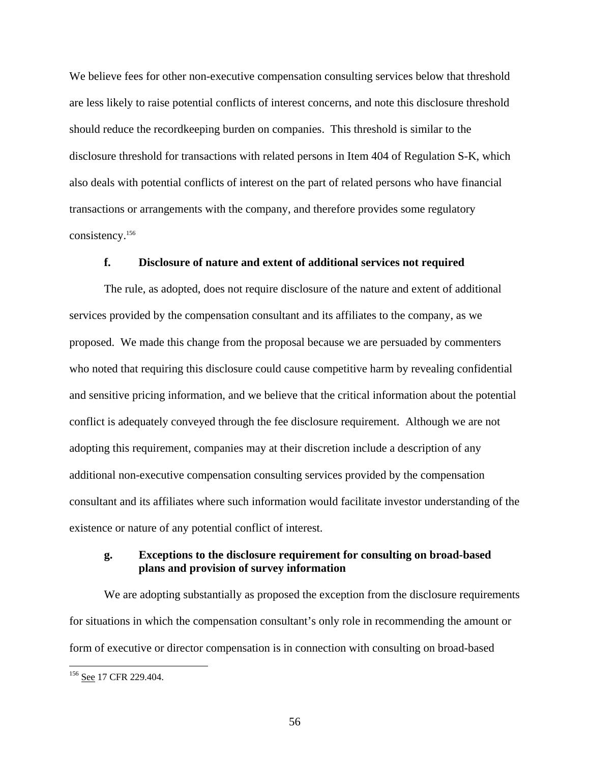consistency.156 We believe fees for other non-executive compensation consulting services below that threshold are less likely to raise potential conflicts of interest concerns, and note this disclosure threshold should reduce the recordkeeping burden on companies. This threshold is similar to the disclosure threshold for transactions with related persons in Item 404 of Regulation S-K, which also deals with potential conflicts of interest on the part of related persons who have financial transactions or arrangements with the company, and therefore provides some regulatory

## **f. Disclosure of nature and extent of additional services not required**

The rule, as adopted, does not require disclosure of the nature and extent of additional services provided by the compensation consultant and its affiliates to the company, as we proposed. We made this change from the proposal because we are persuaded by commenters who noted that requiring this disclosure could cause competitive harm by revealing confidential and sensitive pricing information, and we believe that the critical information about the potential conflict is adequately conveyed through the fee disclosure requirement. Although we are not adopting this requirement, companies may at their discretion include a description of any additional non-executive compensation consulting services provided by the compensation consultant and its affiliates where such information would facilitate investor understanding of the existence or nature of any potential conflict of interest.

# **g. Exceptions to the disclosure requirement for consulting on broad-based plans and provision of survey information**

We are adopting substantially as proposed the exception from the disclosure requirements for situations in which the compensation consultant's only role in recommending the amount or form of executive or director compensation is in connection with consulting on broad-based

<sup>&</sup>lt;sup>156</sup> See 17 CFR 229.404.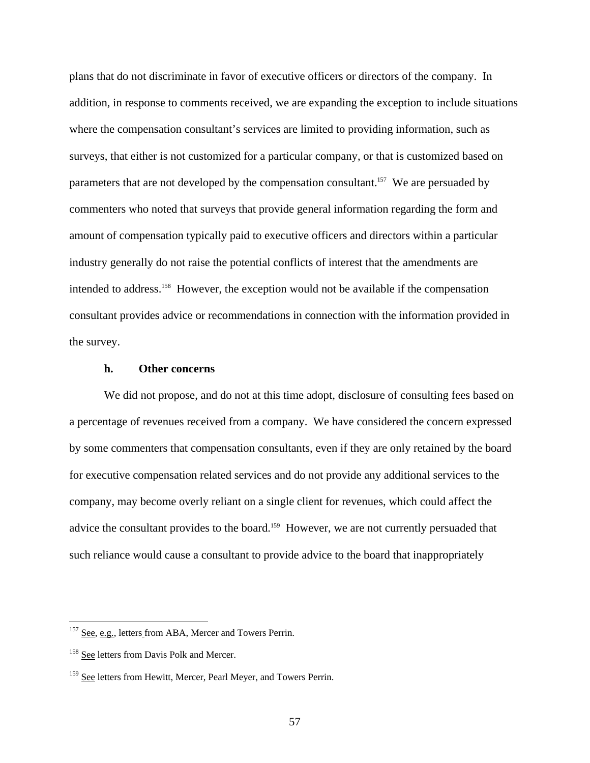plans that do not discriminate in favor of executive officers or directors of the company. In addition, in response to comments received, we are expanding the exception to include situations where the compensation consultant's services are limited to providing information, such as surveys, that either is not customized for a particular company, or that is customized based on parameters that are not developed by the compensation consultant.<sup>157</sup> We are persuaded by commenters who noted that surveys that provide general information regarding the form and amount of compensation typically paid to executive officers and directors within a particular industry generally do not raise the potential conflicts of interest that the amendments are intended to address.158 However, the exception would not be available if the compensation consultant provides advice or recommendations in connection with the information provided in the survey.

### **h. Other concerns**

We did not propose, and do not at this time adopt, disclosure of consulting fees based on a percentage of revenues received from a company. We have considered the concern expressed by some commenters that compensation consultants, even if they are only retained by the board for executive compensation related services and do not provide any additional services to the company, may become overly reliant on a single client for revenues, which could affect the advice the consultant provides to the board.<sup>159</sup> However, we are not currently persuaded that such reliance would cause a consultant to provide advice to the board that inappropriately

 $157$  See, e.g., letters from ABA, Mercer and Towers Perrin.

<sup>&</sup>lt;sup>158</sup> See letters from Davis Polk and Mercer.

<sup>&</sup>lt;sup>159</sup> See letters from Hewitt, Mercer, Pearl Meyer, and Towers Perrin.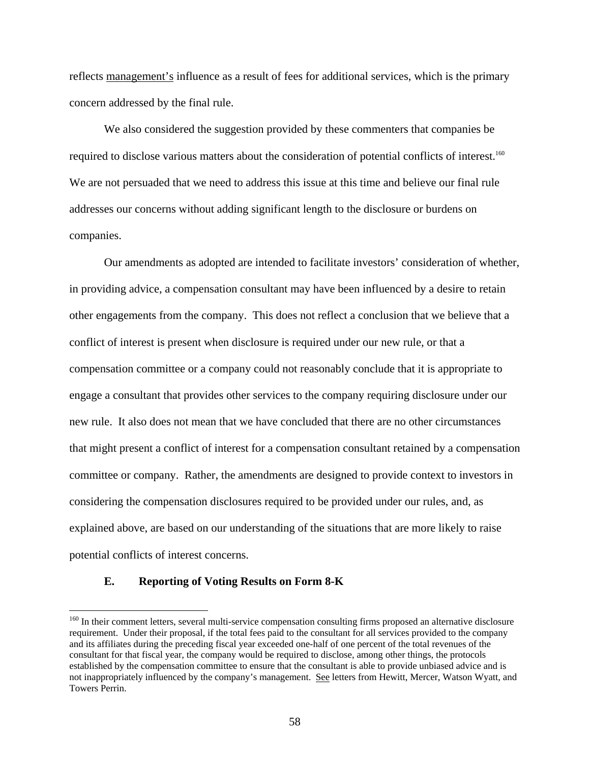reflects management's influence as a result of fees for additional services, which is the primary concern addressed by the final rule.

required to disclose various matters about the consideration of potential conflicts of interest.<sup>160</sup> We also considered the suggestion provided by these commenters that companies be We are not persuaded that we need to address this issue at this time and believe our final rule addresses our concerns without adding significant length to the disclosure or burdens on companies.

Our amendments as adopted are intended to facilitate investors' consideration of whether, in providing advice, a compensation consultant may have been influenced by a desire to retain other engagements from the company. This does not reflect a conclusion that we believe that a conflict of interest is present when disclosure is required under our new rule, or that a compensation committee or a company could not reasonably conclude that it is appropriate to engage a consultant that provides other services to the company requiring disclosure under our new rule. It also does not mean that we have concluded that there are no other circumstances that might present a conflict of interest for a compensation consultant retained by a compensation committee or company. Rather, the amendments are designed to provide context to investors in considering the compensation disclosures required to be provided under our rules, and, as explained above, are based on our understanding of the situations that are more likely to raise potential conflicts of interest concerns.

### **E. Reporting of Voting Results on Form 8-K**

 $\overline{a}$ 

not inappropriately influenced by the company's management. See letters from Hewitt, Mercer, Watson Wyatt, and <sup>160</sup> In their comment letters, several multi-service compensation consulting firms proposed an alternative disclosure requirement. Under their proposal, if the total fees paid to the consultant for all services provided to the company and its affiliates during the preceding fiscal year exceeded one-half of one percent of the total revenues of the consultant for that fiscal year, the company would be required to disclose, among other things, the protocols established by the compensation committee to ensure that the consultant is able to provide unbiased advice and is Towers Perrin.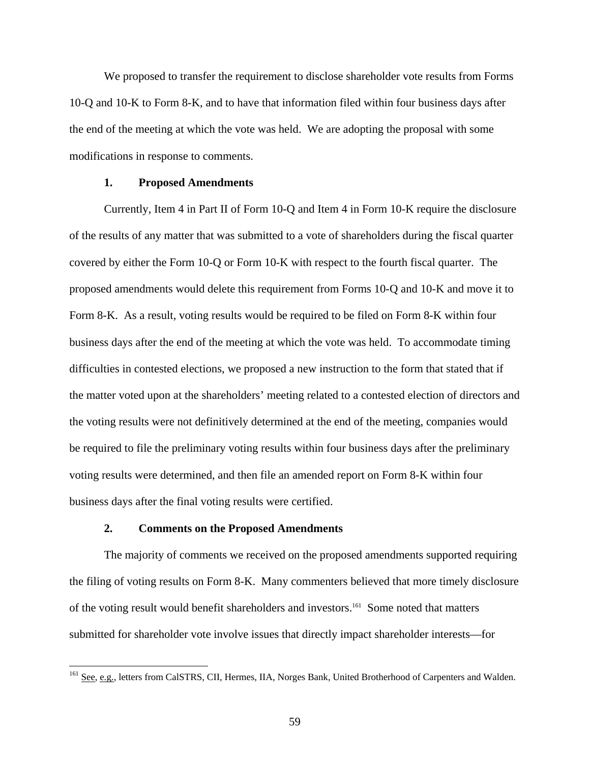We proposed to transfer the requirement to disclose shareholder vote results from Forms 10-Q and 10-K to Form 8-K, and to have that information filed within four business days after the end of the meeting at which the vote was held. We are adopting the proposal with some modifications in response to comments.

### **1. Proposed Amendments**

Currently, Item 4 in Part II of Form 10-Q and Item 4 in Form 10-K require the disclosure of the results of any matter that was submitted to a vote of shareholders during the fiscal quarter covered by either the Form 10-Q or Form 10-K with respect to the fourth fiscal quarter. The proposed amendments would delete this requirement from Forms 10-Q and 10-K and move it to Form 8-K. As a result, voting results would be required to be filed on Form 8-K within four business days after the end of the meeting at which the vote was held. To accommodate timing difficulties in contested elections, we proposed a new instruction to the form that stated that if the matter voted upon at the shareholders' meeting related to a contested election of directors and the voting results were not definitively determined at the end of the meeting, companies would be required to file the preliminary voting results within four business days after the preliminary voting results were determined, and then file an amended report on Form 8-K within four business days after the final voting results were certified.

### **2. Comments on the Proposed Amendments**

1

The majority of comments we received on the proposed amendments supported requiring the filing of voting results on Form 8-K. Many commenters believed that more timely disclosure of the voting result would benefit shareholders and investors.161 Some noted that matters submitted for shareholder vote involve issues that directly impact shareholder interests—for

<sup>&</sup>lt;sup>161</sup> See, e.g., letters from CalSTRS, CII, Hermes, IIA, Norges Bank, United Brotherhood of Carpenters and Walden.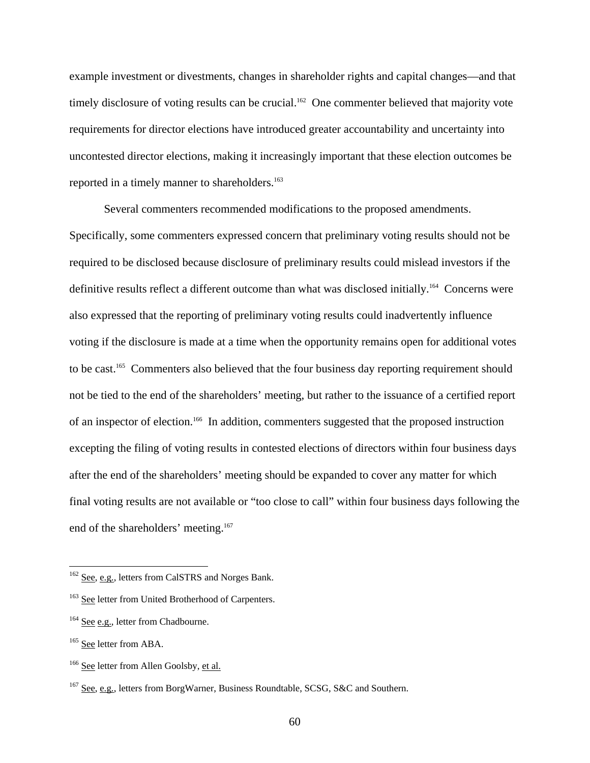example investment or divestments, changes in shareholder rights and capital changes—and that timely disclosure of voting results can be crucial.<sup>162</sup> One commenter believed that majority vote requirements for director elections have introduced greater accountability and uncertainty into uncontested director elections, making it increasingly important that these election outcomes be reported in a timely manner to shareholders.<sup>163</sup>

 Several commenters recommended modifications to the proposed amendments. Specifically, some commenters expressed concern that preliminary voting results should not be required to be disclosed because disclosure of preliminary results could mislead investors if the definitive results reflect a different outcome than what was disclosed initially.<sup>164</sup> Concerns were also expressed that the reporting of preliminary voting results could inadvertently influence voting if the disclosure is made at a time when the opportunity remains open for additional votes to be cast.<sup>165</sup> Commenters also believed that the four business day reporting requirement should not be tied to the end of the shareholders' meeting, but rather to the issuance of a certified report of an inspector of election.166 In addition, commenters suggested that the proposed instruction excepting the filing of voting results in contested elections of directors within four business days after the end of the shareholders' meeting should be expanded to cover any matter for which final voting results are not available or "too close to call" within four business days following the end of the shareholders' meeting.<sup>167</sup>

<sup>&</sup>lt;sup>162</sup> See, e.g., letters from CalSTRS and Norges Bank.

<sup>&</sup>lt;sup>163</sup> See letter from United Brotherhood of Carpenters.

<sup>&</sup>lt;sup>164</sup> See e.g., letter from Chadbourne.

<sup>&</sup>lt;sup>165</sup> See letter from ABA.

<sup>&</sup>lt;sup>166</sup> See letter from Allen Goolsby, et al.

<sup>&</sup>lt;sup>167</sup> See, e.g., letters from BorgWarner, Business Roundtable, SCSG, S&C and Southern.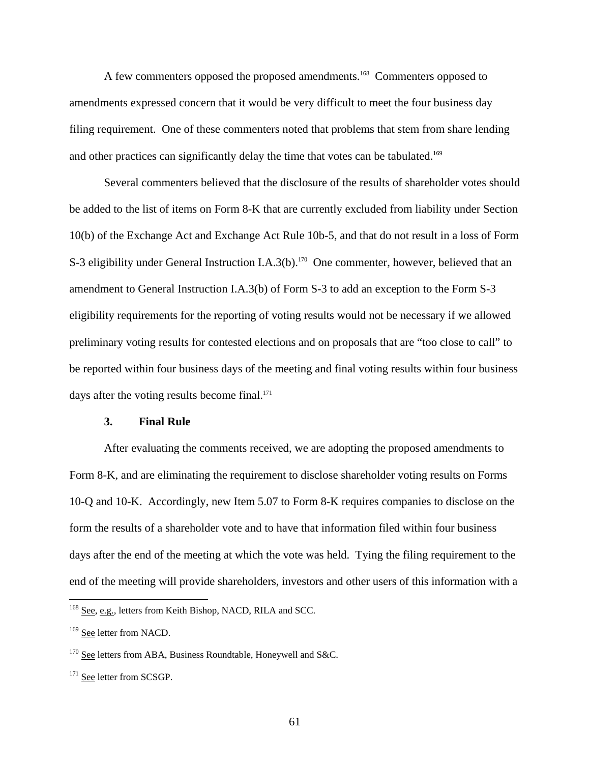A few commenters opposed the proposed amendments.<sup>168</sup> Commenters opposed to amendments expressed concern that it would be very difficult to meet the four business day filing requirement. One of these commenters noted that problems that stem from share lending and other practices can significantly delay the time that votes can be tabulated.<sup>169</sup>

days after the voting results become final.<sup>171</sup> Several commenters believed that the disclosure of the results of shareholder votes should be added to the list of items on Form 8-K that are currently excluded from liability under Section 10(b) of the Exchange Act and Exchange Act Rule 10b-5, and that do not result in a loss of Form S-3 eligibility under General Instruction I.A.3(b).<sup>170</sup> One commenter, however, believed that an amendment to General Instruction I.A.3(b) of Form S-3 to add an exception to the Form S-3 eligibility requirements for the reporting of voting results would not be necessary if we allowed preliminary voting results for contested elections and on proposals that are "too close to call" to be reported within four business days of the meeting and final voting results within four business

### **3. Final Rule**

After evaluating the comments received, we are adopting the proposed amendments to Form 8-K, and are eliminating the requirement to disclose shareholder voting results on Forms 10-Q and 10-K. Accordingly, new Item 5.07 to Form 8-K requires companies to disclose on the form the results of a shareholder vote and to have that information filed within four business days after the end of the meeting at which the vote was held. Tying the filing requirement to the end of the meeting will provide shareholders, investors and other users of this information with a

<sup>&</sup>lt;sup>168</sup> See, e.g., letters from Keith Bishop, NACD, RILA and SCC.

<sup>&</sup>lt;sup>169</sup> See letter from NACD.

<sup>&</sup>lt;sup>170</sup> See letters from ABA, Business Roundtable, Honeywell and S&C.

<sup>&</sup>lt;sup>171</sup> See letter from SCSGP.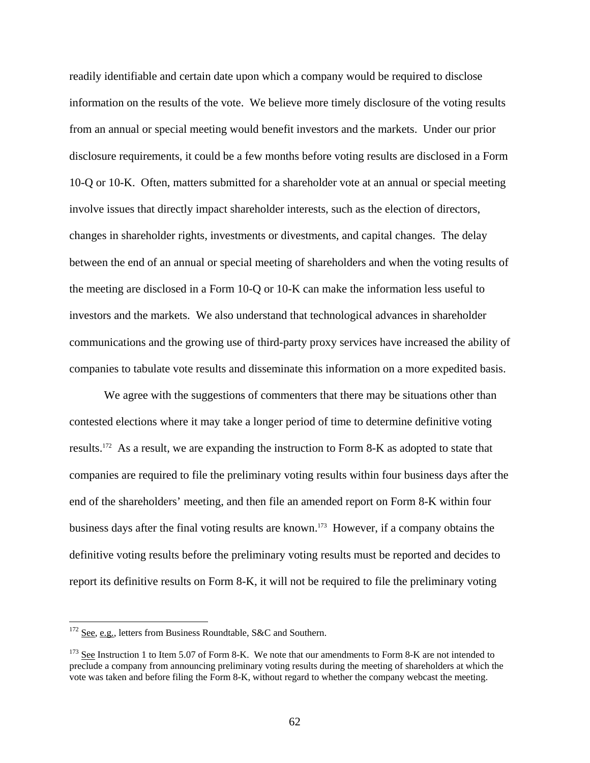readily identifiable and certain date upon which a company would be required to disclose information on the results of the vote. We believe more timely disclosure of the voting results from an annual or special meeting would benefit investors and the markets. Under our prior disclosure requirements, it could be a few months before voting results are disclosed in a Form 10-Q or 10-K. Often, matters submitted for a shareholder vote at an annual or special meeting involve issues that directly impact shareholder interests, such as the election of directors, changes in shareholder rights, investments or divestments, and capital changes. The delay between the end of an annual or special meeting of shareholders and when the voting results of the meeting are disclosed in a Form 10-Q or 10-K can make the information less useful to investors and the markets. We also understand that technological advances in shareholder communications and the growing use of third-party proxy services have increased the ability of companies to tabulate vote results and disseminate this information on a more expedited basis.

We agree with the suggestions of commenters that there may be situations other than contested elections where it may take a longer period of time to determine definitive voting results.172 As a result, we are expanding the instruction to Form 8-K as adopted to state that companies are required to file the preliminary voting results within four business days after the end of the shareholders' meeting, and then file an amended report on Form 8-K within four business days after the final voting results are known.<sup>173</sup> However, if a company obtains the definitive voting results before the preliminary voting results must be reported and decides to report its definitive results on Form 8-K, it will not be required to file the preliminary voting

 $172$  See, e.g., letters from Business Roundtable, S&C and Southern.

 $173$  See Instruction 1 to Item 5.07 of Form 8-K. We note that our amendments to Form 8-K are not intended to vote was taken and before filing the Form 8-K, without regard to whether the company webcast the meeting. preclude a company from announcing preliminary voting results during the meeting of shareholders at which the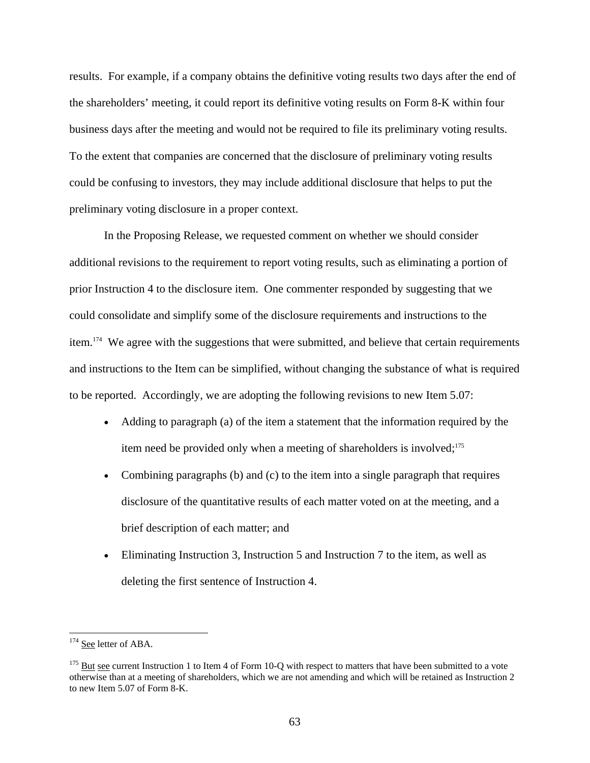results. For example, if a company obtains the definitive voting results two days after the end of the shareholders' meeting, it could report its definitive voting results on Form 8-K within four business days after the meeting and would not be required to file its preliminary voting results. To the extent that companies are concerned that the disclosure of preliminary voting results could be confusing to investors, they may include additional disclosure that helps to put the preliminary voting disclosure in a proper context.

In the Proposing Release, we requested comment on whether we should consider additional revisions to the requirement to report voting results, such as eliminating a portion of prior Instruction 4 to the disclosure item. One commenter responded by suggesting that we could consolidate and simplify some of the disclosure requirements and instructions to the item.174 We agree with the suggestions that were submitted, and believe that certain requirements and instructions to the Item can be simplified, without changing the substance of what is required to be reported. Accordingly, we are adopting the following revisions to new Item 5.07:

- Adding to paragraph (a) of the item a statement that the information required by the item need be provided only when a meeting of shareholders is involved;<sup>175</sup>
- Combining paragraphs (b) and (c) to the item into a single paragraph that requires disclosure of the quantitative results of each matter voted on at the meeting, and a brief description of each matter; and
- • Eliminating Instruction 3, Instruction 5 and Instruction 7 to the item, as well as deleting the first sentence of Instruction 4.

<sup>&</sup>lt;sup>174</sup> See letter of ABA.

 $175$  But see current Instruction 1 to Item 4 of Form 10-Q with respect to matters that have been submitted to a vote otherwise than at a meeting of shareholders, which we are not amending and which will be retained as Instruction 2 to new Item 5.07 of Form 8-K.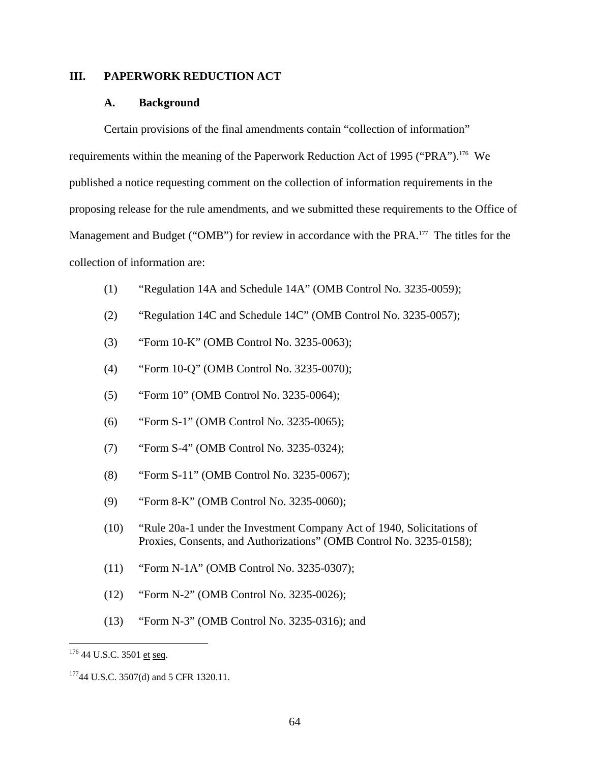## **III. PAPERWORK REDUCTION ACT**

#### **A. Background**

Certain provisions of the final amendments contain "collection of information" requirements within the meaning of the Paperwork Reduction Act of 1995 ("PRA").176 We published a notice requesting comment on the collection of information requirements in the proposing release for the rule amendments, and we submitted these requirements to the Office of Management and Budget ("OMB") for review in accordance with the PRA.<sup>177</sup> The titles for the collection of information are:

- (1) "Regulation 14A and Schedule 14A" (OMB Control No. 3235-0059);
- (2) "Regulation 14C and Schedule 14C" (OMB Control No. 3235-0057);
- (3) "Form 10-K" (OMB Control No. 3235-0063);
- (4) "Form 10-Q" (OMB Control No. 3235-0070);
- (5) "Form 10" (OMB Control No. 3235-0064);
- (6) "Form S-1" (OMB Control No. 3235-0065);
- (7) "Form S-4" (OMB Control No. 3235-0324);
- (8) "Form S-11" (OMB Control No. 3235-0067);
- (9) "Form 8-K" (OMB Control No. 3235-0060);
- (10) "Rule 20a-1 under the Investment Company Act of 1940, Solicitations of Proxies, Consents, and Authorizations" (OMB Control No. 3235-0158);
- (11) "Form N-1A" (OMB Control No. 3235-0307);
- (12) "Form N-2" (OMB Control No. 3235-0026);
- (13) "Form N-3" (OMB Control No. 3235-0316); and

<u>.</u>

 $176$  44 U.S.C. 3501 et seq.

<sup>&</sup>lt;sup>177</sup>44 U.S.C. 3507(d) and 5 CFR 1320.11.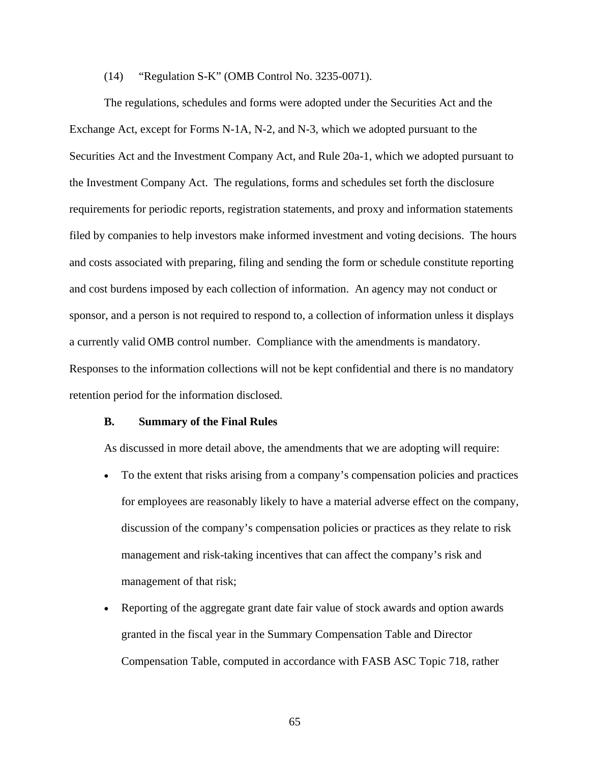### (14) "Regulation S-K" (OMB Control No. 3235-0071).

The regulations, schedules and forms were adopted under the Securities Act and the Exchange Act, except for Forms N-1A, N-2, and N-3, which we adopted pursuant to the Securities Act and the Investment Company Act, and Rule 20a-1, which we adopted pursuant to the Investment Company Act. The regulations, forms and schedules set forth the disclosure requirements for periodic reports, registration statements, and proxy and information statements filed by companies to help investors make informed investment and voting decisions. The hours and costs associated with preparing, filing and sending the form or schedule constitute reporting and cost burdens imposed by each collection of information. An agency may not conduct or sponsor, and a person is not required to respond to, a collection of information unless it displays a currently valid OMB control number. Compliance with the amendments is mandatory. Responses to the information collections will not be kept confidential and there is no mandatory retention period for the information disclosed.

### **B. Summary of the Final Rules**

As discussed in more detail above, the amendments that we are adopting will require:

- To the extent that risks arising from a company's compensation policies and practices for employees are reasonably likely to have a material adverse effect on the company, discussion of the company's compensation policies or practices as they relate to risk management and risk-taking incentives that can affect the company's risk and management of that risk;
- Reporting of the aggregate grant date fair value of stock awards and option awards granted in the fiscal year in the Summary Compensation Table and Director Compensation Table, computed in accordance with FASB ASC Topic 718, rather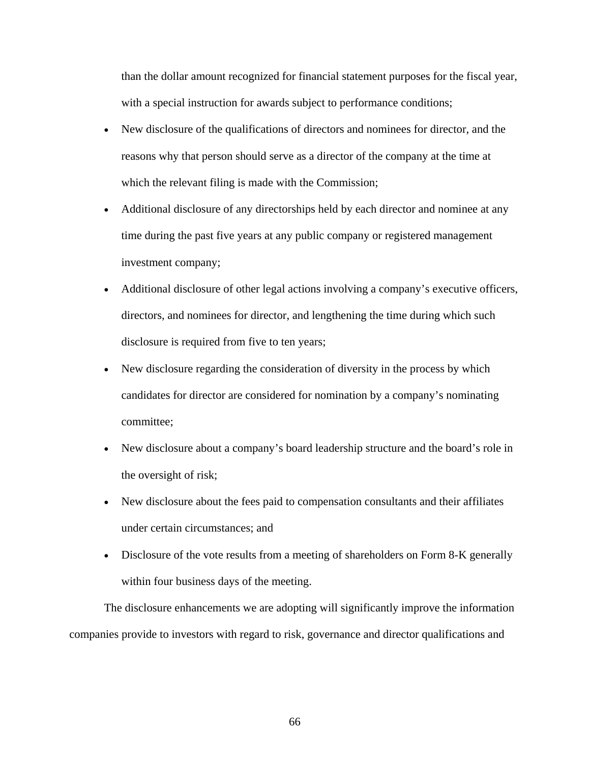than the dollar amount recognized for financial statement purposes for the fiscal year, with a special instruction for awards subject to performance conditions;

- New disclosure of the qualifications of directors and nominees for director, and the reasons why that person should serve as a director of the company at the time at which the relevant filing is made with the Commission;
- Additional disclosure of any directorships held by each director and nominee at any time during the past five years at any public company or registered management investment company;
- Additional disclosure of other legal actions involving a company's executive officers, directors, and nominees for director, and lengthening the time during which such disclosure is required from five to ten years;
- New disclosure regarding the consideration of diversity in the process by which candidates for director are considered for nomination by a company's nominating committee;
- New disclosure about a company's board leadership structure and the board's role in the oversight of risk;
- New disclosure about the fees paid to compensation consultants and their affiliates under certain circumstances; and
- Disclosure of the vote results from a meeting of shareholders on Form 8-K generally within four business days of the meeting.

The disclosure enhancements we are adopting will significantly improve the information companies provide to investors with regard to risk, governance and director qualifications and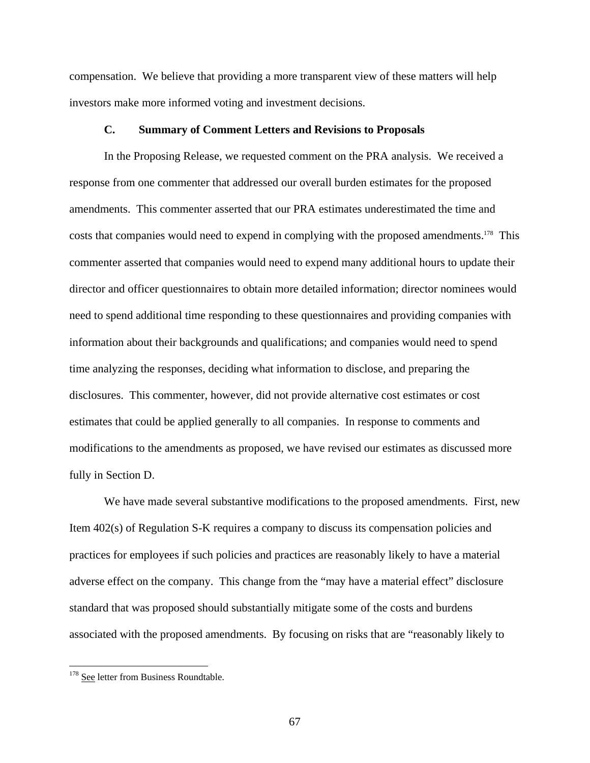compensation. We believe that providing a more transparent view of these matters will help investors make more informed voting and investment decisions.

### **C. Summary of Comment Letters and Revisions to Proposals**

In the Proposing Release, we requested comment on the PRA analysis. We received a response from one commenter that addressed our overall burden estimates for the proposed amendments. This commenter asserted that our PRA estimates underestimated the time and costs that companies would need to expend in complying with the proposed amendments.<sup>178</sup> This commenter asserted that companies would need to expend many additional hours to update their director and officer questionnaires to obtain more detailed information; director nominees would need to spend additional time responding to these questionnaires and providing companies with information about their backgrounds and qualifications; and companies would need to spend time analyzing the responses, deciding what information to disclose, and preparing the disclosures. This commenter, however, did not provide alternative cost estimates or cost estimates that could be applied generally to all companies. In response to comments and modifications to the amendments as proposed, we have revised our estimates as discussed more fully in Section D.

We have made several substantive modifications to the proposed amendments. First, new Item 402(s) of Regulation S-K requires a company to discuss its compensation policies and practices for employees if such policies and practices are reasonably likely to have a material adverse effect on the company. This change from the "may have a material effect" disclosure standard that was proposed should substantially mitigate some of the costs and burdens associated with the proposed amendments. By focusing on risks that are "reasonably likely to

<sup>&</sup>lt;sup>178</sup> See letter from Business Roundtable.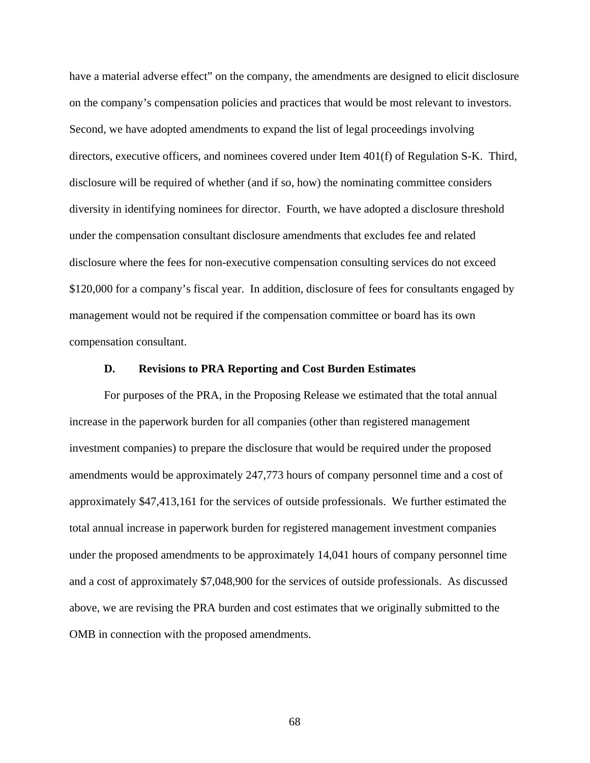have a material adverse effect" on the company, the amendments are designed to elicit disclosure on the company's compensation policies and practices that would be most relevant to investors. Second, we have adopted amendments to expand the list of legal proceedings involving directors, executive officers, and nominees covered under Item 401(f) of Regulation S-K. Third, disclosure will be required of whether (and if so, how) the nominating committee considers diversity in identifying nominees for director. Fourth, we have adopted a disclosure threshold under the compensation consultant disclosure amendments that excludes fee and related disclosure where the fees for non-executive compensation consulting services do not exceed \$120,000 for a company's fiscal year. In addition, disclosure of fees for consultants engaged by management would not be required if the compensation committee or board has its own compensation consultant.

### **D. Revisions to PRA Reporting and Cost Burden Estimates**

For purposes of the PRA, in the Proposing Release we estimated that the total annual increase in the paperwork burden for all companies (other than registered management investment companies) to prepare the disclosure that would be required under the proposed amendments would be approximately 247,773 hours of company personnel time and a cost of approximately \$47,413,161 for the services of outside professionals. We further estimated the total annual increase in paperwork burden for registered management investment companies under the proposed amendments to be approximately 14,041 hours of company personnel time and a cost of approximately \$7,048,900 for the services of outside professionals. As discussed above, we are revising the PRA burden and cost estimates that we originally submitted to the OMB in connection with the proposed amendments.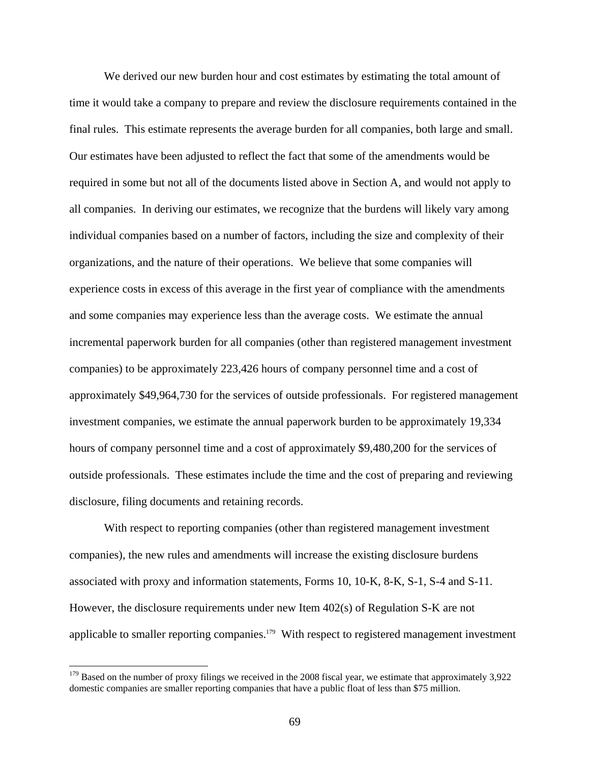We derived our new burden hour and cost estimates by estimating the total amount of time it would take a company to prepare and review the disclosure requirements contained in the final rules. This estimate represents the average burden for all companies, both large and small. Our estimates have been adjusted to reflect the fact that some of the amendments would be required in some but not all of the documents listed above in Section A, and would not apply to all companies. In deriving our estimates, we recognize that the burdens will likely vary among individual companies based on a number of factors, including the size and complexity of their organizations, and the nature of their operations. We believe that some companies will experience costs in excess of this average in the first year of compliance with the amendments and some companies may experience less than the average costs. We estimate the annual incremental paperwork burden for all companies (other than registered management investment companies) to be approximately 223,426 hours of company personnel time and a cost of approximately \$49,964,730 for the services of outside professionals. For registered management investment companies, we estimate the annual paperwork burden to be approximately 19,334 hours of company personnel time and a cost of approximately \$9,480,200 for the services of outside professionals. These estimates include the time and the cost of preparing and reviewing disclosure, filing documents and retaining records.

With respect to reporting companies (other than registered management investment companies), the new rules and amendments will increase the existing disclosure burdens associated with proxy and information statements, Forms 10, 10-K, 8-K, S-1, S-4 and S-11. However, the disclosure requirements under new Item 402(s) of Regulation S-K are not applicable to smaller reporting companies.<sup>179</sup> With respect to registered management investment

domestic companies are smaller reporting companies that have a public float of less than \$75 million.<br>69  $179$  Based on the number of proxy filings we received in the 2008 fiscal year, we estimate that approximately 3,922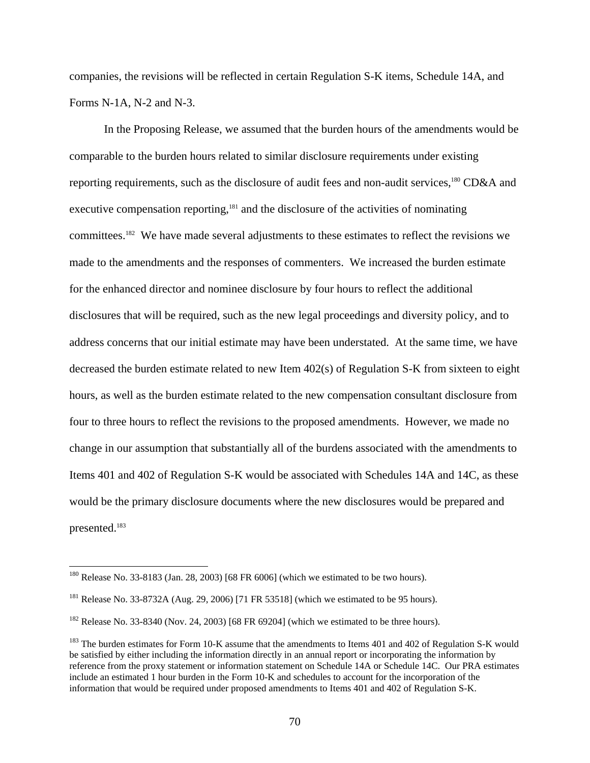companies, the revisions will be reflected in certain Regulation S-K items, Schedule 14A, and Forms N-1A, N-2 and N-3.

presented.<sup>183</sup> In the Proposing Release, we assumed that the burden hours of the amendments would be comparable to the burden hours related to similar disclosure requirements under existing reporting requirements, such as the disclosure of audit fees and non-audit services,<sup>180</sup> CD&A and executive compensation reporting,<sup>181</sup> and the disclosure of the activities of nominating committees.<sup>182</sup> We have made several adjustments to these estimates to reflect the revisions we made to the amendments and the responses of commenters. We increased the burden estimate for the enhanced director and nominee disclosure by four hours to reflect the additional disclosures that will be required, such as the new legal proceedings and diversity policy, and to address concerns that our initial estimate may have been understated. At the same time, we have decreased the burden estimate related to new Item 402(s) of Regulation S-K from sixteen to eight hours, as well as the burden estimate related to the new compensation consultant disclosure from four to three hours to reflect the revisions to the proposed amendments. However, we made no change in our assumption that substantially all of the burdens associated with the amendments to Items 401 and 402 of Regulation S-K would be associated with Schedules 14A and 14C, as these would be the primary disclosure documents where the new disclosures would be prepared and

<sup>&</sup>lt;sup>180</sup> Release No. 33-8183 (Jan. 28, 2003) [68 FR 6006] (which we estimated to be two hours).

 $^{181}$  Release No. 33-8732A (Aug. 29, 2006) [71 FR 53518] (which we estimated to be 95 hours).

 $182$  Release No. 33-8340 (Nov. 24, 2003) [68 FR 69204] (which we estimated to be three hours).

 be satisfied by either including the information directly in an annual report or incorporating the information by <sup>183</sup> The burden estimates for Form 10-K assume that the amendments to Items 401 and 402 of Regulation S-K would reference from the proxy statement or information statement on Schedule 14A or Schedule 14C. Our PRA estimates include an estimated 1 hour burden in the Form 10-K and schedules to account for the incorporation of the information that would be required under proposed amendments to Items 401 and 402 of Regulation S-K.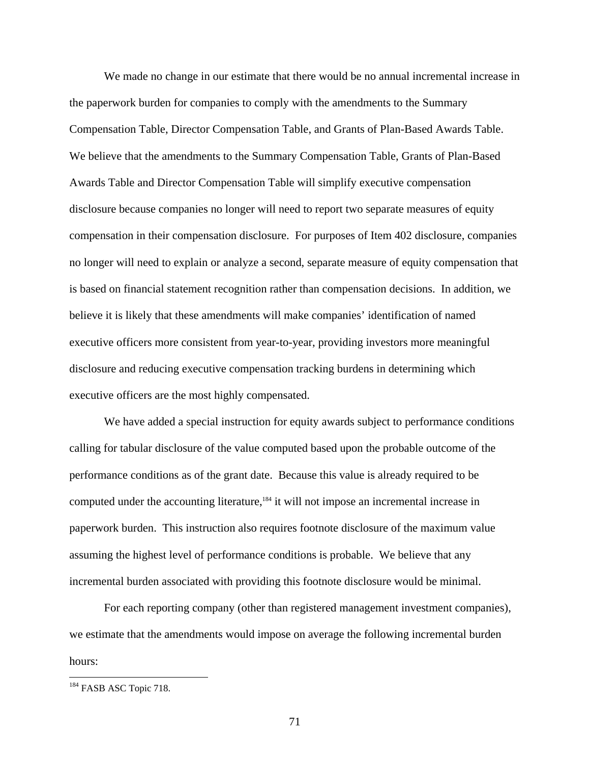We made no change in our estimate that there would be no annual incremental increase in the paperwork burden for companies to comply with the amendments to the Summary Compensation Table, Director Compensation Table, and Grants of Plan-Based Awards Table. We believe that the amendments to the Summary Compensation Table, Grants of Plan-Based Awards Table and Director Compensation Table will simplify executive compensation disclosure because companies no longer will need to report two separate measures of equity compensation in their compensation disclosure. For purposes of Item 402 disclosure, companies no longer will need to explain or analyze a second, separate measure of equity compensation that is based on financial statement recognition rather than compensation decisions. In addition, we believe it is likely that these amendments will make companies' identification of named executive officers more consistent from year-to-year, providing investors more meaningful disclosure and reducing executive compensation tracking burdens in determining which executive officers are the most highly compensated.

We have added a special instruction for equity awards subject to performance conditions calling for tabular disclosure of the value computed based upon the probable outcome of the performance conditions as of the grant date. Because this value is already required to be computed under the accounting literature,<sup>184</sup> it will not impose an incremental increase in paperwork burden. This instruction also requires footnote disclosure of the maximum value assuming the highest level of performance conditions is probable. We believe that any incremental burden associated with providing this footnote disclosure would be minimal.

For each reporting company (other than registered management investment companies), we estimate that the amendments would impose on average the following incremental burden hours:

<u>.</u>

<sup>&</sup>lt;sup>184</sup> FASB ASC Topic 718.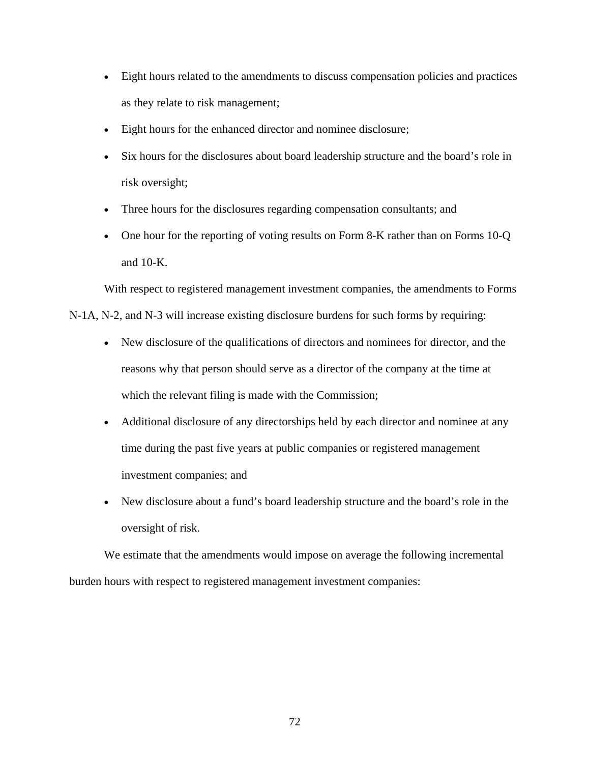- Eight hours related to the amendments to discuss compensation policies and practices as they relate to risk management;
- Eight hours for the enhanced director and nominee disclosure;
- Six hours for the disclosures about board leadership structure and the board's role in risk oversight;
- Three hours for the disclosures regarding compensation consultants; and
- One hour for the reporting of voting results on Form 8-K rather than on Forms 10-Q and 10-K.

With respect to registered management investment companies, the amendments to Forms

N-1A, N-2, and N-3 will increase existing disclosure burdens for such forms by requiring:

- New disclosure of the qualifications of directors and nominees for director, and the reasons why that person should serve as a director of the company at the time at which the relevant filing is made with the Commission;
- Additional disclosure of any directorships held by each director and nominee at any time during the past five years at public companies or registered management investment companies; and
- New disclosure about a fund's board leadership structure and the board's role in the oversight of risk.

We estimate that the amendments would impose on average the following incremental burden hours with respect to registered management investment companies: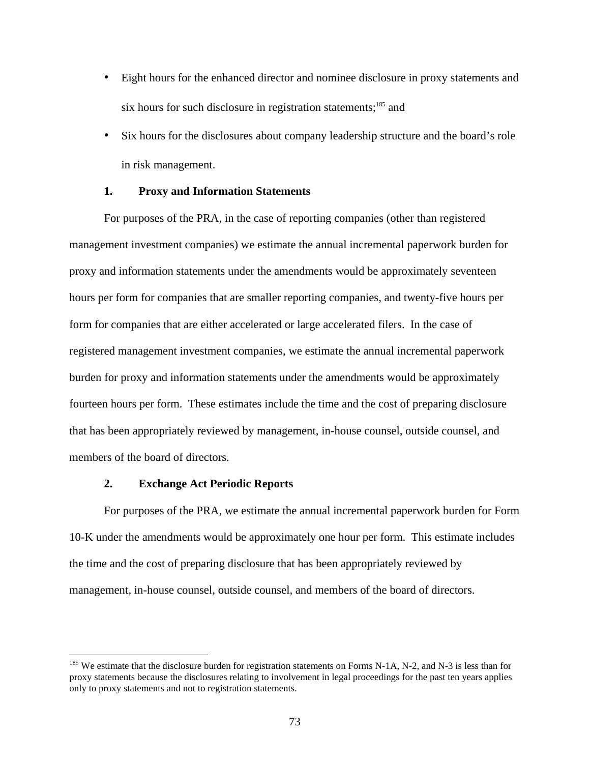- Eight hours for the enhanced director and nominee disclosure in proxy statements and six hours for such disclosure in registration statements;<sup>185</sup> and
- Six hours for the disclosures about company leadership structure and the board's role in risk management.

## **1. Proxy and Information Statements**

For purposes of the PRA, in the case of reporting companies (other than registered management investment companies) we estimate the annual incremental paperwork burden for proxy and information statements under the amendments would be approximately seventeen hours per form for companies that are smaller reporting companies, and twenty-five hours per form for companies that are either accelerated or large accelerated filers. In the case of registered management investment companies, we estimate the annual incremental paperwork burden for proxy and information statements under the amendments would be approximately fourteen hours per form. These estimates include the time and the cost of preparing disclosure that has been appropriately reviewed by management, in-house counsel, outside counsel, and members of the board of directors.

## **2. Exchange Act Periodic Reports**

1

For purposes of the PRA, we estimate the annual incremental paperwork burden for Form 10-K under the amendments would be approximately one hour per form. This estimate includes the time and the cost of preparing disclosure that has been appropriately reviewed by management, in-house counsel, outside counsel, and members of the board of directors.

 $185$  We estimate that the disclosure burden for registration statements on Forms N-1A, N-2, and N-3 is less than for proxy statements because the disclosures relating to involvement in legal proceedings for the past ten years applies only to proxy statements and not to registration statements.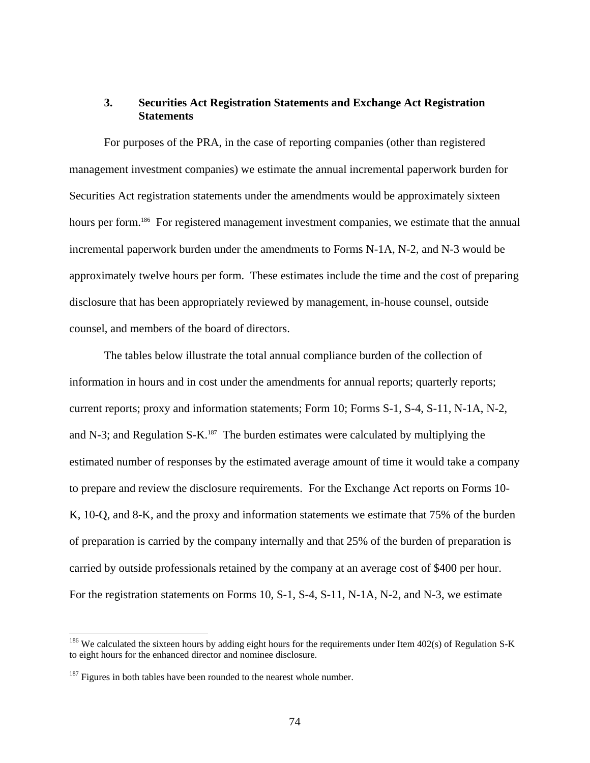## **3. Securities Act Registration Statements and Exchange Act Registration Statements**

For purposes of the PRA, in the case of reporting companies (other than registered management investment companies) we estimate the annual incremental paperwork burden for Securities Act registration statements under the amendments would be approximately sixteen hours per form.<sup>186</sup> For registered management investment companies, we estimate that the annual incremental paperwork burden under the amendments to Forms N-1A, N-2, and N-3 would be approximately twelve hours per form. These estimates include the time and the cost of preparing disclosure that has been appropriately reviewed by management, in-house counsel, outside counsel, and members of the board of directors.

The tables below illustrate the total annual compliance burden of the collection of information in hours and in cost under the amendments for annual reports; quarterly reports; current reports; proxy and information statements; Form 10; Forms S-1, S-4, S-11, N-1A, N-2, and N-3; and Regulation S-K.<sup>187</sup> The burden estimates were calculated by multiplying the estimated number of responses by the estimated average amount of time it would take a company to prepare and review the disclosure requirements. For the Exchange Act reports on Forms 10- K, 10-Q, and 8-K, and the proxy and information statements we estimate that 75% of the burden of preparation is carried by the company internally and that 25% of the burden of preparation is carried by outside professionals retained by the company at an average cost of \$400 per hour. For the registration statements on Forms 10, S-1, S-4, S-11, N-1A, N-2, and N-3, we estimate

 to eight hours for the enhanced director and nominee disclosure.  $186$  We calculated the sixteen hours by adding eight hours for the requirements under Item 402(s) of Regulation S-K

 $187$  Figures in both tables have been rounded to the nearest whole number.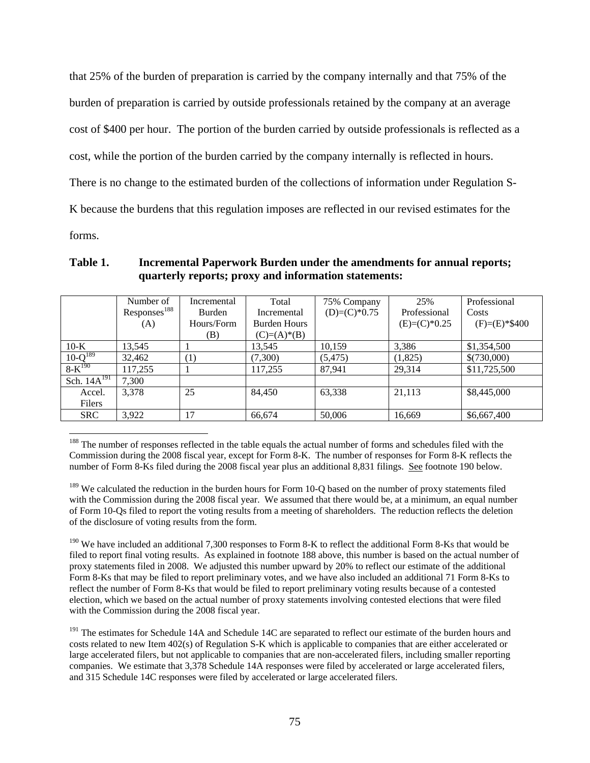that 25% of the burden of preparation is carried by the company internally and that 75% of the burden of preparation is carried by outside professionals retained by the company at an average cost of \$400 per hour. The portion of the burden carried by outside professionals is reflected as a cost, while the portion of the burden carried by the company internally is reflected in hours. There is no change to the estimated burden of the collections of information under Regulation S-K because the burdens that this regulation imposes are reflected in our revised estimates for the forms.

|                  | Number of               | Incremental      | Total               | 75% Company    | 25%            | Professional    |
|------------------|-------------------------|------------------|---------------------|----------------|----------------|-----------------|
|                  | Respones <sup>188</sup> | Burden           | Incremental         | $(D)=(C)*0.75$ | Professional   | Costs           |
|                  | (A)                     | Hours/Form       | <b>Burden Hours</b> |                | $(E)=(C)*0.25$ | $(F)=(E)*\$400$ |
|                  |                         | (B)              | $(C)=(A)*(B)$       |                |                |                 |
| $10-K$           | 13,545                  |                  | 13,545              | 10,159         | 3,386          | \$1,354,500     |
| $10-Q^{189}$     | 32,462                  | $\left(1\right)$ | (7,300)             | (5, 475)       | (1,825)        | \$(730,000)     |
| $8 - K^{190}$    | 117,255                 |                  | 117,255             | 87,941         | 29,314         | \$11,725,500    |
| Sch. $14A^{191}$ | 7,300                   |                  |                     |                |                |                 |
| Accel.           | 3.378                   | 25               | 84.450              | 63.338         | 21,113         | \$8,445,000     |
| Filers           |                         |                  |                     |                |                |                 |
| <b>SRC</b>       | 3.922                   | 17               | 66.674              | 50,006         | 16.669         | \$6,667,400     |

# **Table 1. Incremental Paperwork Burden under the amendments for annual reports; quarterly reports; proxy and information statements:**

 $190$  We have included an additional 7,300 responses to Form 8-K to reflect the additional Form 8-Ks that would be proxy statements filed in 2008. We adjusted this number upward by 20% to reflect our estimate of the additional Form 8-Ks that may be filed to report preliminary votes, and we have also included an additional 71 Form 8-Ks to election, which we based on the actual number of proxy statements involving contested elections that were filed filed to report final voting results. As explained in footnote 188 above, this number is based on the actual number of reflect the number of Form 8-Ks that would be filed to report preliminary voting results because of a contested with the Commission during the 2008 fiscal year.

 $\overline{a}$ <sup>188</sup> The number of responses reflected in the table equals the actual number of forms and schedules filed with the Commission during the 2008 fiscal year, except for Form 8-K. The number of responses for Form 8-K reflects the number of Form 8-Ks filed during the 2008 fiscal year plus an additional 8,831 filings. See footnote 190 below.

<sup>&</sup>lt;sup>189</sup> We calculated the reduction in the burden hours for Form 10-Q based on the number of proxy statements filed with the Commission during the 2008 fiscal year. We assumed that there would be, at a minimum, an equal number of Form 10-Qs filed to report the voting results from a meeting of shareholders. The reduction reflects the deletion of the disclosure of voting results from the form.

<sup>&</sup>lt;sup>191</sup> The estimates for Schedule 14A and Schedule 14C are separated to reflect our estimate of the burden hours and costs related to new Item 402(s) of Regulation S-K which is applicable to companies that are either accelerated or large accelerated filers, but not applicable to companies that are non-accelerated filers, including smaller reporting companies. We estimate that 3,378 Schedule 14A responses were filed by accelerated or large accelerated filers, and 315 Schedule 14C responses were filed by accelerated or large accelerated filers.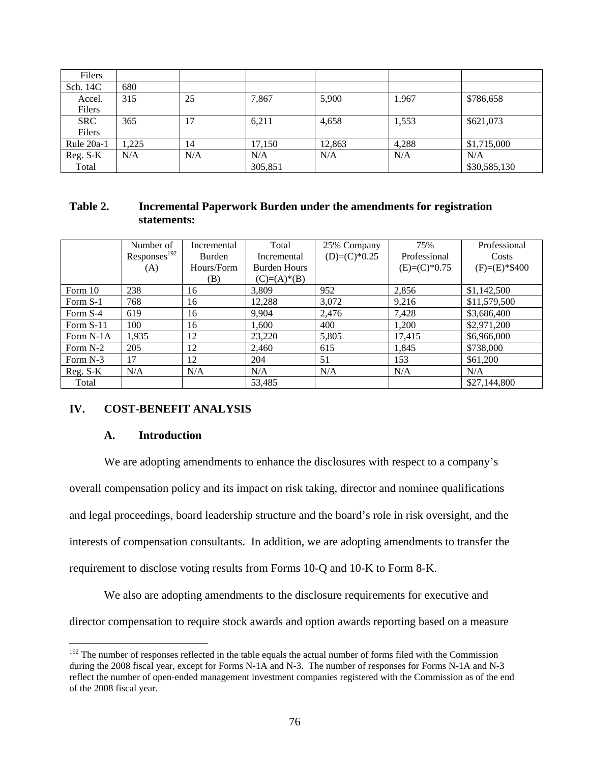| Filers               |       |     |         |        |       |              |
|----------------------|-------|-----|---------|--------|-------|--------------|
| Sch. 14C             | 680   |     |         |        |       |              |
| Accel.<br>Filers     | 315   | 25  | 7,867   | 5,900  | 1,967 | \$786,658    |
| <b>SRC</b><br>Filers | 365   | 17  | 6,211   | 4,658  | 1,553 | \$621,073    |
| Rule 20a-1           | 1,225 | 14  | 17,150  | 12,863 | 4,288 | \$1,715,000  |
| Reg. S-K             | N/A   | N/A | N/A     | N/A    | N/A   | N/A          |
| Total                |       |     | 305,851 |        |       | \$30,585,130 |

## **Table 2. Incremental Paperwork Burden under the amendments for registration statements:**

|           | Number of                | Incremental | Total               | 25% Company    | 75%            | Professional    |
|-----------|--------------------------|-------------|---------------------|----------------|----------------|-----------------|
|           | Responses <sup>192</sup> | Burden      | Incremental         | $(D)=(C)*0.25$ | Professional   | Costs           |
|           | (A)                      | Hours/Form  | <b>Burden Hours</b> |                | $(E)=(C)*0.75$ | $(F)=(E)*\$400$ |
|           |                          | (B)         | $(C)=(A)*(B)$       |                |                |                 |
| Form 10   | 238                      | 16          | 3,809               | 952            | 2,856          | \$1,142,500     |
| Form S-1  | 768                      | 16          | 12,288              | 3,072          | 9,216          | \$11,579,500    |
| Form S-4  | 619                      | 16          | 9,904               | 2,476          | 7,428          | \$3,686,400     |
| Form S-11 | 100                      | 16          | 1,600               | 400            | 1,200          | \$2,971,200     |
| Form N-1A | 1,935                    | 12          | 23,220              | 5,805          | 17,415         | \$6,966,000     |
| Form N-2  | 205                      | 12          | 2,460               | 615            | 1,845          | \$738,000       |
| Form N-3  | 17                       | 12          | 204                 | 51             | 153            | \$61,200        |
| Reg. S-K  | N/A                      | N/A         | N/A                 | N/A            | N/A            | N/A             |
| Total     |                          |             | 53,485              |                |                | \$27,144,800    |

## **IV. COST-BENEFIT ANALYSIS**

#### **A. Introduction**

 $\overline{a}$ 

We are adopting amendments to enhance the disclosures with respect to a company's overall compensation policy and its impact on risk taking, director and nominee qualifications and legal proceedings, board leadership structure and the board's role in risk oversight, and the interests of compensation consultants. In addition, we are adopting amendments to transfer the requirement to disclose voting results from Forms 10-Q and 10-K to Form 8-K.

We also are adopting amendments to the disclosure requirements for executive and director compensation to require stock awards and option awards reporting based on a measure

 during the 2008 fiscal year, except for Forms N-1A and N-3. The number of responses for Forms N-1A and N-3  $192$  The number of responses reflected in the table equals the actual number of forms filed with the Commission reflect the number of open-ended management investment companies registered with the Commission as of the end of the 2008 fiscal year.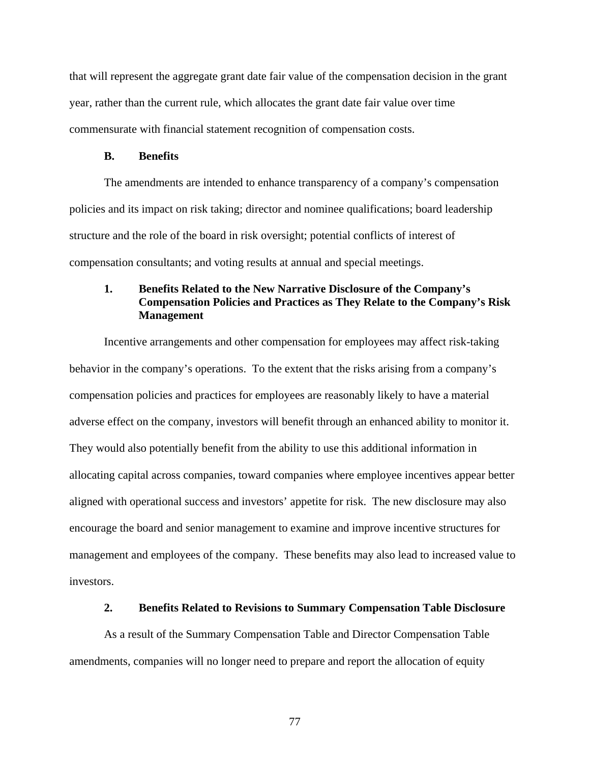commensurate with financial statement recognition of compensation costs. that will represent the aggregate grant date fair value of the compensation decision in the grant year, rather than the current rule, which allocates the grant date fair value over time

#### **B. Benefits**

The amendments are intended to enhance transparency of a company's compensation policies and its impact on risk taking; director and nominee qualifications; board leadership structure and the role of the board in risk oversight; potential conflicts of interest of compensation consultants; and voting results at annual and special meetings.

## **1. Benefits Related to the New Narrative Disclosure of the Company's Compensation Policies and Practices as They Relate to the Company's Risk Management**

Incentive arrangements and other compensation for employees may affect risk-taking behavior in the company's operations. To the extent that the risks arising from a company's compensation policies and practices for employees are reasonably likely to have a material adverse effect on the company, investors will benefit through an enhanced ability to monitor it. They would also potentially benefit from the ability to use this additional information in allocating capital across companies, toward companies where employee incentives appear better aligned with operational success and investors' appetite for risk. The new disclosure may also encourage the board and senior management to examine and improve incentive structures for management and employees of the company. These benefits may also lead to increased value to investors.

#### **2. Benefits Related to Revisions to Summary Compensation Table Disclosure**

As a result of the Summary Compensation Table and Director Compensation Table amendments, companies will no longer need to prepare and report the allocation of equity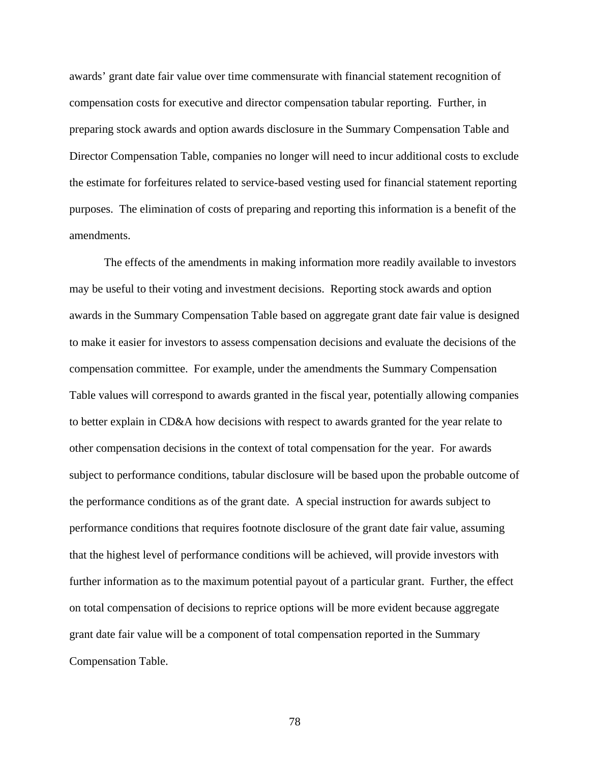awards' grant date fair value over time commensurate with financial statement recognition of compensation costs for executive and director compensation tabular reporting. Further, in preparing stock awards and option awards disclosure in the Summary Compensation Table and Director Compensation Table, companies no longer will need to incur additional costs to exclude the estimate for forfeitures related to service-based vesting used for financial statement reporting purposes. The elimination of costs of preparing and reporting this information is a benefit of the amendments.

The effects of the amendments in making information more readily available to investors may be useful to their voting and investment decisions. Reporting stock awards and option awards in the Summary Compensation Table based on aggregate grant date fair value is designed to make it easier for investors to assess compensation decisions and evaluate the decisions of the compensation committee. For example, under the amendments the Summary Compensation Table values will correspond to awards granted in the fiscal year, potentially allowing companies to better explain in CD&A how decisions with respect to awards granted for the year relate to other compensation decisions in the context of total compensation for the year. For awards subject to performance conditions, tabular disclosure will be based upon the probable outcome of the performance conditions as of the grant date. A special instruction for awards subject to performance conditions that requires footnote disclosure of the grant date fair value, assuming that the highest level of performance conditions will be achieved, will provide investors with further information as to the maximum potential payout of a particular grant. Further, the effect on total compensation of decisions to reprice options will be more evident because aggregate grant date fair value will be a component of total compensation reported in the Summary Compensation Table.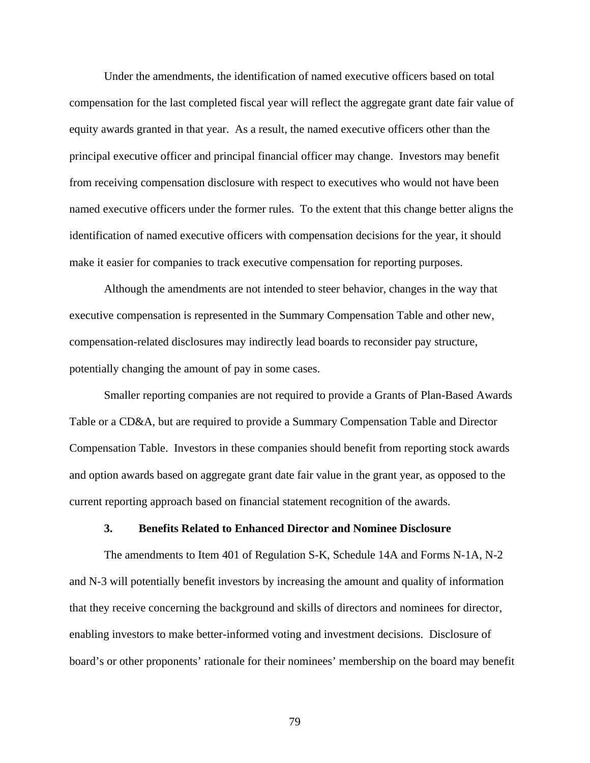Under the amendments, the identification of named executive officers based on total compensation for the last completed fiscal year will reflect the aggregate grant date fair value of equity awards granted in that year. As a result, the named executive officers other than the principal executive officer and principal financial officer may change. Investors may benefit from receiving compensation disclosure with respect to executives who would not have been named executive officers under the former rules. To the extent that this change better aligns the identification of named executive officers with compensation decisions for the year, it should make it easier for companies to track executive compensation for reporting purposes.

Although the amendments are not intended to steer behavior, changes in the way that executive compensation is represented in the Summary Compensation Table and other new, compensation-related disclosures may indirectly lead boards to reconsider pay structure, potentially changing the amount of pay in some cases.

Smaller reporting companies are not required to provide a Grants of Plan-Based Awards Table or a CD&A, but are required to provide a Summary Compensation Table and Director Compensation Table. Investors in these companies should benefit from reporting stock awards and option awards based on aggregate grant date fair value in the grant year, as opposed to the current reporting approach based on financial statement recognition of the awards.

#### **3. Benefits Related to Enhanced Director and Nominee Disclosure**

The amendments to Item 401 of Regulation S-K, Schedule 14A and Forms N-1A, N-2 and N-3 will potentially benefit investors by increasing the amount and quality of information that they receive concerning the background and skills of directors and nominees for director, enabling investors to make better-informed voting and investment decisions. Disclosure of board's or other proponents' rationale for their nominees' membership on the board may benefit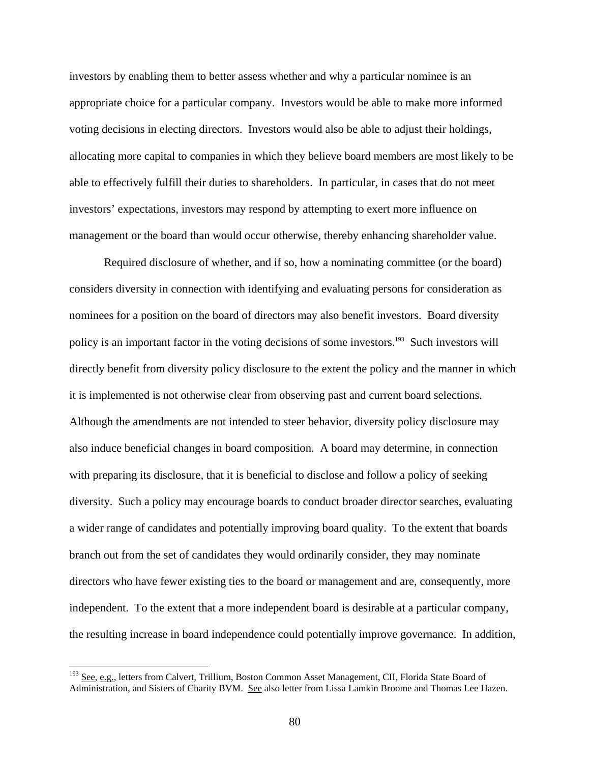investors by enabling them to better assess whether and why a particular nominee is an appropriate choice for a particular company. Investors would be able to make more informed voting decisions in electing directors. Investors would also be able to adjust their holdings, allocating more capital to companies in which they believe board members are most likely to be able to effectively fulfill their duties to shareholders. In particular, in cases that do not meet investors' expectations, investors may respond by attempting to exert more influence on management or the board than would occur otherwise, thereby enhancing shareholder value.

Required disclosure of whether, and if so, how a nominating committee (or the board) considers diversity in connection with identifying and evaluating persons for consideration as nominees for a position on the board of directors may also benefit investors. Board diversity policy is an important factor in the voting decisions of some investors.<sup>193</sup> Such investors will directly benefit from diversity policy disclosure to the extent the policy and the manner in which it is implemented is not otherwise clear from observing past and current board selections. Although the amendments are not intended to steer behavior, diversity policy disclosure may also induce beneficial changes in board composition. A board may determine, in connection with preparing its disclosure, that it is beneficial to disclose and follow a policy of seeking diversity. Such a policy may encourage boards to conduct broader director searches, evaluating a wider range of candidates and potentially improving board quality. To the extent that boards branch out from the set of candidates they would ordinarily consider, they may nominate directors who have fewer existing ties to the board or management and are, consequently, more independent. To the extent that a more independent board is desirable at a particular company, the resulting increase in board independence could potentially improve governance. In addition,

 $\overline{a}$ 

<sup>&</sup>lt;sup>193</sup> See, e.g., letters from Calvert, Trillium, Boston Common Asset Management, CII, Florida State Board of Administration, and Sisters of Charity BVM. See also letter from Lissa Lamkin Broome and Thomas Lee Hazen.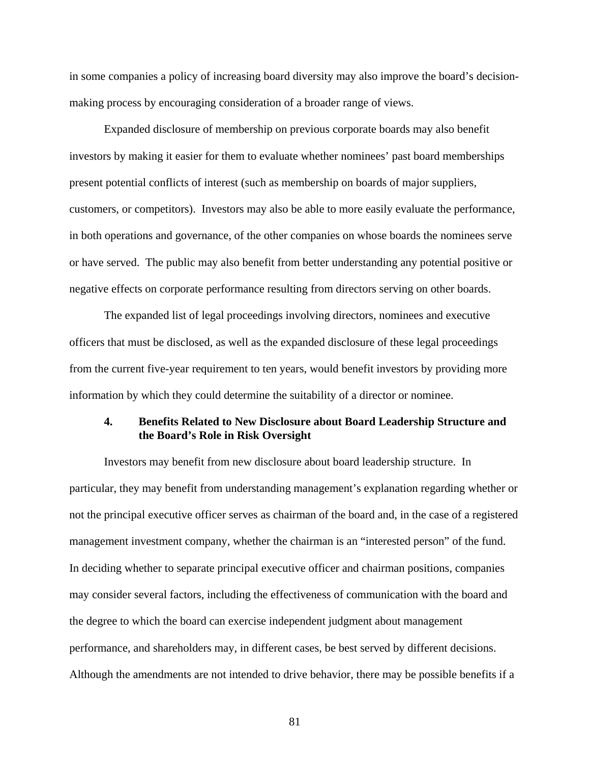in some companies a policy of increasing board diversity may also improve the board's decisionmaking process by encouraging consideration of a broader range of views.

Expanded disclosure of membership on previous corporate boards may also benefit investors by making it easier for them to evaluate whether nominees' past board memberships present potential conflicts of interest (such as membership on boards of major suppliers, customers, or competitors). Investors may also be able to more easily evaluate the performance, in both operations and governance, of the other companies on whose boards the nominees serve or have served. The public may also benefit from better understanding any potential positive or negative effects on corporate performance resulting from directors serving on other boards.

The expanded list of legal proceedings involving directors, nominees and executive officers that must be disclosed, as well as the expanded disclosure of these legal proceedings from the current five-year requirement to ten years, would benefit investors by providing more information by which they could determine the suitability of a director or nominee.

## **4. Benefits Related to New Disclosure about Board Leadership Structure and the Board's Role in Risk Oversight**

Investors may benefit from new disclosure about board leadership structure. In particular, they may benefit from understanding management's explanation regarding whether or not the principal executive officer serves as chairman of the board and, in the case of a registered management investment company, whether the chairman is an "interested person" of the fund. In deciding whether to separate principal executive officer and chairman positions, companies may consider several factors, including the effectiveness of communication with the board and the degree to which the board can exercise independent judgment about management performance, and shareholders may, in different cases, be best served by different decisions. Although the amendments are not intended to drive behavior, there may be possible benefits if a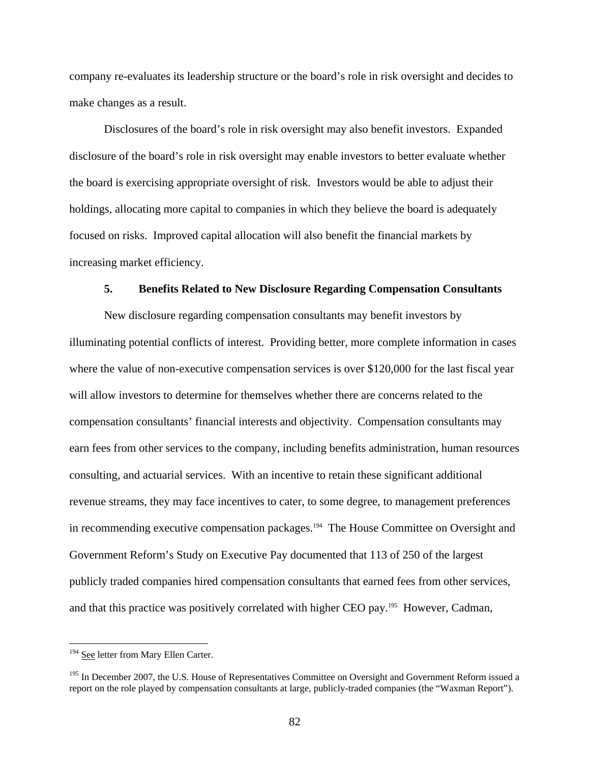company re-evaluates its leadership structure or the board's role in risk oversight and decides to make changes as a result.

Disclosures of the board's role in risk oversight may also benefit investors. Expanded disclosure of the board's role in risk oversight may enable investors to better evaluate whether the board is exercising appropriate oversight of risk. Investors would be able to adjust their holdings, allocating more capital to companies in which they believe the board is adequately focused on risks. Improved capital allocation will also benefit the financial markets by increasing market efficiency.

#### **5. Benefits Related to New Disclosure Regarding Compensation Consultants**

New disclosure regarding compensation consultants may benefit investors by illuminating potential conflicts of interest. Providing better, more complete information in cases where the value of non-executive compensation services is over \$120,000 for the last fiscal year will allow investors to determine for themselves whether there are concerns related to the compensation consultants' financial interests and objectivity. Compensation consultants may earn fees from other services to the company, including benefits administration, human resources consulting, and actuarial services. With an incentive to retain these significant additional revenue streams, they may face incentives to cater, to some degree, to management preferences in recommending executive compensation packages.<sup>194</sup> The House Committee on Oversight and Government Reform's Study on Executive Pay documented that 113 of 250 of the largest publicly traded companies hired compensation consultants that earned fees from other services, and that this practice was positively correlated with higher CEO pay.195 However, Cadman,

<u>.</u>

<sup>&</sup>lt;sup>194</sup> See letter from Mary Ellen Carter.

report on the role played by compensation consultants at large, publicly-traded companies (the "Waxman Report").<br>82 <sup>195</sup> In December 2007, the U.S. House of Representatives Committee on Oversight and Government Reform issued a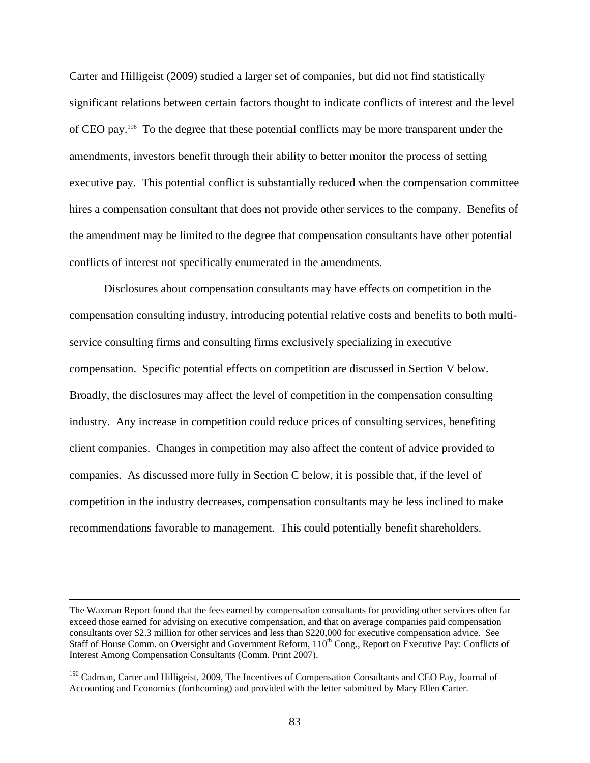Carter and Hilligeist (2009) studied a larger set of companies, but did not find statistically significant relations between certain factors thought to indicate conflicts of interest and the level of CEO pay.196 To the degree that these potential conflicts may be more transparent under the amendments, investors benefit through their ability to better monitor the process of setting executive pay. This potential conflict is substantially reduced when the compensation committee hires a compensation consultant that does not provide other services to the company. Benefits of the amendment may be limited to the degree that compensation consultants have other potential conflicts of interest not specifically enumerated in the amendments.

Disclosures about compensation consultants may have effects on competition in the compensation consulting industry, introducing potential relative costs and benefits to both multiservice consulting firms and consulting firms exclusively specializing in executive compensation. Specific potential effects on competition are discussed in Section V below. Broadly, the disclosures may affect the level of competition in the compensation consulting industry. Any increase in competition could reduce prices of consulting services, benefiting client companies. Changes in competition may also affect the content of advice provided to companies. As discussed more fully in Section C below, it is possible that, if the level of competition in the industry decreases, compensation consultants may be less inclined to make recommendations favorable to management. This could potentially benefit shareholders.

The Waxman Report found that the fees earned by compensation consultants for providing other services often far exceed those earned for advising on executive compensation, and that on average companies paid compensation consultants over \$2.3 million for other services and less than \$220,000 for executive compensation advice. See Staff of House Comm. on Oversight and Government Reform, 110<sup>th</sup> Cong., Report on Executive Pay: Conflicts of Interest Among Compensation Consultants (Comm. Print 2007).

<sup>&</sup>lt;sup>196</sup> Cadman, Carter and Hilligeist, 2009, The Incentives of Compensation Consultants and CEO Pay, Journal of Accounting and Economics (forthcoming) and provided with the letter submitted by Mary Ellen Carter.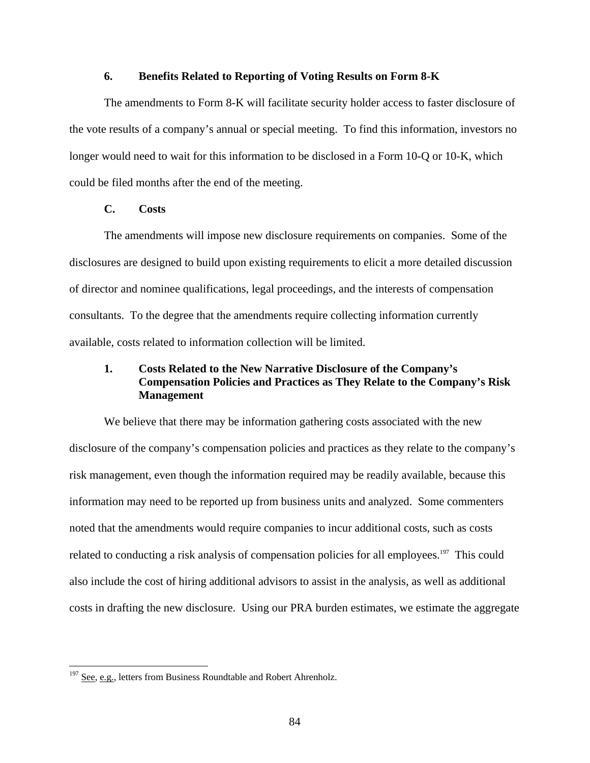#### **6. Benefits Related to Reporting of Voting Results on Form 8-K**

The amendments to Form 8-K will facilitate security holder access to faster disclosure of the vote results of a company's annual or special meeting. To find this information, investors no longer would need to wait for this information to be disclosed in a Form 10-Q or 10-K, which could be filed months after the end of the meeting.

#### **C. Costs**

The amendments will impose new disclosure requirements on companies. Some of the disclosures are designed to build upon existing requirements to elicit a more detailed discussion of director and nominee qualifications, legal proceedings, and the interests of compensation consultants. To the degree that the amendments require collecting information currently available, costs related to information collection will be limited.

## **1. Costs Related to the New Narrative Disclosure of the Company's Compensation Policies and Practices as They Relate to the Company's Risk Management**

We believe that there may be information gathering costs associated with the new disclosure of the company's compensation policies and practices as they relate to the company's risk management, even though the information required may be readily available, because this information may need to be reported up from business units and analyzed. Some commenters noted that the amendments would require companies to incur additional costs, such as costs related to conducting a risk analysis of compensation policies for all employees.<sup>197</sup> This could also include the cost of hiring additional advisors to assist in the analysis, as well as additional costs in drafting the new disclosure. Using our PRA burden estimates, we estimate the aggregate

 $197$  See, e.g., letters from Business Roundtable and Robert Ahrenholz.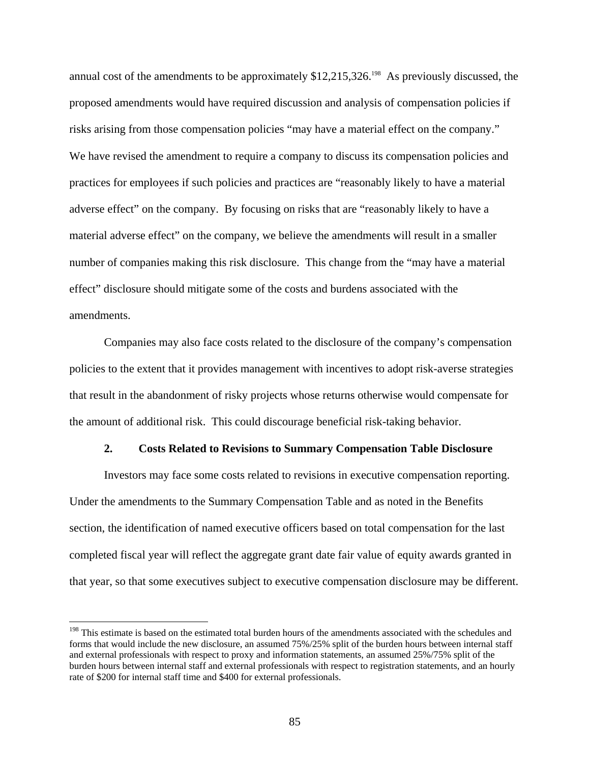annual cost of the amendments to be approximately \$12,215,326.<sup>198</sup> As previously discussed, the proposed amendments would have required discussion and analysis of compensation policies if risks arising from those compensation policies "may have a material effect on the company." We have revised the amendment to require a company to discuss its compensation policies and practices for employees if such policies and practices are "reasonably likely to have a material adverse effect" on the company. By focusing on risks that are "reasonably likely to have a material adverse effect" on the company, we believe the amendments will result in a smaller number of companies making this risk disclosure. This change from the "may have a material effect" disclosure should mitigate some of the costs and burdens associated with the amendments.

Companies may also face costs related to the disclosure of the company's compensation policies to the extent that it provides management with incentives to adopt risk-averse strategies that result in the abandonment of risky projects whose returns otherwise would compensate for the amount of additional risk. This could discourage beneficial risk-taking behavior.

#### **2. Costs Related to Revisions to Summary Compensation Table Disclosure**

Investors may face some costs related to revisions in executive compensation reporting. Under the amendments to the Summary Compensation Table and as noted in the Benefits section, the identification of named executive officers based on total compensation for the last completed fiscal year will reflect the aggregate grant date fair value of equity awards granted in that year, so that some executives subject to executive compensation disclosure may be different.

 and external professionals with respect to proxy and information statements, an assumed 25%/75% split of the rate of \$200 for internal staff time and \$400 for external professionals. <sup>198</sup> This estimate is based on the estimated total burden hours of the amendments associated with the schedules and forms that would include the new disclosure, an assumed 75%/25% split of the burden hours between internal staff burden hours between internal staff and external professionals with respect to registration statements, and an hourly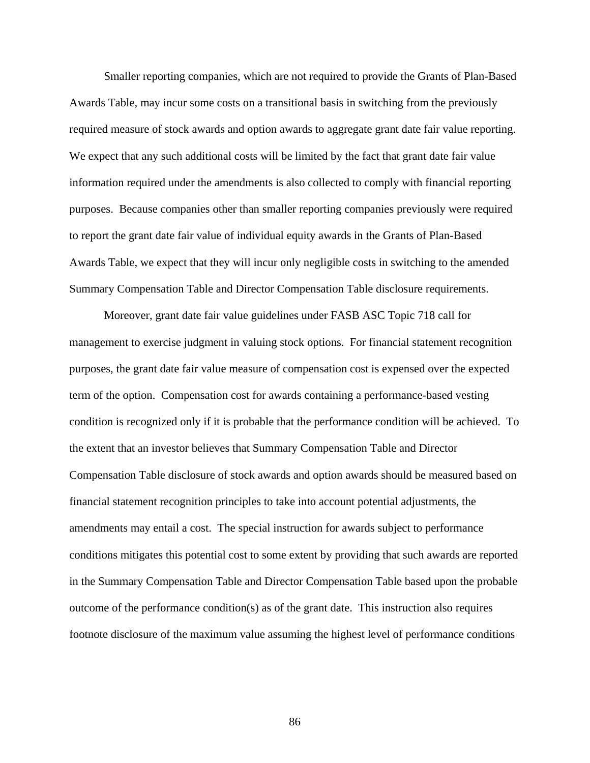Smaller reporting companies, which are not required to provide the Grants of Plan-Based Awards Table, may incur some costs on a transitional basis in switching from the previously required measure of stock awards and option awards to aggregate grant date fair value reporting. We expect that any such additional costs will be limited by the fact that grant date fair value information required under the amendments is also collected to comply with financial reporting purposes. Because companies other than smaller reporting companies previously were required to report the grant date fair value of individual equity awards in the Grants of Plan-Based Awards Table, we expect that they will incur only negligible costs in switching to the amended Summary Compensation Table and Director Compensation Table disclosure requirements.

Moreover, grant date fair value guidelines under FASB ASC Topic 718 call for management to exercise judgment in valuing stock options. For financial statement recognition purposes, the grant date fair value measure of compensation cost is expensed over the expected term of the option. Compensation cost for awards containing a performance-based vesting condition is recognized only if it is probable that the performance condition will be achieved. To the extent that an investor believes that Summary Compensation Table and Director Compensation Table disclosure of stock awards and option awards should be measured based on financial statement recognition principles to take into account potential adjustments, the amendments may entail a cost. The special instruction for awards subject to performance conditions mitigates this potential cost to some extent by providing that such awards are reported in the Summary Compensation Table and Director Compensation Table based upon the probable outcome of the performance condition(s) as of the grant date. This instruction also requires footnote disclosure of the maximum value assuming the highest level of performance conditions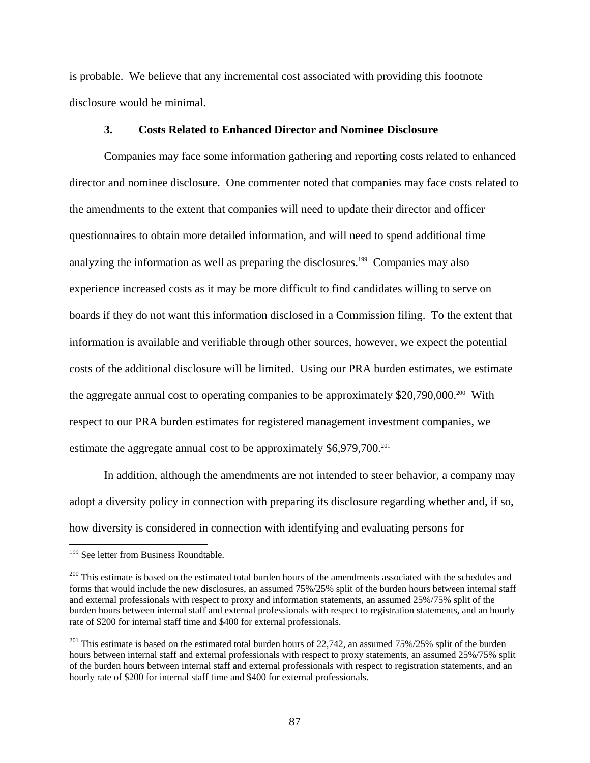is probable. We believe that any incremental cost associated with providing this footnote disclosure would be minimal.

#### **3. Costs Related to Enhanced Director and Nominee Disclosure**

estimate the aggregate annual cost to be approximately \$6,979,700.<sup>201</sup> Companies may face some information gathering and reporting costs related to enhanced director and nominee disclosure. One commenter noted that companies may face costs related to the amendments to the extent that companies will need to update their director and officer questionnaires to obtain more detailed information, and will need to spend additional time analyzing the information as well as preparing the disclosures.<sup>199</sup> Companies may also experience increased costs as it may be more difficult to find candidates willing to serve on boards if they do not want this information disclosed in a Commission filing. To the extent that information is available and verifiable through other sources, however, we expect the potential costs of the additional disclosure will be limited. Using our PRA burden estimates, we estimate the aggregate annual cost to operating companies to be approximately \$20,790,000.<sup>200</sup> With respect to our PRA burden estimates for registered management investment companies, we

In addition, although the amendments are not intended to steer behavior, a company may adopt a diversity policy in connection with preparing its disclosure regarding whether and, if so, how diversity is considered in connection with identifying and evaluating persons for

<sup>&</sup>lt;sup>199</sup> See letter from Business Roundtable.

 and external professionals with respect to proxy and information statements, an assumed 25%/75% split of the rate of \$200 for internal staff time and \$400 for external professionals. <sup>200</sup> This estimate is based on the estimated total burden hours of the amendments associated with the schedules and forms that would include the new disclosures, an assumed 75%/25% split of the burden hours between internal staff burden hours between internal staff and external professionals with respect to registration statements, and an hourly

 hourly rate of \$200 for internal staff time and \$400 for external professionals.  $201$  This estimate is based on the estimated total burden hours of 22,742, an assumed 75%/25% split of the burden hours between internal staff and external professionals with respect to proxy statements, an assumed 25%/75% split of the burden hours between internal staff and external professionals with respect to registration statements, and an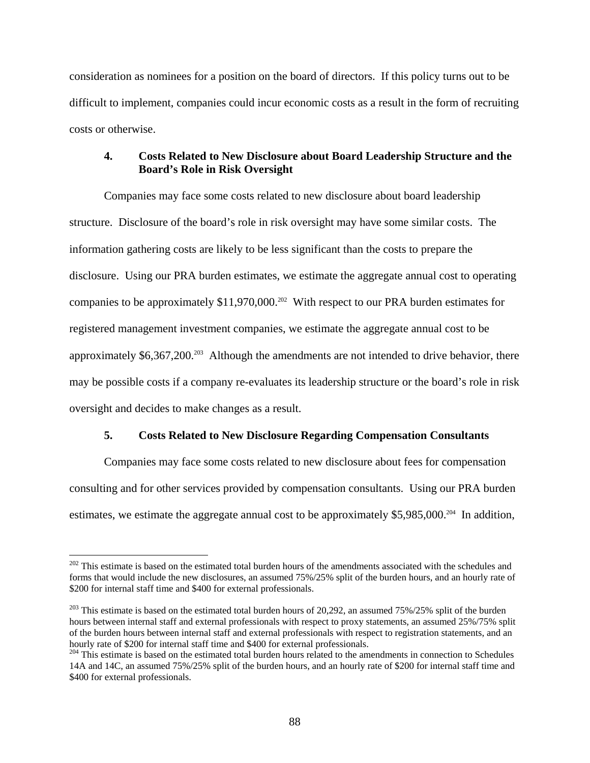consideration as nominees for a position on the board of directors. If this policy turns out to be difficult to implement, companies could incur economic costs as a result in the form of recruiting costs or otherwise.

# **4. Costs Related to New Disclosure about Board Leadership Structure and the Board's Role in Risk Oversight**

Companies may face some costs related to new disclosure about board leadership structure. Disclosure of the board's role in risk oversight may have some similar costs. The information gathering costs are likely to be less significant than the costs to prepare the disclosure. Using our PRA burden estimates, we estimate the aggregate annual cost to operating companies to be approximately \$11,970,000.202 With respect to our PRA burden estimates for registered management investment companies, we estimate the aggregate annual cost to be approximately  $$6,367,200$ <sup>203</sup> Although the amendments are not intended to drive behavior, there may be possible costs if a company re-evaluates its leadership structure or the board's role in risk oversight and decides to make changes as a result.

## **5. Costs Related to New Disclosure Regarding Compensation Consultants**

Companies may face some costs related to new disclosure about fees for compensation consulting and for other services provided by compensation consultants. Using our PRA burden estimates, we estimate the aggregate annual cost to be approximately \$5,985,000.<sup>204</sup> In addition,

 $202$  This estimate is based on the estimated total burden hours of the amendments associated with the schedules and forms that would include the new disclosures, an assumed 75%/25% split of the burden hours, and an hourly rate of \$200 for internal staff time and \$400 for external professionals.

 hourly rate of \$200 for internal staff time and \$400 for external professionals.  $203$  This estimate is based on the estimated total burden hours of 20,292, an assumed 75%/25% split of the burden hours between internal staff and external professionals with respect to proxy statements, an assumed 25%/75% split of the burden hours between internal staff and external professionals with respect to registration statements, and an

<sup>&</sup>lt;sup>204</sup> This estimate is based on the estimated total burden hours related to the amendments in connection to Schedules 14A and 14C, an assumed 75%/25% split of the burden hours, and an hourly rate of \$200 for internal staff time and \$400 for external professionals.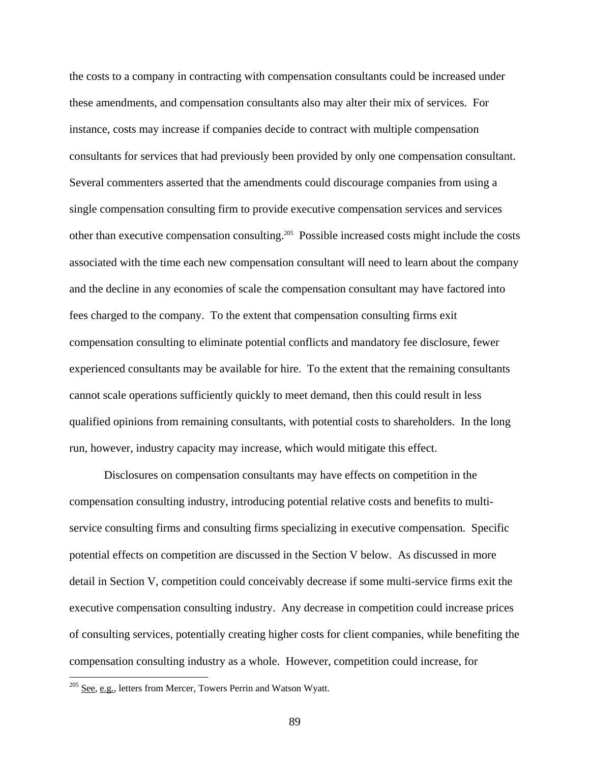the costs to a company in contracting with compensation consultants could be increased under these amendments, and compensation consultants also may alter their mix of services. For instance, costs may increase if companies decide to contract with multiple compensation consultants for services that had previously been provided by only one compensation consultant. Several commenters asserted that the amendments could discourage companies from using a single compensation consulting firm to provide executive compensation services and services other than executive compensation consulting.205 Possible increased costs might include the costs associated with the time each new compensation consultant will need to learn about the company and the decline in any economies of scale the compensation consultant may have factored into fees charged to the company. To the extent that compensation consulting firms exit compensation consulting to eliminate potential conflicts and mandatory fee disclosure, fewer experienced consultants may be available for hire. To the extent that the remaining consultants cannot scale operations sufficiently quickly to meet demand, then this could result in less qualified opinions from remaining consultants, with potential costs to shareholders. In the long run, however, industry capacity may increase, which would mitigate this effect.

Disclosures on compensation consultants may have effects on competition in the compensation consulting industry, introducing potential relative costs and benefits to multiservice consulting firms and consulting firms specializing in executive compensation. Specific potential effects on competition are discussed in the Section V below. As discussed in more detail in Section V, competition could conceivably decrease if some multi-service firms exit the executive compensation consulting industry. Any decrease in competition could increase prices of consulting services, potentially creating higher costs for client companies, while benefiting the compensation consulting industry as a whole. However, competition could increase, for

<u>.</u>

<sup>&</sup>lt;sup>205</sup> See, e.g., letters from Mercer, Towers Perrin and Watson Wyatt.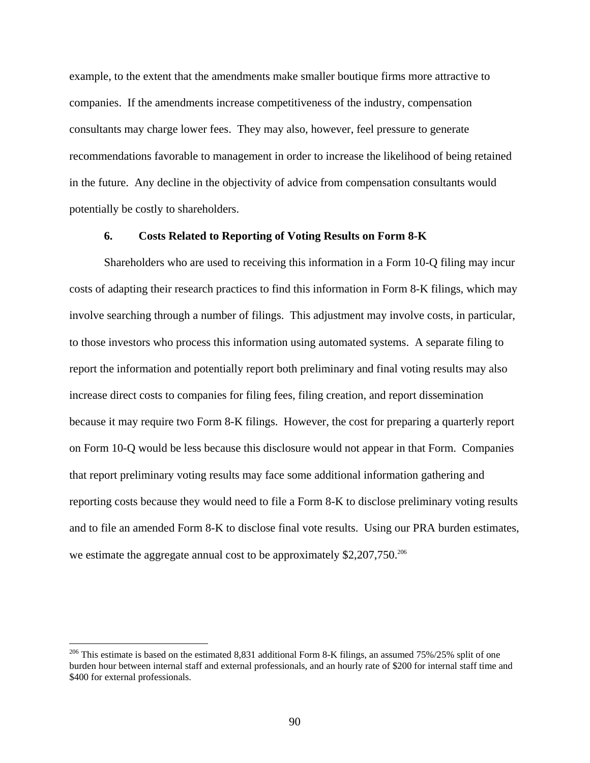example, to the extent that the amendments make smaller boutique firms more attractive to companies. If the amendments increase competitiveness of the industry, compensation consultants may charge lower fees. They may also, however, feel pressure to generate recommendations favorable to management in order to increase the likelihood of being retained in the future. Any decline in the objectivity of advice from compensation consultants would potentially be costly to shareholders.

## **6. Costs Related to Reporting of Voting Results on Form 8-K**

we estimate the aggregate annual cost to be approximately \$2,207,750.<sup>206</sup> Shareholders who are used to receiving this information in a Form 10-Q filing may incur costs of adapting their research practices to find this information in Form 8-K filings, which may involve searching through a number of filings. This adjustment may involve costs, in particular, to those investors who process this information using automated systems. A separate filing to report the information and potentially report both preliminary and final voting results may also increase direct costs to companies for filing fees, filing creation, and report dissemination because it may require two Form 8-K filings. However, the cost for preparing a quarterly report on Form 10-Q would be less because this disclosure would not appear in that Form. Companies that report preliminary voting results may face some additional information gathering and reporting costs because they would need to file a Form 8-K to disclose preliminary voting results and to file an amended Form 8-K to disclose final vote results. Using our PRA burden estimates,

<u>.</u>

 $206$  This estimate is based on the estimated 8,831 additional Form 8-K filings, an assumed 75%/25% split of one burden hour between internal staff and external professionals, and an hourly rate of \$200 for internal staff time and \$400 for external professionals.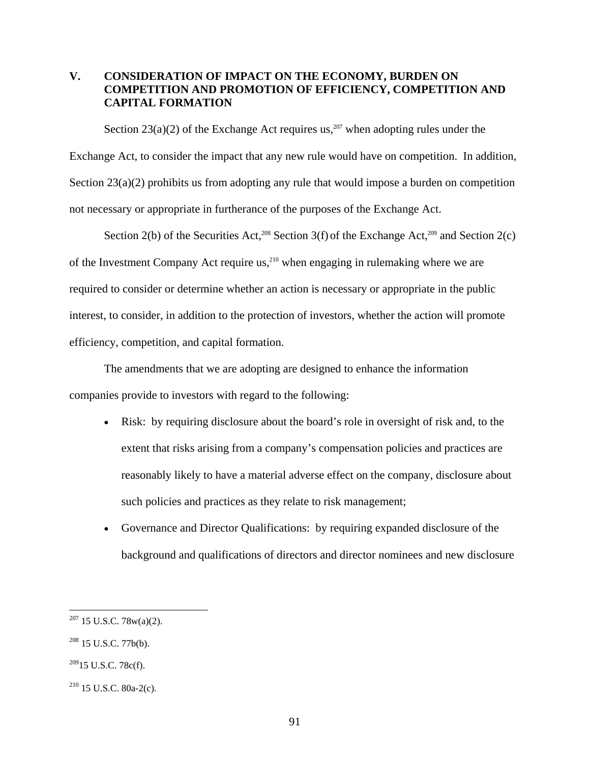# **V. CONSIDERATION OF IMPACT ON THE ECONOMY, BURDEN ON COMPETITION AND PROMOTION OF EFFICIENCY, COMPETITION AND CAPITAL FORMATION**

Section 23(a)(2) of the Exchange Act requires us,<sup>207</sup> when adopting rules under the Exchange Act, to consider the impact that any new rule would have on competition. In addition, Section 23(a)(2) prohibits us from adopting any rule that would impose a burden on competition not necessary or appropriate in furtherance of the purposes of the Exchange Act.

Section 2(b) of the Securities Act,<sup>208</sup> Section 3(f) of the Exchange Act,<sup>209</sup> and Section 2(c) of the Investment Company Act require us,<sup>210</sup> when engaging in rulemaking where we are required to consider or determine whether an action is necessary or appropriate in the public interest, to consider, in addition to the protection of investors, whether the action will promote efficiency, competition, and capital formation.

The amendments that we are adopting are designed to enhance the information companies provide to investors with regard to the following:

- Risk: by requiring disclosure about the board's role in oversight of risk and, to the extent that risks arising from a company's compensation policies and practices are reasonably likely to have a material adverse effect on the company, disclosure about such policies and practices as they relate to risk management;
- Governance and Director Qualifications: by requiring expanded disclosure of the background and qualifications of directors and director nominees and new disclosure

 $\overline{a}$ 

 $207$  15 U.S.C. 78w(a)(2).

<sup>208 15</sup> U.S.C. 77b(b).

 $209$ 15 U.S.C. 78c(f).

 $210$  15 U.S.C. 80a-2(c).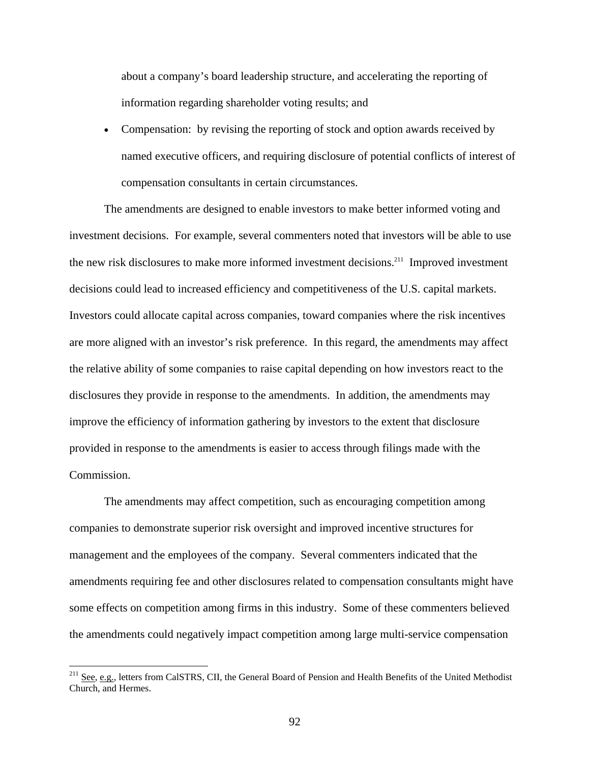about a company's board leadership structure, and accelerating the reporting of information regarding shareholder voting results; and

• Compensation: by revising the reporting of stock and option awards received by named executive officers, and requiring disclosure of potential conflicts of interest of compensation consultants in certain circumstances.

The amendments are designed to enable investors to make better informed voting and investment decisions. For example, several commenters noted that investors will be able to use the new risk disclosures to make more informed investment decisions.211 Improved investment decisions could lead to increased efficiency and competitiveness of the U.S. capital markets. Investors could allocate capital across companies, toward companies where the risk incentives are more aligned with an investor's risk preference. In this regard, the amendments may affect the relative ability of some companies to raise capital depending on how investors react to the disclosures they provide in response to the amendments. In addition, the amendments may improve the efficiency of information gathering by investors to the extent that disclosure provided in response to the amendments is easier to access through filings made with the Commission.

The amendments may affect competition, such as encouraging competition among companies to demonstrate superior risk oversight and improved incentive structures for management and the employees of the company. Several commenters indicated that the amendments requiring fee and other disclosures related to compensation consultants might have some effects on competition among firms in this industry. Some of these commenters believed the amendments could negatively impact competition among large multi-service compensation

 $\overline{a}$ 

<sup>&</sup>lt;sup>211</sup> See, e.g., letters from CalSTRS, CII, the General Board of Pension and Health Benefits of the United Methodist Church, and Hermes.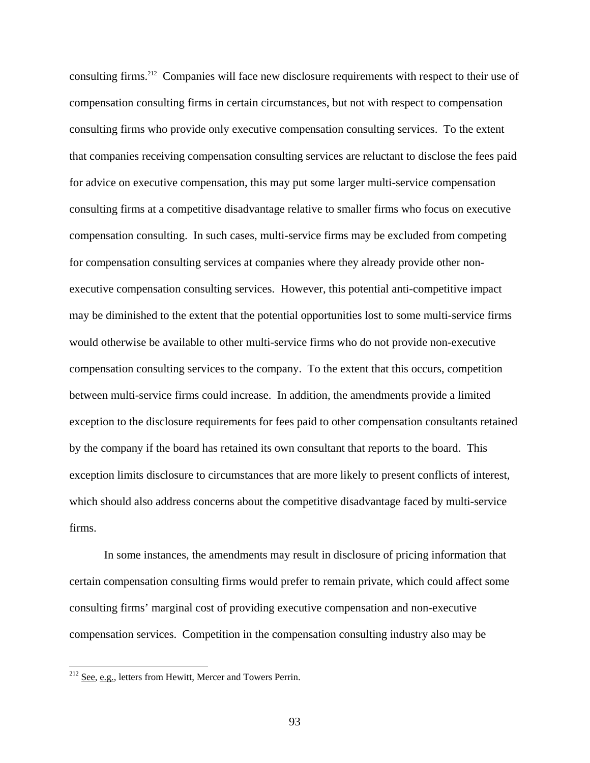consulting firms.212 Companies will face new disclosure requirements with respect to their use of compensation consulting firms in certain circumstances, but not with respect to compensation consulting firms who provide only executive compensation consulting services. To the extent that companies receiving compensation consulting services are reluctant to disclose the fees paid for advice on executive compensation, this may put some larger multi-service compensation consulting firms at a competitive disadvantage relative to smaller firms who focus on executive compensation consulting. In such cases, multi-service firms may be excluded from competing for compensation consulting services at companies where they already provide other nonexecutive compensation consulting services. However, this potential anti-competitive impact may be diminished to the extent that the potential opportunities lost to some multi-service firms would otherwise be available to other multi-service firms who do not provide non-executive compensation consulting services to the company. To the extent that this occurs, competition between multi-service firms could increase. In addition, the amendments provide a limited exception to the disclosure requirements for fees paid to other compensation consultants retained by the company if the board has retained its own consultant that reports to the board. This exception limits disclosure to circumstances that are more likely to present conflicts of interest, which should also address concerns about the competitive disadvantage faced by multi-service firms.

In some instances, the amendments may result in disclosure of pricing information that certain compensation consulting firms would prefer to remain private, which could affect some consulting firms' marginal cost of providing executive compensation and non-executive compensation services. Competition in the compensation consulting industry also may be

 $2^{12}$  See, e.g., letters from Hewitt, Mercer and Towers Perrin.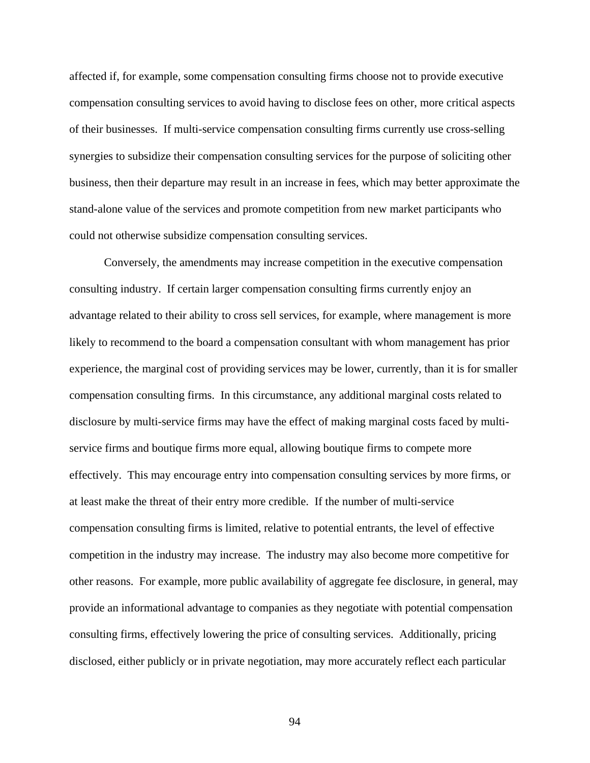affected if, for example, some compensation consulting firms choose not to provide executive compensation consulting services to avoid having to disclose fees on other, more critical aspects of their businesses. If multi-service compensation consulting firms currently use cross-selling synergies to subsidize their compensation consulting services for the purpose of soliciting other business, then their departure may result in an increase in fees, which may better approximate the stand-alone value of the services and promote competition from new market participants who could not otherwise subsidize compensation consulting services.

Conversely, the amendments may increase competition in the executive compensation consulting industry. If certain larger compensation consulting firms currently enjoy an advantage related to their ability to cross sell services, for example, where management is more likely to recommend to the board a compensation consultant with whom management has prior experience, the marginal cost of providing services may be lower, currently, than it is for smaller compensation consulting firms. In this circumstance, any additional marginal costs related to disclosure by multi-service firms may have the effect of making marginal costs faced by multiservice firms and boutique firms more equal, allowing boutique firms to compete more effectively. This may encourage entry into compensation consulting services by more firms, or at least make the threat of their entry more credible. If the number of multi-service compensation consulting firms is limited, relative to potential entrants, the level of effective competition in the industry may increase. The industry may also become more competitive for other reasons. For example, more public availability of aggregate fee disclosure, in general, may provide an informational advantage to companies as they negotiate with potential compensation consulting firms, effectively lowering the price of consulting services. Additionally, pricing disclosed, either publicly or in private negotiation, may more accurately reflect each particular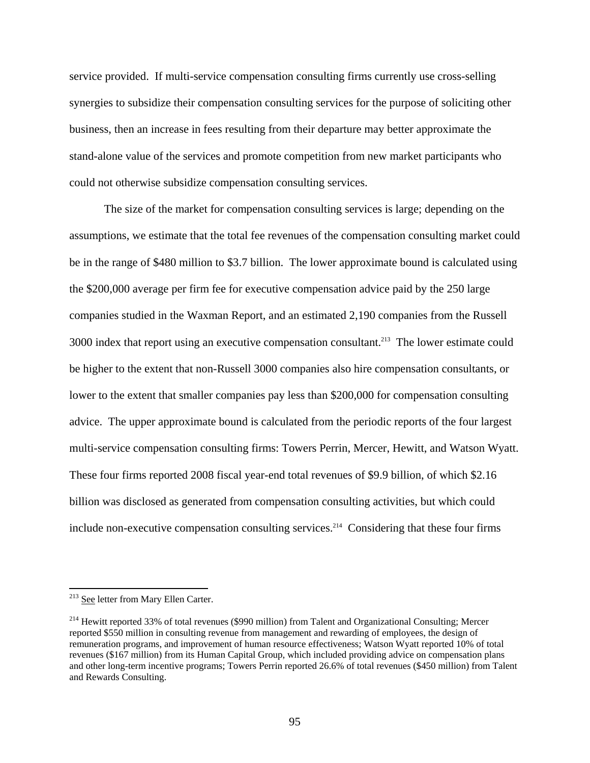service provided. If multi-service compensation consulting firms currently use cross-selling synergies to subsidize their compensation consulting services for the purpose of soliciting other business, then an increase in fees resulting from their departure may better approximate the stand-alone value of the services and promote competition from new market participants who could not otherwise subsidize compensation consulting services.

The size of the market for compensation consulting services is large; depending on the assumptions, we estimate that the total fee revenues of the compensation consulting market could be in the range of \$480 million to \$3.7 billion. The lower approximate bound is calculated using the \$200,000 average per firm fee for executive compensation advice paid by the 250 large companies studied in the Waxman Report, and an estimated 2,190 companies from the Russell 3000 index that report using an executive compensation consultant.<sup>213</sup> The lower estimate could be higher to the extent that non-Russell 3000 companies also hire compensation consultants, or lower to the extent that smaller companies pay less than \$200,000 for compensation consulting advice. The upper approximate bound is calculated from the periodic reports of the four largest multi-service compensation consulting firms: Towers Perrin, Mercer, Hewitt, and Watson Wyatt. These four firms reported 2008 fiscal year-end total revenues of \$9.9 billion, of which \$2.16 billion was disclosed as generated from compensation consulting activities, but which could include non-executive compensation consulting services.<sup>214</sup> Considering that these four firms

<sup>&</sup>lt;sup>213</sup> See letter from Mary Ellen Carter.

 reported \$550 million in consulting revenue from management and rewarding of employees, the design of remuneration programs, and improvement of human resource effectiveness; Watson Wyatt reported 10% of total <sup>214</sup> Hewitt reported 33% of total revenues (\$990 million) from Talent and Organizational Consulting; Mercer revenues (\$167 million) from its Human Capital Group, which included providing advice on compensation plans and other long-term incentive programs; Towers Perrin reported 26.6% of total revenues (\$450 million) from Talent and Rewards Consulting.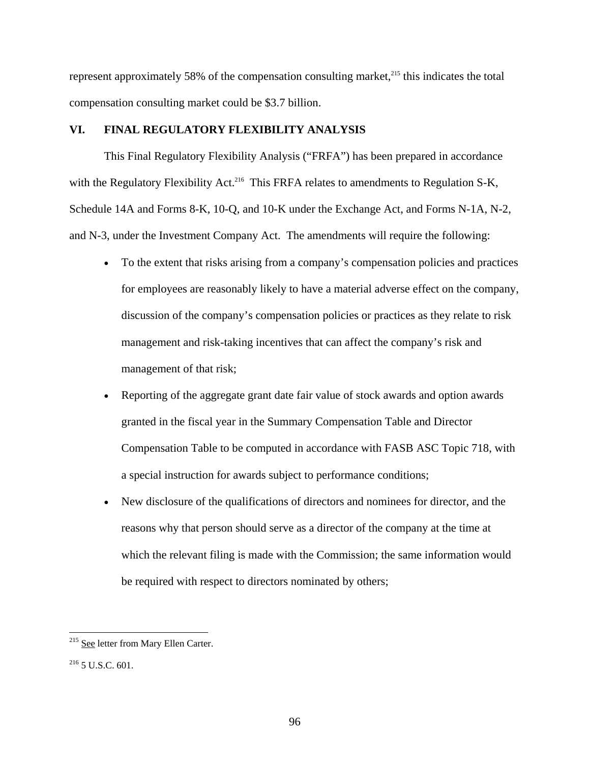represent approximately 58% of the compensation consulting market, $^{215}$  this indicates the total compensation consulting market could be \$3.7 billion.

# **VI. FINAL REGULATORY FLEXIBILITY ANALYSIS**

This Final Regulatory Flexibility Analysis ("FRFA") has been prepared in accordance with the Regulatory Flexibility Act.<sup>216</sup> This FRFA relates to amendments to Regulation S-K, Schedule 14A and Forms 8-K, 10-Q, and 10-K under the Exchange Act, and Forms N-1A, N-2, and N-3, under the Investment Company Act. The amendments will require the following:

- To the extent that risks arising from a company's compensation policies and practices for employees are reasonably likely to have a material adverse effect on the company, discussion of the company's compensation policies or practices as they relate to risk management and risk-taking incentives that can affect the company's risk and management of that risk;
- Reporting of the aggregate grant date fair value of stock awards and option awards granted in the fiscal year in the Summary Compensation Table and Director Compensation Table to be computed in accordance with FASB ASC Topic 718, with a special instruction for awards subject to performance conditions;
- New disclosure of the qualifications of directors and nominees for director, and the reasons why that person should serve as a director of the company at the time at which the relevant filing is made with the Commission; the same information would be required with respect to directors nominated by others;

 $\overline{a}$ 

<sup>&</sup>lt;sup>215</sup> See letter from Mary Ellen Carter.

<sup>&</sup>lt;sup>216</sup> 5 U.S.C. 601.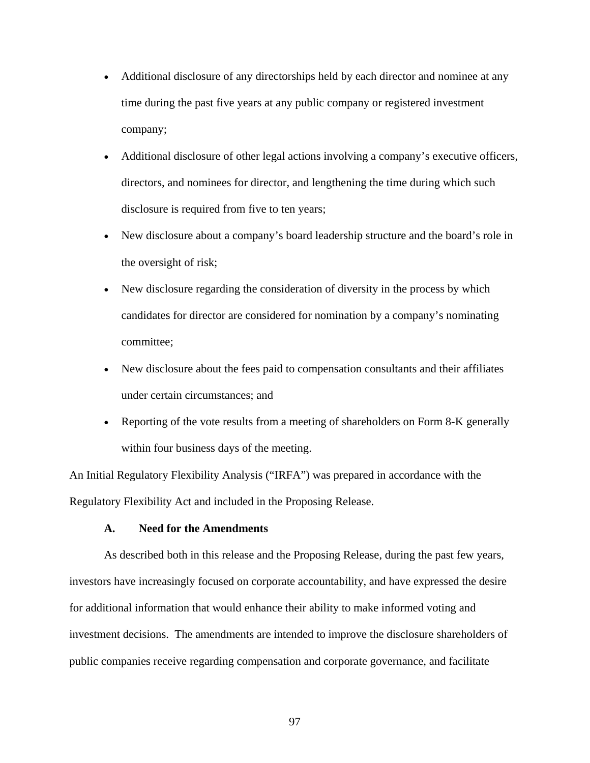- Additional disclosure of any directorships held by each director and nominee at any time during the past five years at any public company or registered investment company;
- Additional disclosure of other legal actions involving a company's executive officers, directors, and nominees for director, and lengthening the time during which such disclosure is required from five to ten years;
- New disclosure about a company's board leadership structure and the board's role in the oversight of risk;
- New disclosure regarding the consideration of diversity in the process by which candidates for director are considered for nomination by a company's nominating committee;
- New disclosure about the fees paid to compensation consultants and their affiliates under certain circumstances; and
- Reporting of the vote results from a meeting of shareholders on Form 8-K generally within four business days of the meeting.

An Initial Regulatory Flexibility Analysis ("IRFA") was prepared in accordance with the Regulatory Flexibility Act and included in the Proposing Release.

#### **A. Need for the Amendments**

As described both in this release and the Proposing Release, during the past few years, investors have increasingly focused on corporate accountability, and have expressed the desire for additional information that would enhance their ability to make informed voting and investment decisions. The amendments are intended to improve the disclosure shareholders of public companies receive regarding compensation and corporate governance, and facilitate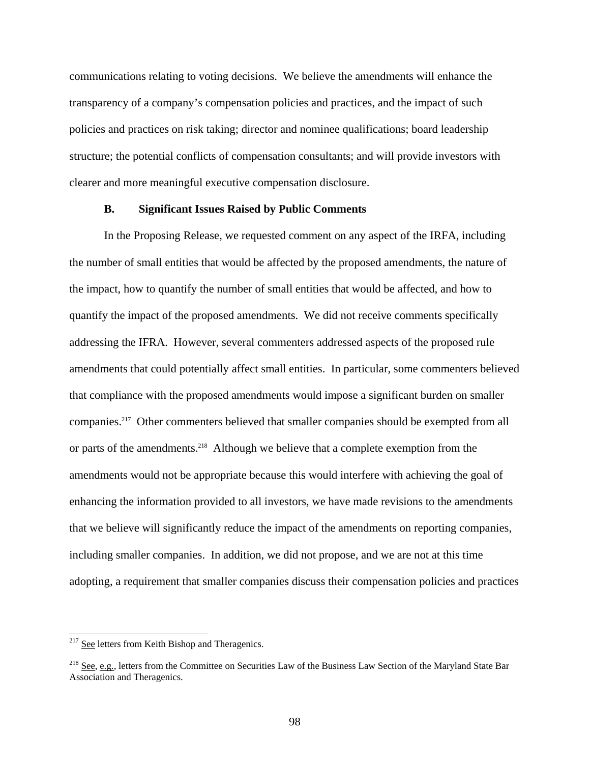communications relating to voting decisions. We believe the amendments will enhance the transparency of a company's compensation policies and practices, and the impact of such policies and practices on risk taking; director and nominee qualifications; board leadership structure; the potential conflicts of compensation consultants; and will provide investors with clearer and more meaningful executive compensation disclosure.

#### **B. Significant Issues Raised by Public Comments**

In the Proposing Release, we requested comment on any aspect of the IRFA, including the number of small entities that would be affected by the proposed amendments, the nature of the impact, how to quantify the number of small entities that would be affected, and how to quantify the impact of the proposed amendments. We did not receive comments specifically addressing the IFRA. However, several commenters addressed aspects of the proposed rule amendments that could potentially affect small entities. In particular, some commenters believed that compliance with the proposed amendments would impose a significant burden on smaller companies.217 Other commenters believed that smaller companies should be exempted from all or parts of the amendments.<sup>218</sup> Although we believe that a complete exemption from the amendments would not be appropriate because this would interfere with achieving the goal of enhancing the information provided to all investors, we have made revisions to the amendments that we believe will significantly reduce the impact of the amendments on reporting companies, including smaller companies. In addition, we did not propose, and we are not at this time adopting, a requirement that smaller companies discuss their compensation policies and practices

<sup>&</sup>lt;sup>217</sup> See letters from Keith Bishop and Theragenics.

Association and Theragenics. <sup>218</sup> See, e.g., letters from the Committee on Securities Law of the Business Law Section of the Maryland State Bar Association and Theragenics.<br>
98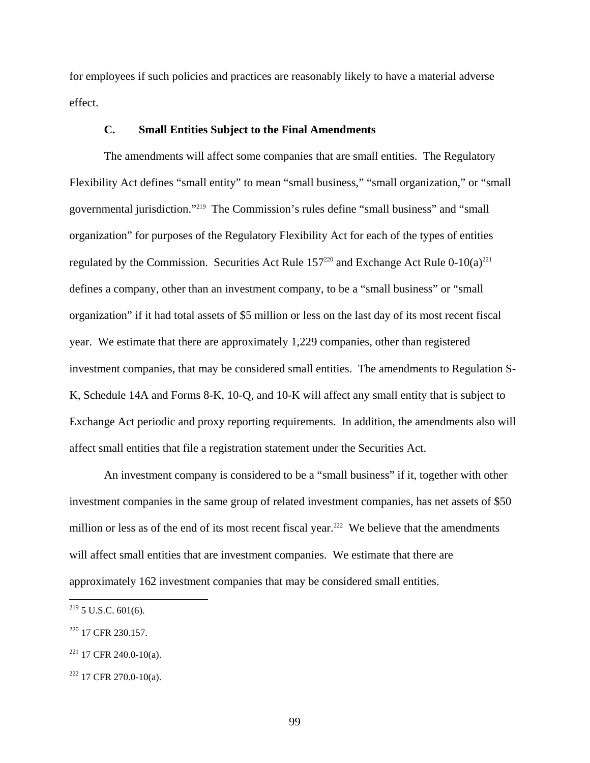for employees if such policies and practices are reasonably likely to have a material adverse effect.

## **C. Small Entities Subject to the Final Amendments**

The amendments will affect some companies that are small entities. The Regulatory Flexibility Act defines "small entity" to mean "small business," "small organization," or "small governmental jurisdiction."219 The Commission's rules define "small business" and "small organization" for purposes of the Regulatory Flexibility Act for each of the types of entities regulated by the Commission. Securities Act Rule  $157^{220}$  and Exchange Act Rule  $0-10(a)^{221}$ defines a company, other than an investment company, to be a "small business" or "small organization" if it had total assets of \$5 million or less on the last day of its most recent fiscal year. We estimate that there are approximately 1,229 companies, other than registered investment companies, that may be considered small entities. The amendments to Regulation S-K, Schedule 14A and Forms 8-K, 10-Q, and 10-K will affect any small entity that is subject to Exchange Act periodic and proxy reporting requirements. In addition, the amendments also will affect small entities that file a registration statement under the Securities Act.

An investment company is considered to be a "small business" if it, together with other investment companies in the same group of related investment companies, has net assets of \$50 million or less as of the end of its most recent fiscal year.<sup>222</sup> We believe that the amendments will affect small entities that are investment companies. We estimate that there are approximately 162 investment companies that may be considered small entities.

- <sup>220</sup> 17 CFR 230.157.
- <sup>221</sup> 17 CFR 240.0-10(a).
- $222$  17 CFR 270.0-10(a).

 $219$  5 U.S.C. 601(6).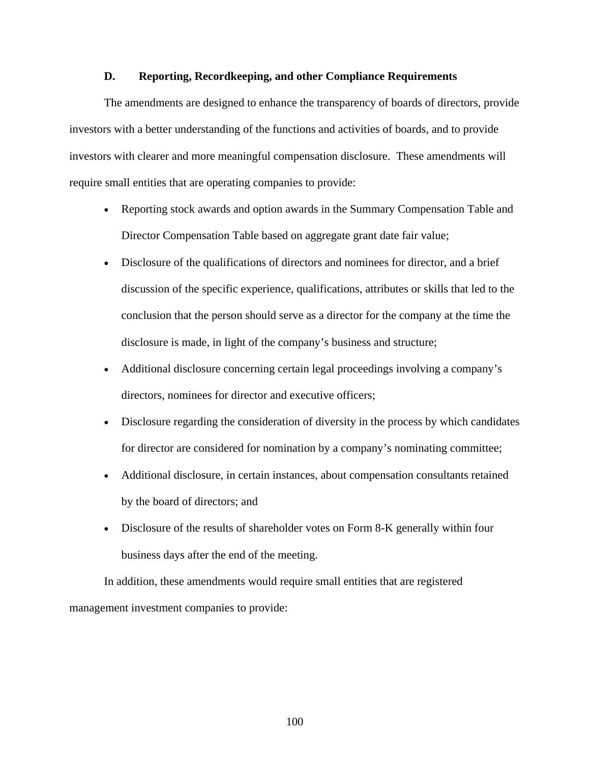#### **D. Reporting, Recordkeeping, and other Compliance Requirements**

The amendments are designed to enhance the transparency of boards of directors, provide investors with a better understanding of the functions and activities of boards, and to provide investors with clearer and more meaningful compensation disclosure. These amendments will require small entities that are operating companies to provide:

- Reporting stock awards and option awards in the Summary Compensation Table and Director Compensation Table based on aggregate grant date fair value;
- Disclosure of the qualifications of directors and nominees for director, and a brief discussion of the specific experience, qualifications, attributes or skills that led to the conclusion that the person should serve as a director for the company at the time the disclosure is made, in light of the company's business and structure;
- Additional disclosure concerning certain legal proceedings involving a company's directors, nominees for director and executive officers;
- Disclosure regarding the consideration of diversity in the process by which candidates for director are considered for nomination by a company's nominating committee;
- Additional disclosure, in certain instances, about compensation consultants retained by the board of directors; and
- Disclosure of the results of shareholder votes on Form 8-K generally within four business days after the end of the meeting.

In addition, these amendments would require small entities that are registered management investment companies to provide: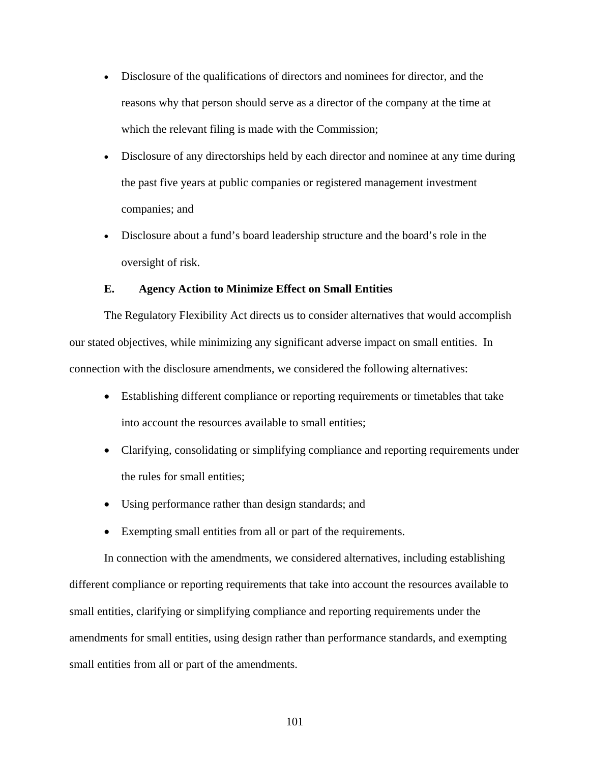- Disclosure of the qualifications of directors and nominees for director, and the reasons why that person should serve as a director of the company at the time at which the relevant filing is made with the Commission;
- Disclosure of any directorships held by each director and nominee at any time during the past five years at public companies or registered management investment companies; and
- Disclosure about a fund's board leadership structure and the board's role in the oversight of risk.

#### **E. Agency Action to Minimize Effect on Small Entities**

The Regulatory Flexibility Act directs us to consider alternatives that would accomplish our stated objectives, while minimizing any significant adverse impact on small entities. In connection with the disclosure amendments, we considered the following alternatives:

- Establishing different compliance or reporting requirements or timetables that take into account the resources available to small entities;
- Clarifying, consolidating or simplifying compliance and reporting requirements under the rules for small entities;
- Using performance rather than design standards; and
- Exempting small entities from all or part of the requirements.

In connection with the amendments, we considered alternatives, including establishing different compliance or reporting requirements that take into account the resources available to small entities, clarifying or simplifying compliance and reporting requirements under the amendments for small entities, using design rather than performance standards, and exempting small entities from all or part of the amendments.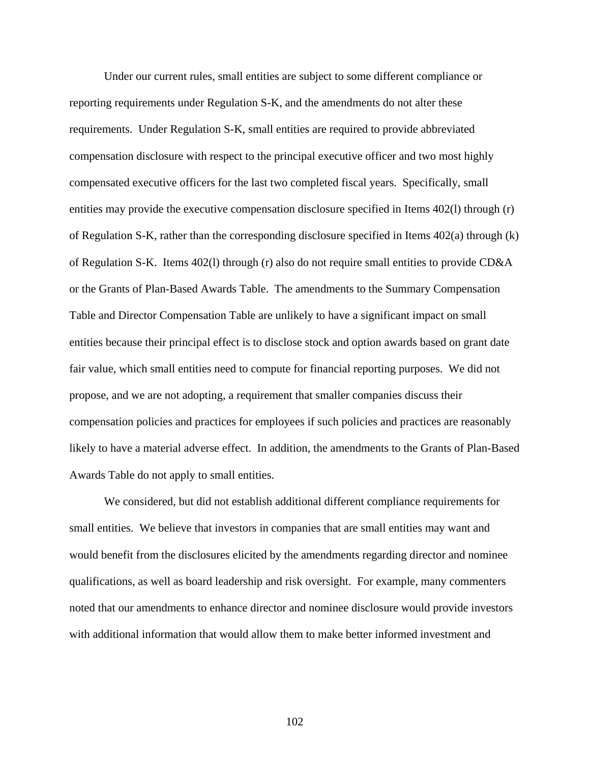Under our current rules, small entities are subject to some different compliance or reporting requirements under Regulation S-K, and the amendments do not alter these requirements. Under Regulation S-K, small entities are required to provide abbreviated compensation disclosure with respect to the principal executive officer and two most highly compensated executive officers for the last two completed fiscal years. Specifically, small entities may provide the executive compensation disclosure specified in Items 402(l) through (r) of Regulation S-K, rather than the corresponding disclosure specified in Items  $402(a)$  through (k) of Regulation S-K. Items 402(l) through (r) also do not require small entities to provide CD&A or the Grants of Plan-Based Awards Table. The amendments to the Summary Compensation Table and Director Compensation Table are unlikely to have a significant impact on small entities because their principal effect is to disclose stock and option awards based on grant date fair value, which small entities need to compute for financial reporting purposes. We did not propose, and we are not adopting, a requirement that smaller companies discuss their compensation policies and practices for employees if such policies and practices are reasonably likely to have a material adverse effect. In addition, the amendments to the Grants of Plan-Based Awards Table do not apply to small entities.

We considered, but did not establish additional different compliance requirements for small entities. We believe that investors in companies that are small entities may want and would benefit from the disclosures elicited by the amendments regarding director and nominee qualifications, as well as board leadership and risk oversight. For example, many commenters noted that our amendments to enhance director and nominee disclosure would provide investors with additional information that would allow them to make better informed investment and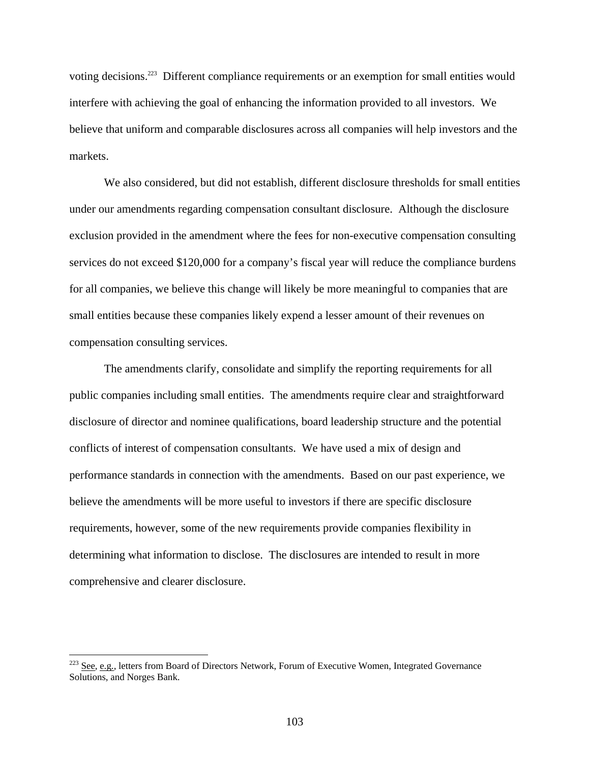voting decisions.<sup>223</sup> Different compliance requirements or an exemption for small entities would interfere with achieving the goal of enhancing the information provided to all investors. We believe that uniform and comparable disclosures across all companies will help investors and the markets.

We also considered, but did not establish, different disclosure thresholds for small entities under our amendments regarding compensation consultant disclosure. Although the disclosure exclusion provided in the amendment where the fees for non-executive compensation consulting services do not exceed \$120,000 for a company's fiscal year will reduce the compliance burdens for all companies, we believe this change will likely be more meaningful to companies that are small entities because these companies likely expend a lesser amount of their revenues on compensation consulting services.

The amendments clarify, consolidate and simplify the reporting requirements for all public companies including small entities. The amendments require clear and straightforward disclosure of director and nominee qualifications, board leadership structure and the potential conflicts of interest of compensation consultants. We have used a mix of design and performance standards in connection with the amendments. Based on our past experience, we believe the amendments will be more useful to investors if there are specific disclosure requirements, however, some of the new requirements provide companies flexibility in determining what information to disclose. The disclosures are intended to result in more comprehensive and clearer disclosure.

<sup>&</sup>lt;sup>223</sup> See, e.g., letters from Board of Directors Network, Forum of Executive Women, Integrated Governance Solutions, and Norges Bank.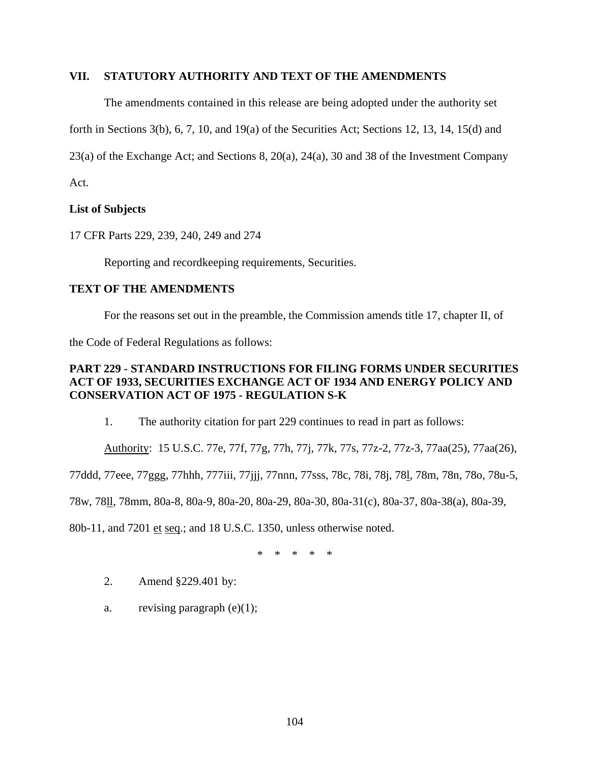## **VII. STATUTORY AUTHORITY AND TEXT OF THE AMENDMENTS**

The amendments contained in this release are being adopted under the authority set

forth in Sections 3(b), 6, 7, 10, and 19(a) of the Securities Act; Sections 12, 13, 14, 15(d) and

23(a) of the Exchange Act; and Sections 8, 20(a), 24(a), 30 and 38 of the Investment Company

Act.

## **List of Subjects**

17 CFR Parts 229, 239, 240, 249 and 274

Reporting and recordkeeping requirements, Securities.

# **TEXT OF THE AMENDMENTS**

For the reasons set out in the preamble, the Commission amends title 17, chapter II, of

the Code of Federal Regulations as follows:

## **PART 229 - STANDARD INSTRUCTIONS FOR FILING FORMS UNDER SECURITIES ACT OF 1933, SECURITIES EXCHANGE ACT OF 1934 AND ENERGY POLICY AND CONSERVATION ACT OF 1975 - REGULATION S-K**

1. The authority citation for part 229 continues to read in part as follows:

Authority: 15 U.S.C. 77e, 77f, 77g, 77h, 77j, 77k, 77s, 77z-2, 77z-3, 77aa(25), 77aa(26),

77ddd, 77eee, 77ggg, 77hhh, 777iii, 77jjj, 77nnn, 77sss, 78c, 78i, 78j, 78l, 78m, 78n, 78o, 78u-5,

78w, 78ll, 78mm, 80a-8, 80a-9, 80a-20, 80a-29, 80a-30, 80a-31(c), 80a-37, 80a-38(a), 80a-39,

80b-11, and 7201 et seq.; and 18 U.S.C. 1350, unless otherwise noted.

\* \* \* \* \*

- 2. Amend §229.401 by:
- a. revising paragraph  $(e)(1)$ ;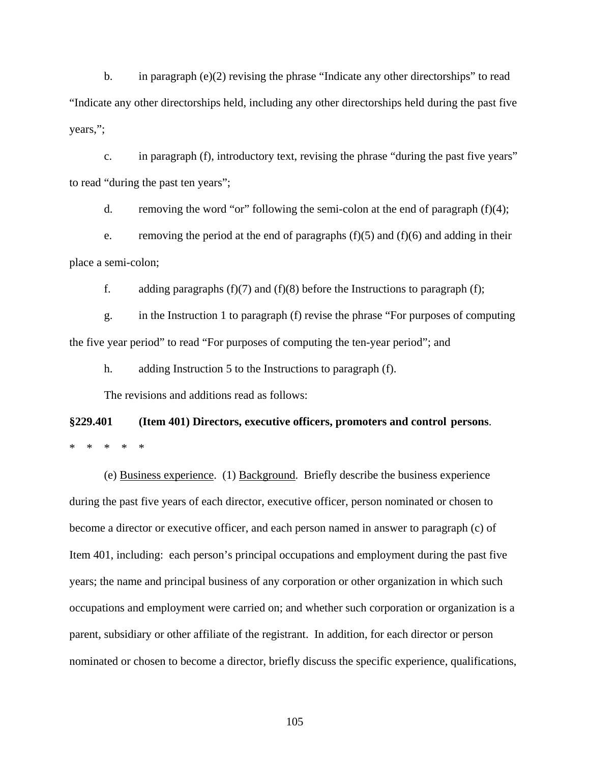b. in paragraph (e)(2) revising the phrase "Indicate any other directorships" to read "Indicate any other directorships held, including any other directorships held during the past five years,";

c. in paragraph (f), introductory text, revising the phrase "during the past five years" to read "during the past ten years";

d. removing the word "or" following the semi-colon at the end of paragraph  $(f)(4)$ ;

e. removing the period at the end of paragraphs  $(f)(5)$  and  $(f)(6)$  and adding in their place a semi-colon;

f. adding paragraphs  $(f)(7)$  and  $(f)(8)$  before the Instructions to paragraph  $(f)$ ;

g. in the Instruction 1 to paragraph (f) revise the phrase "For purposes of computing the five year period" to read "For purposes of computing the ten-year period"; and

h. adding Instruction 5 to the Instructions to paragraph (f).

The revisions and additions read as follows:

# **§229.401 (Item 401) Directors, executive officers, promoters and control persons**. \* \* \* \* \*

(e) Business experience. (1) Background. Briefly describe the business experience during the past five years of each director, executive officer, person nominated or chosen to become a director or executive officer, and each person named in answer to paragraph (c) of Item 401, including: each person's principal occupations and employment during the past five years; the name and principal business of any corporation or other organization in which such occupations and employment were carried on; and whether such corporation or organization is a parent, subsidiary or other affiliate of the registrant. In addition, for each director or person nominated or chosen to become a director, briefly discuss the specific experience, qualifications,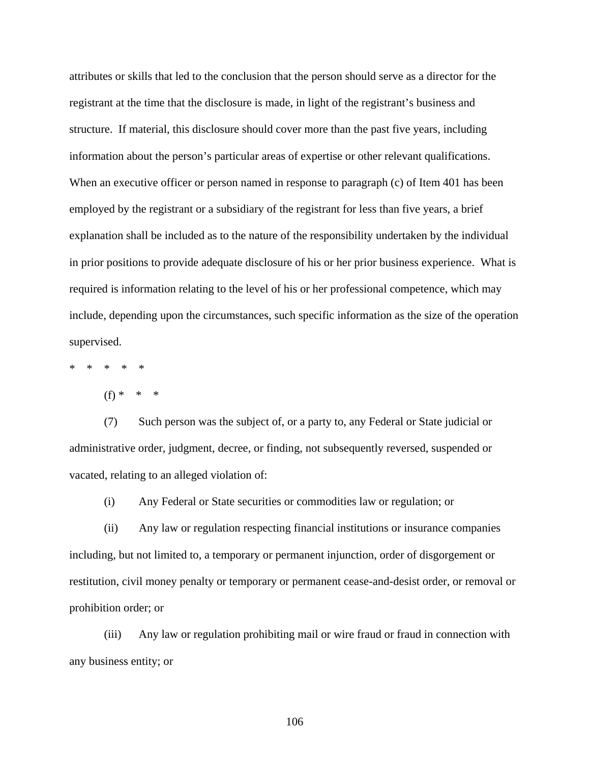attributes or skills that led to the conclusion that the person should serve as a director for the registrant at the time that the disclosure is made, in light of the registrant's business and structure. If material, this disclosure should cover more than the past five years, including information about the person's particular areas of expertise or other relevant qualifications. When an executive officer or person named in response to paragraph (c) of Item 401 has been employed by the registrant or a subsidiary of the registrant for less than five years, a brief explanation shall be included as to the nature of the responsibility undertaken by the individual in prior positions to provide adequate disclosure of his or her prior business experience. What is required is information relating to the level of his or her professional competence, which may include, depending upon the circumstances, such specific information as the size of the operation supervised.

\* \* \* \* \*

(f) \* \* \*

(7) Such person was the subject of, or a party to, any Federal or State judicial or administrative order, judgment, decree, or finding, not subsequently reversed, suspended or vacated, relating to an alleged violation of:

(i) Any Federal or State securities or commodities law or regulation; or

(ii) Any law or regulation respecting financial institutions or insurance companies including, but not limited to, a temporary or permanent injunction, order of disgorgement or restitution, civil money penalty or temporary or permanent cease-and-desist order, or removal or prohibition order; or

(iii) Any law or regulation prohibiting mail or wire fraud or fraud in connection with any business entity; or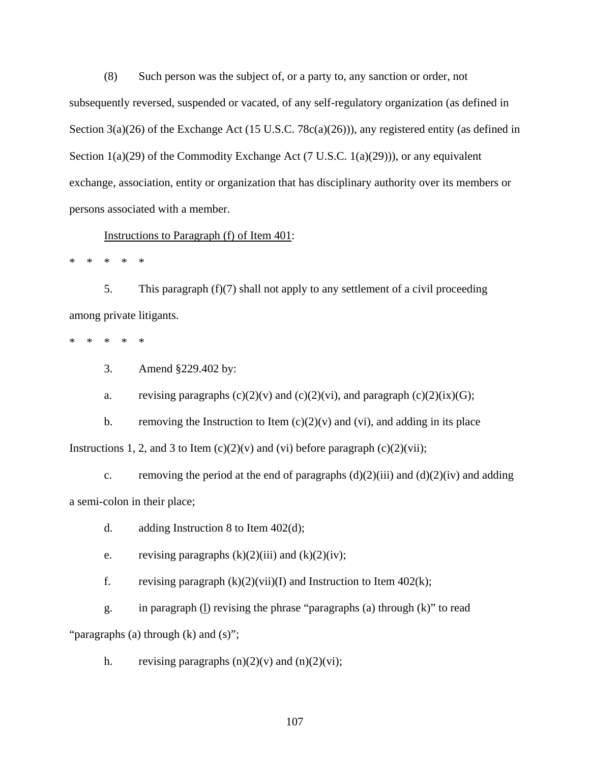(8) Such person was the subject of, or a party to, any sanction or order, not subsequently reversed, suspended or vacated, of any self-regulatory organization (as defined in Section 3(a)(26) of the Exchange Act (15 U.S.C. 78c(a)(26))), any registered entity (as defined in Section 1(a)(29) of the Commodity Exchange Act (7 U.S.C. 1(a)(29))), or any equivalent exchange, association, entity or organization that has disciplinary authority over its members or persons associated with a member.

#### Instructions to Paragraph (f) of Item 401:

\* \* \* \* \*

5. This paragraph (f)(7) shall not apply to any settlement of a civil proceeding among private litigants.

\* \* \* \* \*

3. Amend §229.402 by:

a. revising paragraphs  $(c)(2)(v)$  and  $(c)(2)(vi)$ , and paragraph  $(c)(2)(ix)(G);$ 

b. removing the Instruction to Item  $(c)(2)(v)$  and  $(vi)$ , and adding in its place

Instructions 1, 2, and 3 to Item  $(c)(2)(v)$  and  $(vi)$  before paragraph  $(c)(2)(vi)$ ;

c. removing the period at the end of paragraphs  $(d)(2)(iii)$  and  $(d)(2)(iv)$  and adding a semi-colon in their place;

d. adding Instruction 8 to Item 402(d);

e. revising paragraphs  $(k)(2)(iii)$  and  $(k)(2)(iv)$ ;

f. revising paragraph  $(k)(2)(vi)(I)$  and Instruction to Item 402 $(k)$ ;

g. in paragraph (l) revising the phrase "paragraphs (a) through (k)" to read "paragraphs (a) through (k) and (s)";

h. revising paragraphs  $(n)(2)(v)$  and  $(n)(2)(vi)$ ;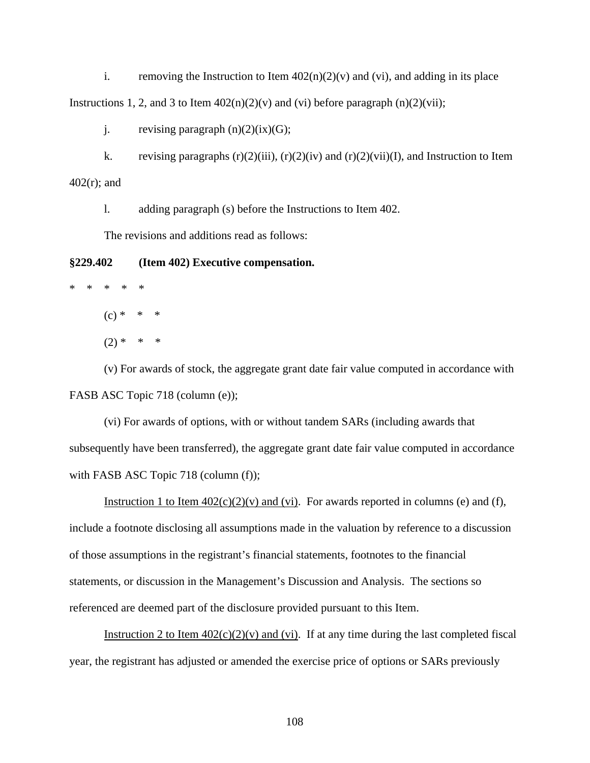i. removing the Instruction to Item  $402(n)(2)(v)$  and (vi), and adding in its place Instructions 1, 2, and 3 to Item  $402(n)(2)(v)$  and (vi) before paragraph (n)(2)(vii);

j. revising paragraph  $(n)(2)(ix)(G);$ 

k. revising paragraphs  $(r)(2)(iii)$ ,  $(r)(2)(iv)$  and  $(r)(2)(vii)(I)$ , and Instruction to Item  $402(r)$ ; and

l. adding paragraph (s) before the Instructions to Item 402.

The revisions and additions read as follows:

#### **§229.402 (Item 402) Executive compensation.**

- \* \* \* \* \*
	- $(c) * * * *$
	- $(2) * * * *$

(v) For awards of stock, the aggregate grant date fair value computed in accordance with FASB ASC Topic 718 (column (e));

(vi) For awards of options, with or without tandem SARs (including awards that subsequently have been transferred), the aggregate grant date fair value computed in accordance with FASB ASC Topic 718 (column (f));

Instruction 1 to Item  $402(c)(2)(v)$  and (vi). For awards reported in columns (e) and (f), include a footnote disclosing all assumptions made in the valuation by reference to a discussion of those assumptions in the registrant's financial statements, footnotes to the financial statements, or discussion in the Management's Discussion and Analysis. The sections so referenced are deemed part of the disclosure provided pursuant to this Item.

Instruction 2 to Item  $402(c)(2)(v)$  and (vi). If at any time during the last completed fiscal year, the registrant has adjusted or amended the exercise price of options or SARs previously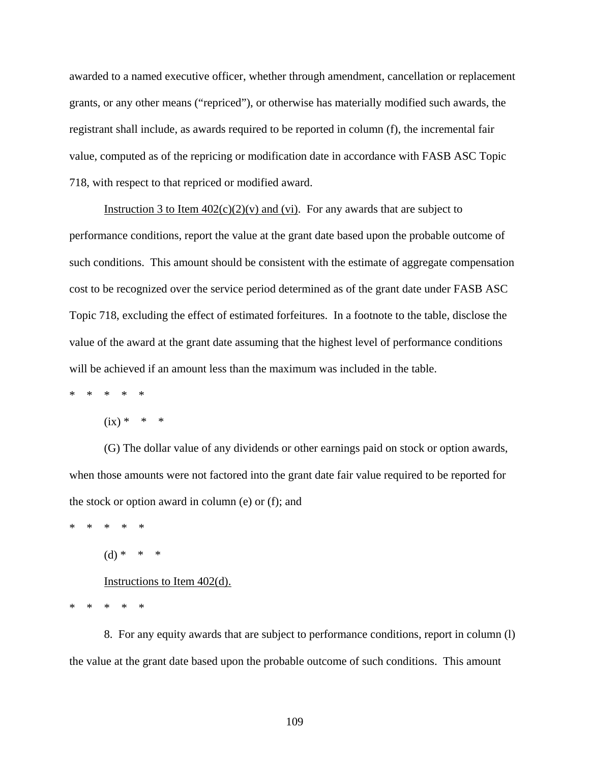awarded to a named executive officer, whether through amendment, cancellation or replacement grants, or any other means ("repriced"), or otherwise has materially modified such awards, the registrant shall include, as awards required to be reported in column (f), the incremental fair value, computed as of the repricing or modification date in accordance with FASB ASC Topic 718, with respect to that repriced or modified award.

Instruction 3 to Item  $402(c)(2)(v)$  and (vi). For any awards that are subject to performance conditions, report the value at the grant date based upon the probable outcome of such conditions. This amount should be consistent with the estimate of aggregate compensation cost to be recognized over the service period determined as of the grant date under FASB ASC Topic 718, excluding the effect of estimated forfeitures. In a footnote to the table, disclose the value of the award at the grant date assuming that the highest level of performance conditions will be achieved if an amount less than the maximum was included in the table.

\* \* \* \* \*

 $(ix) * * * *$ 

(G) The dollar value of any dividends or other earnings paid on stock or option awards, when those amounts were not factored into the grant date fair value required to be reported for the stock or option award in column (e) or (f); and

\* \* \* \* \*

 $(d) * *$ 

### Instructions to Item 402(d).

\* \* \* \* \*

8. For any equity awards that are subject to performance conditions, report in column (l) the value at the grant date based upon the probable outcome of such conditions. This amount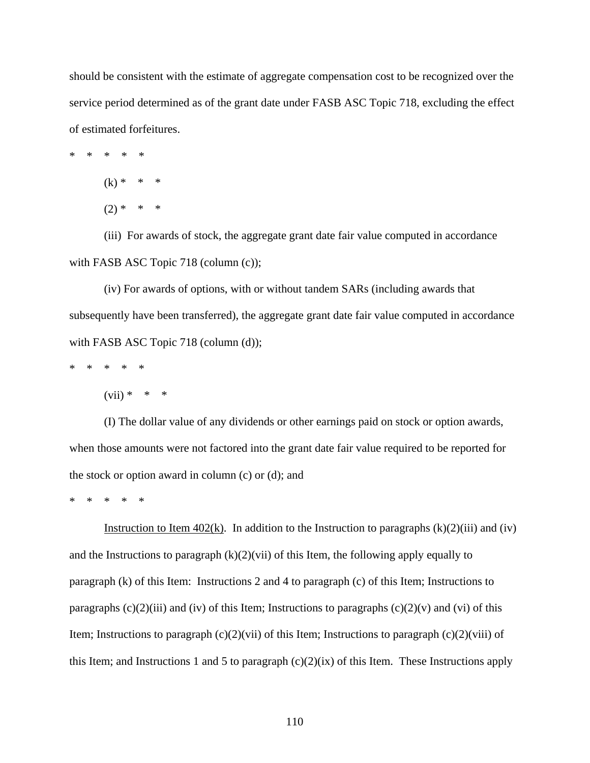should be consistent with the estimate of aggregate compensation cost to be recognized over the service period determined as of the grant date under FASB ASC Topic 718, excluding the effect of estimated forfeitures.

\* \* \* \* \*

(k) \* \* \*

 $(2) * * * *$ 

(iii) For awards of stock, the aggregate grant date fair value computed in accordance with FASB ASC Topic 718 (column (c));

(iv) For awards of options, with or without tandem SARs (including awards that subsequently have been transferred), the aggregate grant date fair value computed in accordance with FASB ASC Topic 718 (column (d));

\* \* \* \* \*

 $(vii) * * * *$ 

(I) The dollar value of any dividends or other earnings paid on stock or option awards, when those amounts were not factored into the grant date fair value required to be reported for the stock or option award in column (c) or (d); and

\* \* \* \* \*

Instruction to Item  $402(k)$ . In addition to the Instruction to paragraphs  $(k)(2)(iii)$  and (iv) and the Instructions to paragraph  $(k)(2)(vi)$  of this Item, the following apply equally to paragraph (k) of this Item: Instructions 2 and 4 to paragraph (c) of this Item; Instructions to paragraphs  $(c)(2)(iii)$  and (iv) of this Item; Instructions to paragraphs  $(c)(2)(v)$  and (vi) of this Item; Instructions to paragraph  $(c)(2)(vi)$  of this Item; Instructions to paragraph  $(c)(2)(viii)$  of this Item; and Instructions 1 and 5 to paragraph  $(c)(2)(ix)$  of this Item. These Instructions apply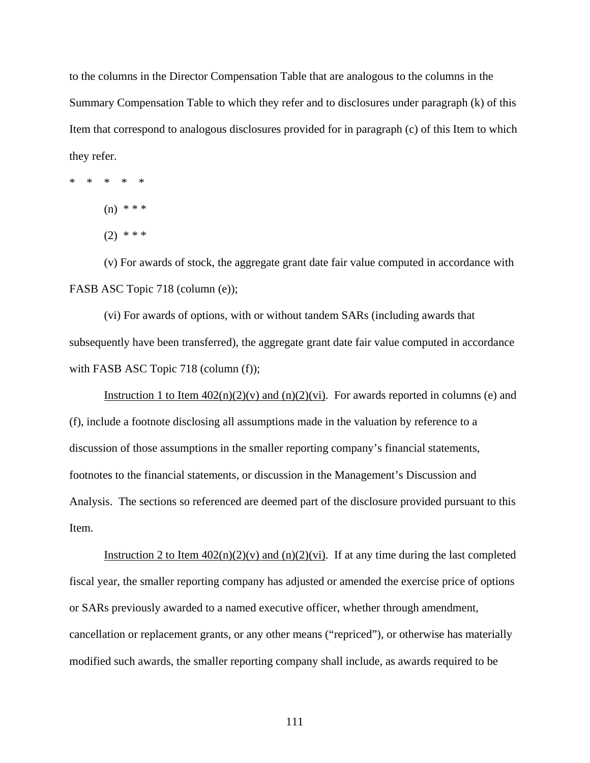to the columns in the Director Compensation Table that are analogous to the columns in the Summary Compensation Table to which they refer and to disclosures under paragraph (k) of this Item that correspond to analogous disclosures provided for in paragraph (c) of this Item to which they refer.

\* \* \* \* \*

(n) \* \* \*

 $(2)$  \* \* \*

FASB ASC Topic  $718$  (column  $(e)$ ); (v) For awards of stock, the aggregate grant date fair value computed in accordance with

(vi) For awards of options, with or without tandem SARs (including awards that subsequently have been transferred), the aggregate grant date fair value computed in accordance with FASB ASC Topic 718 (column (f));

Instruction 1 to Item  $402(n)(2)(v)$  and  $(n)(2)(vi)$ . For awards reported in columns (e) and (f), include a footnote disclosing all assumptions made in the valuation by reference to a discussion of those assumptions in the smaller reporting company's financial statements, footnotes to the financial statements, or discussion in the Management's Discussion and Analysis. The sections so referenced are deemed part of the disclosure provided pursuant to this Item.

Instruction 2 to Item  $402(n)(2)(v)$  and  $(n)(2)(vi)$ . If at any time during the last completed fiscal year, the smaller reporting company has adjusted or amended the exercise price of options or SARs previously awarded to a named executive officer, whether through amendment, cancellation or replacement grants, or any other means ("repriced"), or otherwise has materially modified such awards, the smaller reporting company shall include, as awards required to be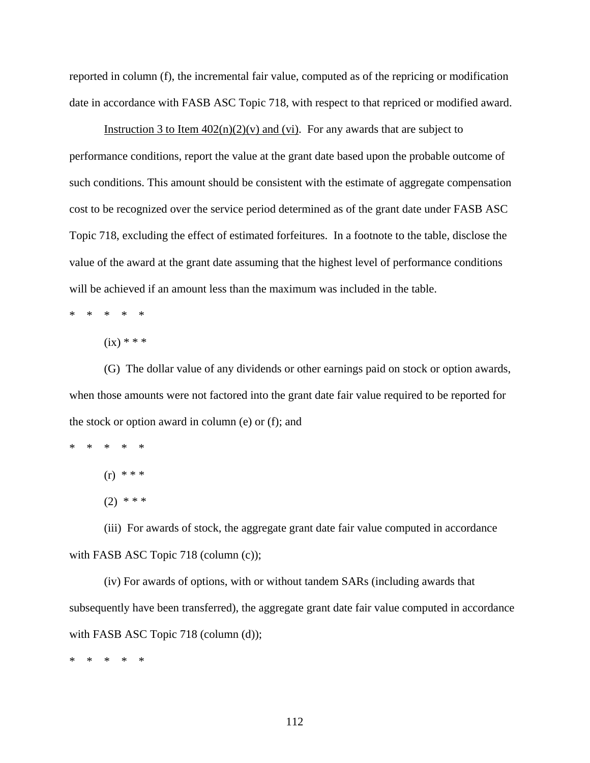reported in column (f), the incremental fair value, computed as of the repricing or modification date in accordance with FASB ASC Topic 718, with respect to that repriced or modified award.

Instruction 3 to Item  $402(n)(2)(v)$  and (vi). For any awards that are subject to performance conditions, report the value at the grant date based upon the probable outcome of such conditions. This amount should be consistent with the estimate of aggregate compensation cost to be recognized over the service period determined as of the grant date under FASB ASC Topic 718, excluding the effect of estimated forfeitures. In a footnote to the table, disclose the value of the award at the grant date assuming that the highest level of performance conditions will be achieved if an amount less than the maximum was included in the table.

\* \* \* \* \*

 $(ix) * * *$ 

(G) The dollar value of any dividends or other earnings paid on stock or option awards, when those amounts were not factored into the grant date fair value required to be reported for the stock or option award in column (e) or (f); and

\* \* \* \* \*

(r) \* \* \*

 $(2)$  \* \* \*

(iii) For awards of stock, the aggregate grant date fair value computed in accordance with FASB ASC Topic 718 (column (c));

(iv) For awards of options, with or without tandem SARs (including awards that subsequently have been transferred), the aggregate grant date fair value computed in accordance with FASB ASC Topic 718 (column (d));

\* \* \* \* \*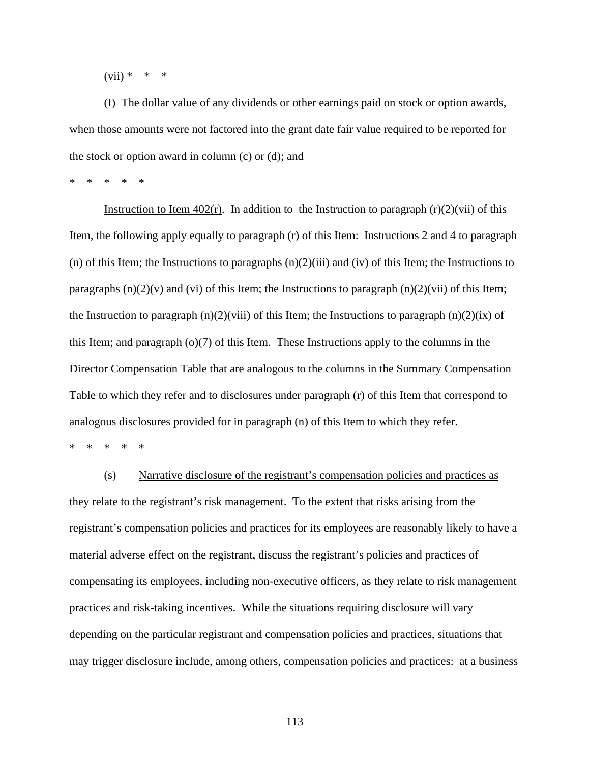$(vii) * * * *$ 

(I) The dollar value of any dividends or other earnings paid on stock or option awards, when those amounts were not factored into the grant date fair value required to be reported for the stock or option award in column (c) or (d); and

\* \* \* \* \*

Instruction to Item  $402(r)$ . In addition to the Instruction to paragraph  $(r)(2)(vi)$  of this Item, the following apply equally to paragraph (r) of this Item: Instructions 2 and 4 to paragraph (n) of this Item; the Instructions to paragraphs  $(n)(2)(iii)$  and (iv) of this Item; the Instructions to paragraphs  $(n)(2)(v)$  and  $(vi)$  of this Item; the Instructions to paragraph  $(n)(2)(vi)$  of this Item; the Instruction to paragraph  $(n)(2)(viii)$  of this Item; the Instructions to paragraph  $(n)(2)(ix)$  of this Item; and paragraph  $(o)(7)$  of this Item. These Instructions apply to the columns in the Director Compensation Table that are analogous to the columns in the Summary Compensation Table to which they refer and to disclosures under paragraph (r) of this Item that correspond to analogous disclosures provided for in paragraph (n) of this Item to which they refer.

\* \* \* \* \*

(s) Narrative disclosure of the registrant's compensation policies and practices as they relate to the registrant's risk management. To the extent that risks arising from the registrant's compensation policies and practices for its employees are reasonably likely to have a material adverse effect on the registrant, discuss the registrant's policies and practices of compensating its employees, including non-executive officers, as they relate to risk management practices and risk-taking incentives. While the situations requiring disclosure will vary depending on the particular registrant and compensation policies and practices, situations that may trigger disclosure include, among others, compensation policies and practices: at a business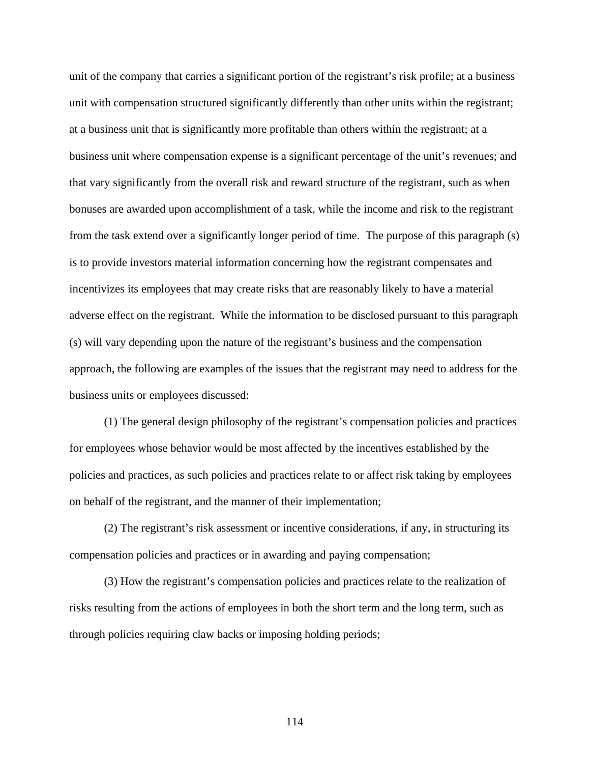unit of the company that carries a significant portion of the registrant's risk profile; at a business unit with compensation structured significantly differently than other units within the registrant; at a business unit that is significantly more profitable than others within the registrant; at a business unit where compensation expense is a significant percentage of the unit's revenues; and that vary significantly from the overall risk and reward structure of the registrant, such as when bonuses are awarded upon accomplishment of a task, while the income and risk to the registrant from the task extend over a significantly longer period of time. The purpose of this paragraph (s) is to provide investors material information concerning how the registrant compensates and incentivizes its employees that may create risks that are reasonably likely to have a material adverse effect on the registrant. While the information to be disclosed pursuant to this paragraph (s) will vary depending upon the nature of the registrant's business and the compensation approach, the following are examples of the issues that the registrant may need to address for the business units or employees discussed:

(1) The general design philosophy of the registrant's compensation policies and practices for employees whose behavior would be most affected by the incentives established by the policies and practices, as such policies and practices relate to or affect risk taking by employees on behalf of the registrant, and the manner of their implementation;

(2) The registrant's risk assessment or incentive considerations, if any, in structuring its compensation policies and practices or in awarding and paying compensation;

(3) How the registrant's compensation policies and practices relate to the realization of risks resulting from the actions of employees in both the short term and the long term, such as through policies requiring claw backs or imposing holding periods;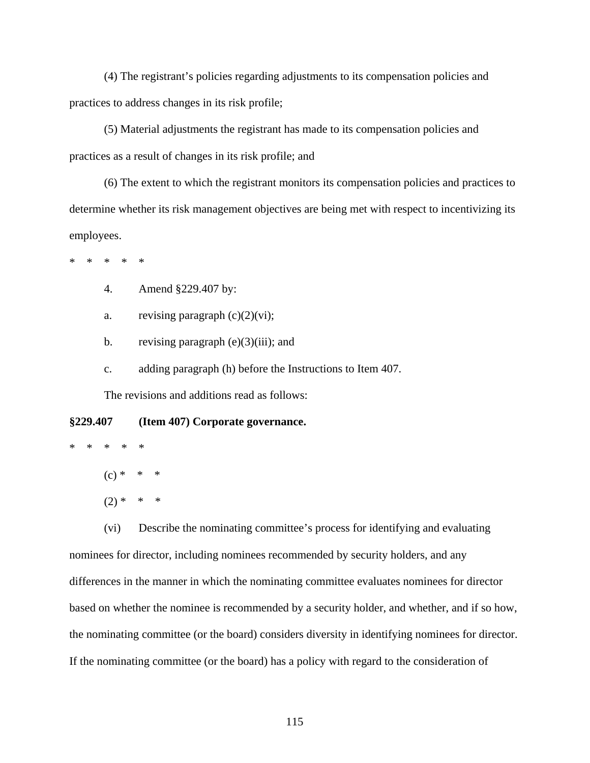(4) The registrant's policies regarding adjustments to its compensation policies and practices to address changes in its risk profile;

(5) Material adjustments the registrant has made to its compensation policies and practices as a result of changes in its risk profile; and

(6) The extent to which the registrant monitors its compensation policies and practices to determine whether its risk management objectives are being met with respect to incentivizing its employees.

\* \* \* \* \*

4. Amend §229.407 by:

a. revising paragraph  $(c)(2)(vi)$ ;

b. revising paragraph  $(e)(3)(iii)$ ; and

c. adding paragraph (h) before the Instructions to Item 407.

The revisions and additions read as follows:

#### **§229.407 (Item 407) Corporate governance.**

- \* \* \* \* \*
	- $(c) * * * *$
	- $(2) * * * *$

(vi) Describe the nominating committee's process for identifying and evaluating nominees for director, including nominees recommended by security holders, and any differences in the manner in which the nominating committee evaluates nominees for director based on whether the nominee is recommended by a security holder, and whether, and if so how, the nominating committee (or the board) considers diversity in identifying nominees for director. If the nominating committee (or the board) has a policy with regard to the consideration of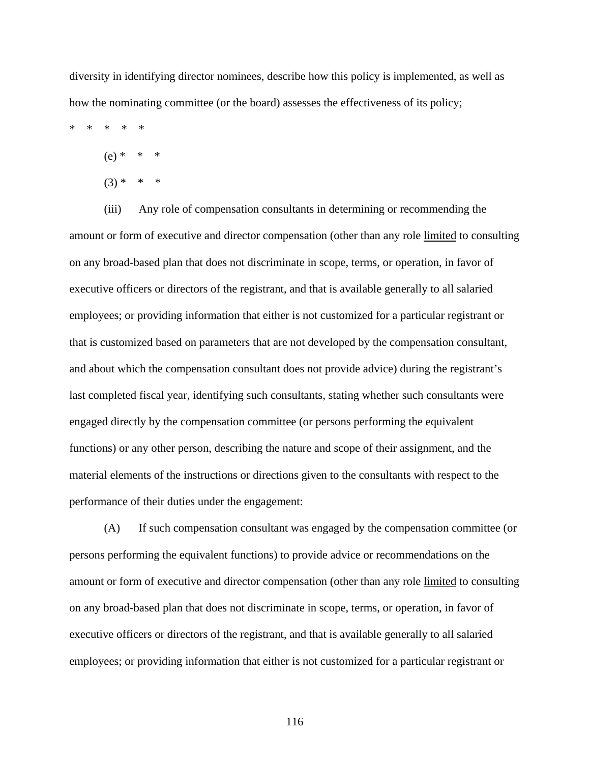diversity in identifying director nominees, describe how this policy is implemented, as well as how the nominating committee (or the board) assesses the effectiveness of its policy;

\* \* \* \* \*

 $(e) * * * * *$ 

 $(3) * * * * *$ 

(iii) Any role of compensation consultants in determining or recommending the amount or form of executive and director compensation (other than any role limited to consulting on any broad-based plan that does not discriminate in scope, terms, or operation, in favor of executive officers or directors of the registrant, and that is available generally to all salaried employees; or providing information that either is not customized for a particular registrant or that is customized based on parameters that are not developed by the compensation consultant, and about which the compensation consultant does not provide advice) during the registrant's last completed fiscal year, identifying such consultants, stating whether such consultants were engaged directly by the compensation committee (or persons performing the equivalent functions) or any other person, describing the nature and scope of their assignment, and the material elements of the instructions or directions given to the consultants with respect to the performance of their duties under the engagement:

(A) If such compensation consultant was engaged by the compensation committee (or persons performing the equivalent functions) to provide advice or recommendations on the amount or form of executive and director compensation (other than any role limited to consulting on any broad-based plan that does not discriminate in scope, terms, or operation, in favor of executive officers or directors of the registrant, and that is available generally to all salaried employees; or providing information that either is not customized for a particular registrant or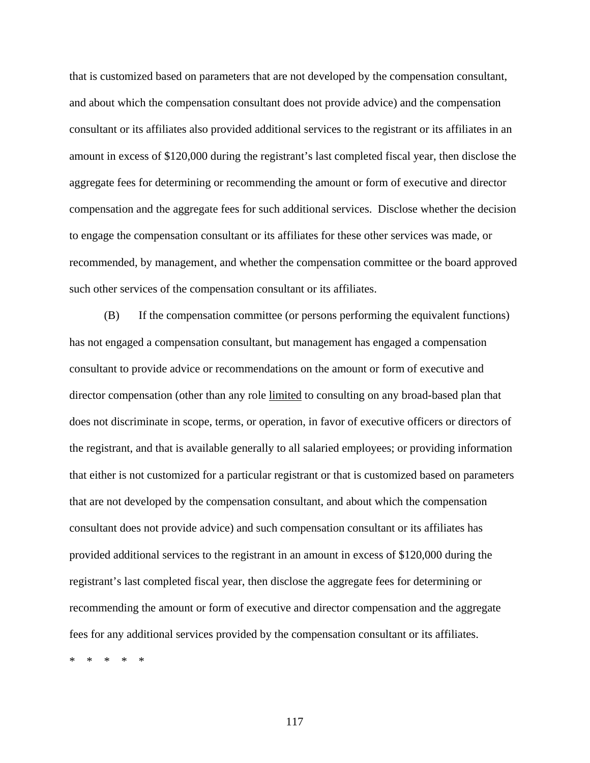that is customized based on parameters that are not developed by the compensation consultant, and about which the compensation consultant does not provide advice) and the compensation consultant or its affiliates also provided additional services to the registrant or its affiliates in an amount in excess of \$120,000 during the registrant's last completed fiscal year, then disclose the aggregate fees for determining or recommending the amount or form of executive and director compensation and the aggregate fees for such additional services. Disclose whether the decision to engage the compensation consultant or its affiliates for these other services was made, or recommended, by management, and whether the compensation committee or the board approved such other services of the compensation consultant or its affiliates.

(B) If the compensation committee (or persons performing the equivalent functions) has not engaged a compensation consultant, but management has engaged a compensation consultant to provide advice or recommendations on the amount or form of executive and director compensation (other than any role limited to consulting on any broad-based plan that does not discriminate in scope, terms, or operation, in favor of executive officers or directors of the registrant, and that is available generally to all salaried employees; or providing information that either is not customized for a particular registrant or that is customized based on parameters that are not developed by the compensation consultant, and about which the compensation consultant does not provide advice) and such compensation consultant or its affiliates has provided additional services to the registrant in an amount in excess of \$120,000 during the registrant's last completed fiscal year, then disclose the aggregate fees for determining or recommending the amount or form of executive and director compensation and the aggregate fees for any additional services provided by the compensation consultant or its affiliates. \* \* \* \* \*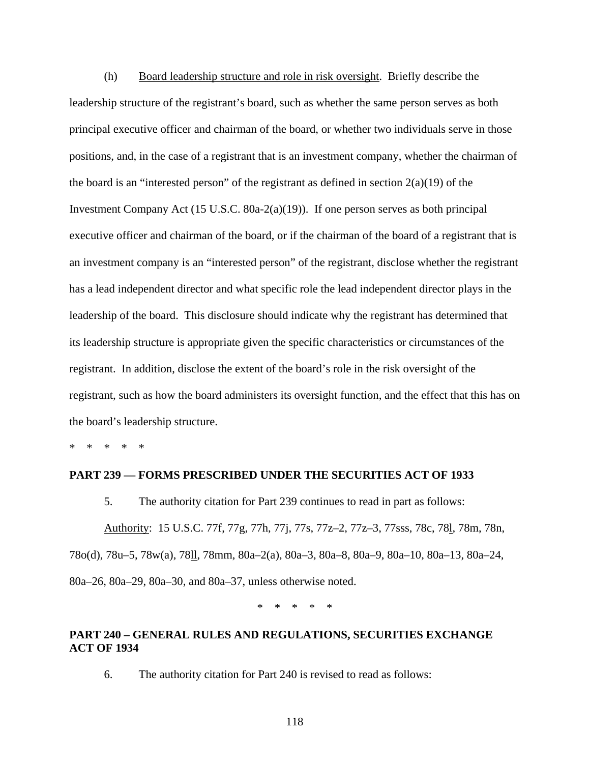(h) Board leadership structure and role in risk oversight. Briefly describe the leadership structure of the registrant's board, such as whether the same person serves as both principal executive officer and chairman of the board, or whether two individuals serve in those positions, and, in the case of a registrant that is an investment company, whether the chairman of the board is an "interested person" of the registrant as defined in section  $2(a)(19)$  of the Investment Company Act (15 U.S.C. 80a-2(a)(19)). If one person serves as both principal executive officer and chairman of the board, or if the chairman of the board of a registrant that is an investment company is an "interested person" of the registrant, disclose whether the registrant has a lead independent director and what specific role the lead independent director plays in the leadership of the board. This disclosure should indicate why the registrant has determined that its leadership structure is appropriate given the specific characteristics or circumstances of the registrant. In addition, disclose the extent of the board's role in the risk oversight of the registrant, such as how the board administers its oversight function, and the effect that this has on the board's leadership structure.

\* \* \* \* \*

#### **PART 239 — FORMS PRESCRIBED UNDER THE SECURITIES ACT OF 1933**

5. The authority citation for Part 239 continues to read in part as follows:

Authority: 15 U.S.C. 77f, 77g, 77h, 77j, 77s, 77z–2, 77z–3, 77sss, 78c, 78l, 78m, 78n, 78o(d), 78u–5, 78w(a), 78ll, 78mm, 80a–2(a), 80a–3, 80a–8, 80a–9, 80a–10, 80a–13, 80a–24, 80a–26, 80a–29, 80a–30, and 80a–37, unless otherwise noted.

\* \* \* \* \*

# **PART 240 – GENERAL RULES AND REGULATIONS, SECURITIES EXCHANGE ACT OF 1934**

6. The authority citation for Part 240 is revised to read as follows: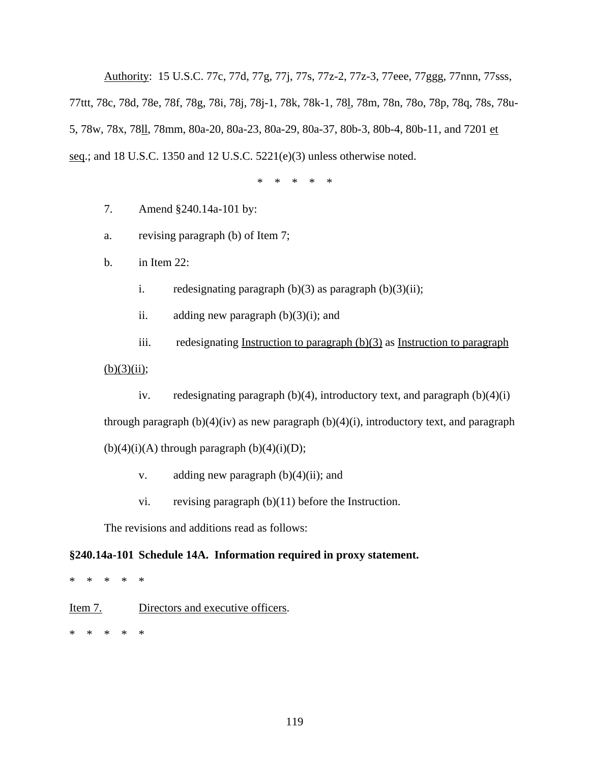Authority: 15 U.S.C. 77c, 77d, 77g, 77j, 77s, 77z-2, 77z-3, 77eee, 77ggg, 77nnn, 77sss, 77ttt, 78c, 78d, 78e, 78f, 78g, 78i, 78j, 78j-1, 78k, 78k-1, 78l, 78m, 78n, 78o, 78p, 78q, 78s, 78u-5, 78w, 78x, 78ll, 78mm, 80a-20, 80a-23, 80a-29, 80a-37, 80b-3, 80b-4, 80b-11, and 7201 et seq.; and 18 U.S.C. 1350 and 12 U.S.C. 5221(e)(3) unless otherwise noted.

\* \* \* \* \*

- 7. Amend §240.14a-101 by:
- a. revising paragraph (b) of Item 7;
- b. in Item 22:
	- i. redesignating paragraph  $(b)(3)$  as paragraph  $(b)(3)(ii)$ ;
	- ii. adding new paragraph  $(b)(3)(i)$ ; and
	- iii. redesignating Instruction to paragraph  $(b)(3)$  as Instruction to paragraph
- $(b)(3)(ii);$ 
	- iv. redesignating paragraph (b)(4), introductory text, and paragraph  $(b)(4)(i)$
- through paragraph  $(b)(4)(iv)$  as new paragraph  $(b)(4)(i)$ , introductory text, and paragraph

 $(b)(4)(i)(A)$  through paragraph  $(b)(4)(i)(D);$ 

- v. adding new paragraph  $(b)(4)(ii)$ ; and
- vi. revising paragraph (b)(11) before the Instruction.

The revisions and additions read as follows:

# **§240.14a-101 Schedule 14A. Information required in proxy statement.**

 $*$ \* \* \* \* \*

Item 7. Directors and executive officers.

\* \* \* \* \*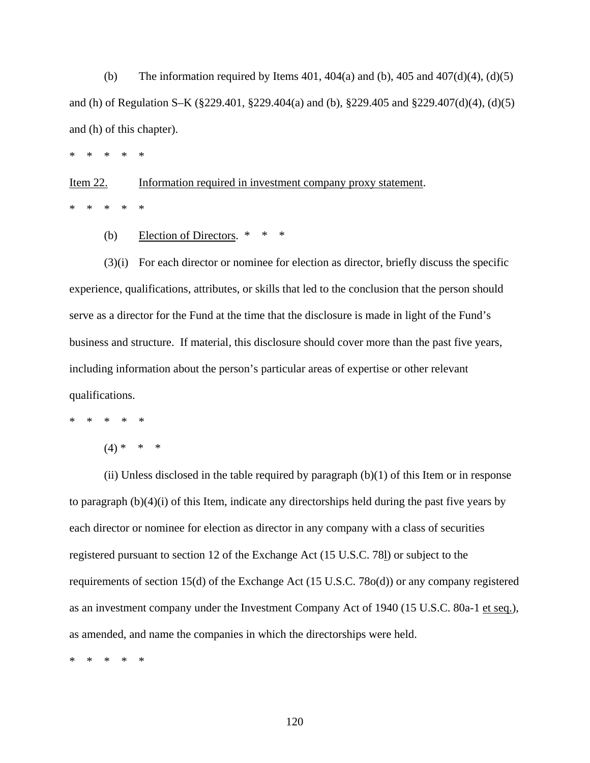(b) The information required by Items 401, 404(a) and (b), 405 and 407(d)(4), (d)(5) and (h) of Regulation S–K (§229.401, §229.404(a) and (b), §229.405 and §229.407(d)(4), (d)(5) and (h) of this chapter).

\* \* \* \* \*

Item 22. Information required in investment company proxy statement. \* \* \* \* \*

(b) Election of Directors.  $* * * *$ 

(3)(i) For each director or nominee for election as director, briefly discuss the specific experience, qualifications, attributes, or skills that led to the conclusion that the person should serve as a director for the Fund at the time that the disclosure is made in light of the Fund's business and structure. If material, this disclosure should cover more than the past five years, including information about the person's particular areas of expertise or other relevant qualifications.

\* \* \* \* \*

 $(4) * * * *$ 

(ii) Unless disclosed in the table required by paragraph  $(b)(1)$  of this Item or in response to paragraph  $(b)(4)(i)$  of this Item, indicate any directorships held during the past five years by each director or nominee for election as director in any company with a class of securities registered pursuant to section 12 of the Exchange Act (15 U.S.C. 78l) or subject to the requirements of section 15(d) of the Exchange Act (15 U.S.C. 78o(d)) or any company registered as an investment company under the Investment Company Act of 1940 (15 U.S.C. 80a-1 et seq.), as amended, and name the companies in which the directorships were held.

\* \* \* \* \*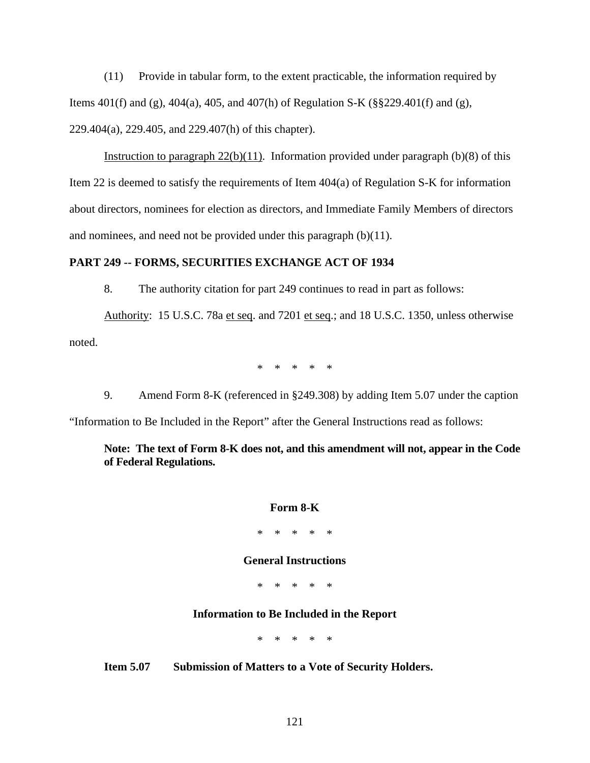(11) Provide in tabular form, to the extent practicable, the information required by Items 401(f) and (g), 404(a), 405, and 407(h) of Regulation S-K (§§229.401(f) and (g), 229.404(a), 229.405, and 229.407(h) of this chapter).

Instruction to paragraph  $22(b)(11)$ . Information provided under paragraph (b)(8) of this Item 22 is deemed to satisfy the requirements of Item  $404(a)$  of Regulation S-K for information about directors, nominees for election as directors, and Immediate Family Members of directors and nominees, and need not be provided under this paragraph (b)(11).

# **PART 249 -- FORMS, SECURITIES EXCHANGE ACT OF 1934**

8. The authority citation for part 249 continues to read in part as follows:

Authority: 15 U.S.C. 78a et seq. and 7201 et seq.; and 18 U.S.C. 1350, unless otherwise noted.

\* \* \* \* \*

9. Amend Form 8-K (referenced in §249.308) by adding Item 5.07 under the caption

"Information to Be Included in the Report" after the General Instructions read as follows:

**Note: The text of Form 8-K does not, and this amendment will not, appear in the Code of Federal Regulations.** 

# **Form 8-K**

\* \* \* \* \*

# **General Instructions**

 $\ast$ \* \* \* \* \*

# **Information to Be Included in the Report**

 $*$ \* \* \* \* \*

**Item 5.07 Submission of Matters to a Vote of Security Holders.**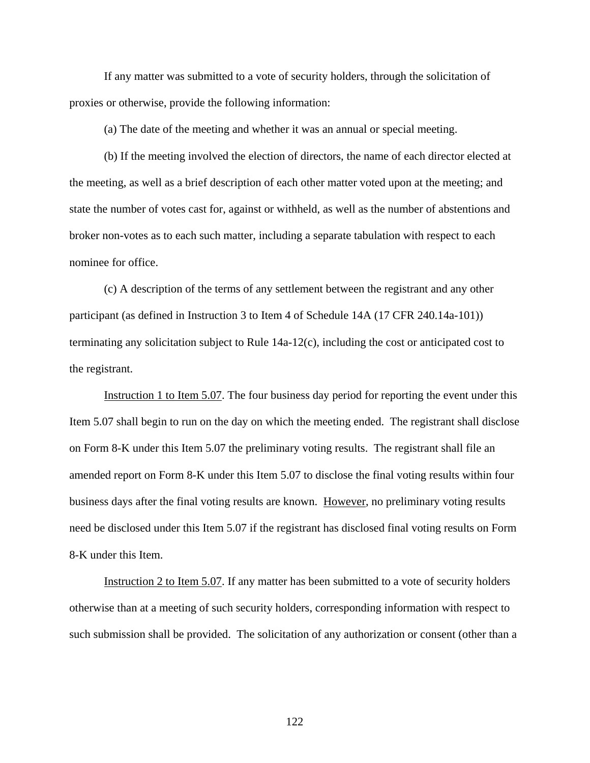If any matter was submitted to a vote of security holders, through the solicitation of proxies or otherwise, provide the following information:

(a) The date of the meeting and whether it was an annual or special meeting.

(b) If the meeting involved the election of directors, the name of each director elected at the meeting, as well as a brief description of each other matter voted upon at the meeting; and state the number of votes cast for, against or withheld, as well as the number of abstentions and broker non-votes as to each such matter, including a separate tabulation with respect to each nominee for office.

(c) A description of the terms of any settlement between the registrant and any other participant (as defined in Instruction 3 to Item 4 of Schedule 14A (17 CFR 240.14a-101)) terminating any solicitation subject to Rule 14a-12(c), including the cost or anticipated cost to the registrant.

Instruction 1 to Item 5.07. The four business day period for reporting the event under this Item 5.07 shall begin to run on the day on which the meeting ended. The registrant shall disclose on Form 8-K under this Item 5.07 the preliminary voting results. The registrant shall file an amended report on Form 8-K under this Item 5.07 to disclose the final voting results within four business days after the final voting results are known. However, no preliminary voting results need be disclosed under this Item 5.07 if the registrant has disclosed final voting results on Form 8-K under this Item.

Instruction 2 to Item 5.07. If any matter has been submitted to a vote of security holders otherwise than at a meeting of such security holders, corresponding information with respect to such submission shall be provided. The solicitation of any authorization or consent (other than a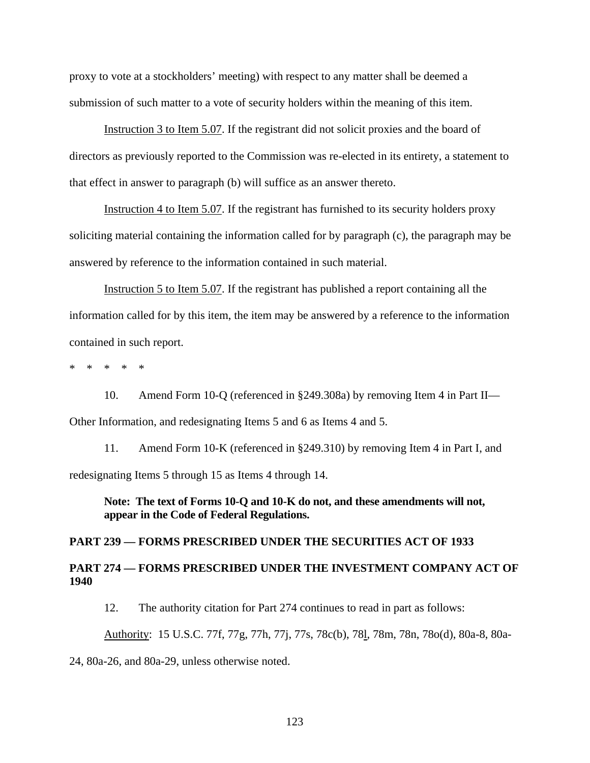proxy to vote at a stockholders' meeting) with respect to any matter shall be deemed a submission of such matter to a vote of security holders within the meaning of this item.

Instruction 3 to Item 5.07. If the registrant did not solicit proxies and the board of directors as previously reported to the Commission was re-elected in its entirety, a statement to that effect in answer to paragraph (b) will suffice as an answer thereto.

Instruction 4 to Item 5.07. If the registrant has furnished to its security holders proxy soliciting material containing the information called for by paragraph (c), the paragraph may be answered by reference to the information contained in such material.

Instruction 5 to Item 5.07. If the registrant has published a report containing all the information called for by this item, the item may be answered by a reference to the information contained in such report.

\* \* \* \* \*

10. Amend Form 10-Q (referenced in §249.308a) by removing Item 4 in Part II— Other Information, and redesignating Items 5 and 6 as Items 4 and 5.

11. Amend Form 10-K (referenced in §249.310) by removing Item 4 in Part I, and redesignating Items 5 through 15 as Items 4 through 14.

**Note: The text of Forms 10-Q and 10-K do not, and these amendments will not, appear in the Code of Federal Regulations.** 

## **PART 239 — FORMS PRESCRIBED UNDER THE SECURITIES ACT OF 1933**

# **PART 274 — FORMS PRESCRIBED UNDER THE INVESTMENT COMPANY ACT OF 1940**

12. The authority citation for Part 274 continues to read in part as follows:

Authority: 15 U.S.C. 77f, 77g, 77h, 77j, 77s, 78c(b), 78l, 78m, 78n, 78o(d), 80a-8, 80a-

24, 80a-26, and 80a-29, unless otherwise noted.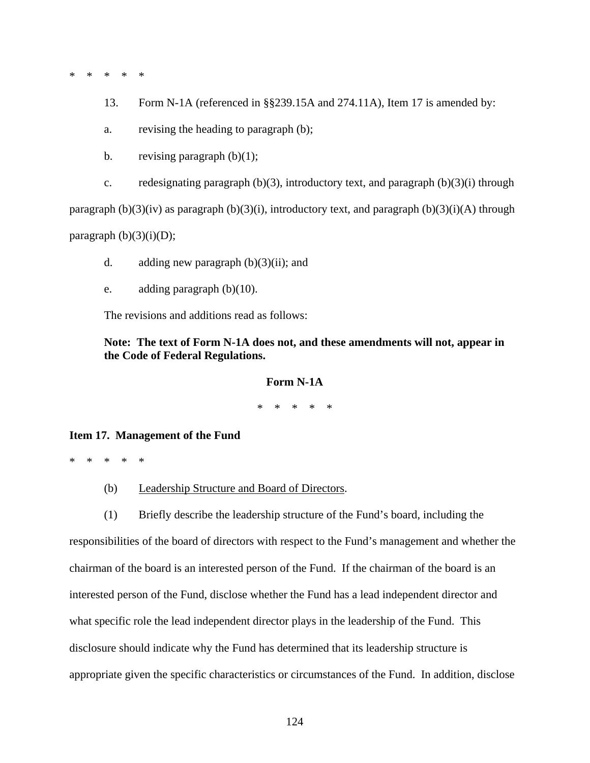\* \* \* \* \*

- 13. Form N-1A (referenced in §§239.15A and 274.11A), Item 17 is amended by:
- a. revising the heading to paragraph (b);
- b. revising paragraph  $(b)(1)$ ;
- c. redesignating paragraph  $(b)(3)$ , introductory text, and paragraph  $(b)(3)(i)$  through

paragraph  $(b)(3)(iv)$  as paragraph  $(b)(3)(i)$ , introductory text, and paragraph  $(b)(3)(i)(A)$  through

paragraph  $(b)(3)(i)(D);$ 

- d. adding new paragraph  $(b)(3)(ii)$ ; and
- e. adding paragraph (b)(10).

The revisions and additions read as follows:

# **Note: The text of Form N-1A does not, and these amendments will not, appear in the Code of Federal Regulations.**

### **Form N-1A**

\* \* \* \* \*

### **Item 17. Management of the Fund**

 $\ast$ \* \* \* \* \*

(b) Leadership Structure and Board of Directors.

(1) Briefly describe the leadership structure of the Fund's board, including the responsibilities of the board of directors with respect to the Fund's management and whether the chairman of the board is an interested person of the Fund. If the chairman of the board is an interested person of the Fund, disclose whether the Fund has a lead independent director and what specific role the lead independent director plays in the leadership of the Fund. This disclosure should indicate why the Fund has determined that its leadership structure is appropriate given the specific characteristics or circumstances of the Fund. In addition, disclose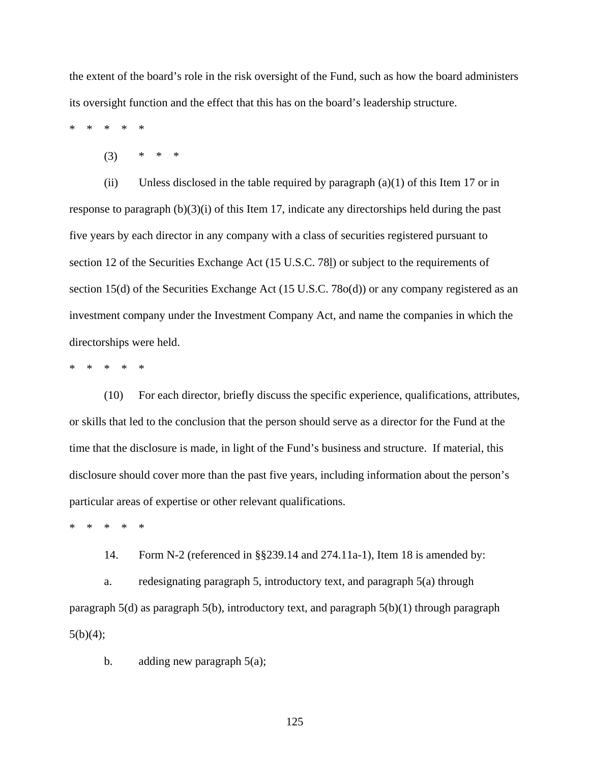the extent of the board's role in the risk oversight of the Fund, such as how the board administers its oversight function and the effect that this has on the board's leadership structure.

\* \* \* \* \*

(3) \* \* \*

(ii) Unless disclosed in the table required by paragraph  $(a)(1)$  of this Item 17 or in response to paragraph (b)(3)(i) of this Item 17, indicate any directorships held during the past five years by each director in any company with a class of securities registered pursuant to section 12 of the Securities Exchange Act (15 U.S.C. 78l) or subject to the requirements of section 15(d) of the Securities Exchange Act (15 U.S.C. 78o(d)) or any company registered as an investment company under the Investment Company Act, and name the companies in which the directorships were held.

\* \* \* \* \*

(10) For each director, briefly discuss the specific experience, qualifications, attributes, or skills that led to the conclusion that the person should serve as a director for the Fund at the time that the disclosure is made, in light of the Fund's business and structure. If material, this disclosure should cover more than the past five years, including information about the person's particular areas of expertise or other relevant qualifications.

\* \* \* \* \*

14. Form N-2 (referenced in §§239.14 and 274.11a-1), Item 18 is amended by:

a. redesignating paragraph 5, introductory text, and paragraph 5(a) through paragraph 5(d) as paragraph 5(b), introductory text, and paragraph 5(b)(1) through paragraph  $5(b)(4);$ 

b. adding new paragraph  $5(a)$ ;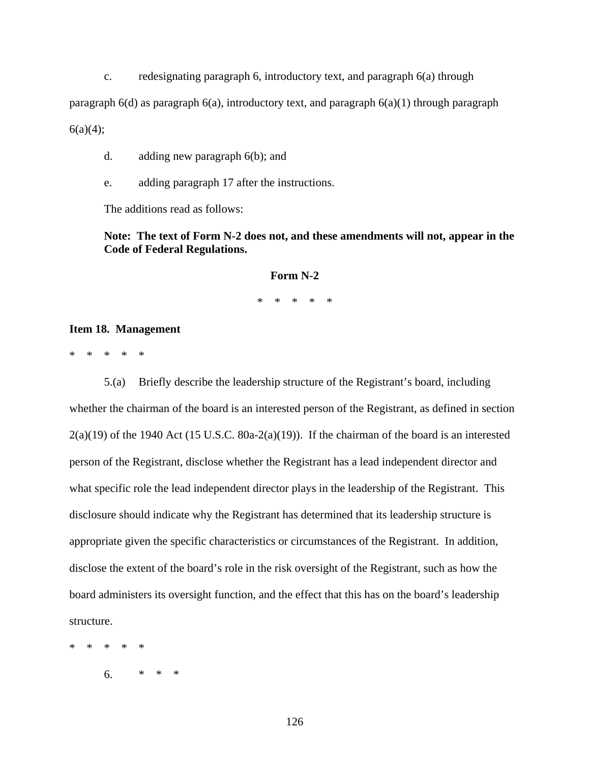c. redesignating paragraph 6, introductory text, and paragraph 6(a) through

paragraph 6(d) as paragraph 6(a), introductory text, and paragraph 6(a)(1) through paragraph

 $6(a)(4);$ 

d. adding new paragraph 6(b); and

e. adding paragraph 17 after the instructions.

The additions read as follows:

# **Note: The text of Form N-2 does not, and these amendments will not, appear in the Code of Federal Regulations.**

## **Form N-2**

\* \* \* \* \*

### **Item 18. Management**

\* \* \* \* \*

5.(a) Briefly describe the leadership structure of the Registrant's board, including whether the chairman of the board is an interested person of the Registrant, as defined in section  $2(a)(19)$  of the 1940 Act (15 U.S.C. 80a-2(a)(19)). If the chairman of the board is an interested person of the Registrant, disclose whether the Registrant has a lead independent director and what specific role the lead independent director plays in the leadership of the Registrant. This disclosure should indicate why the Registrant has determined that its leadership structure is appropriate given the specific characteristics or circumstances of the Registrant. In addition, disclose the extent of the board's role in the risk oversight of the Registrant, such as how the board administers its oversight function, and the effect that this has on the board's leadership structure.

 $*$ \* \* \* \* \*

6. \* \* \*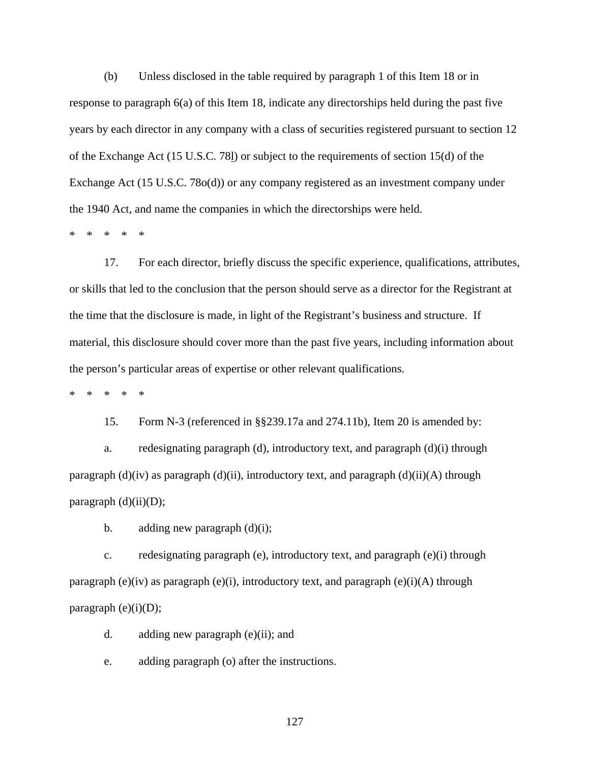(b) Unless disclosed in the table required by paragraph 1 of this Item 18 or in response to paragraph  $6(a)$  of this Item 18, indicate any directorships held during the past five years by each director in any company with a class of securities registered pursuant to section 12 of the Exchange Act (15 U.S.C. 78l) or subject to the requirements of section 15(d) of the Exchange Act (15 U.S.C. 78o(d)) or any company registered as an investment company under the 1940 Act, and name the companies in which the directorships were held.

 $\ast$ \* \* \* \* \*

17. For each director, briefly discuss the specific experience, qualifications, attributes, or skills that led to the conclusion that the person should serve as a director for the Registrant at the time that the disclosure is made, in light of the Registrant's business and structure. If material, this disclosure should cover more than the past five years, including information about the person's particular areas of expertise or other relevant qualifications.

\* \* \* \* \*

15. Form N-3 (referenced in §§239.17a and 274.11b), Item 20 is amended by:

a. redesignating paragraph (d), introductory text, and paragraph  $(d)(i)$  through paragraph (d)(iv) as paragraph (d)(ii), introductory text, and paragraph (d)(ii)(A) through paragraph  $(d)(ii)(D)$ ;

b. adding new paragraph  $(d)(i)$ ;

c. redesignating paragraph (e), introductory text, and paragraph (e)(i) through paragraph (e)(iv) as paragraph (e)(i), introductory text, and paragraph (e)(i)(A) through paragraph  $(e)(i)(D)$ ;

d. adding new paragraph  $(e)(ii)$ ; and

e. adding paragraph (o) after the instructions.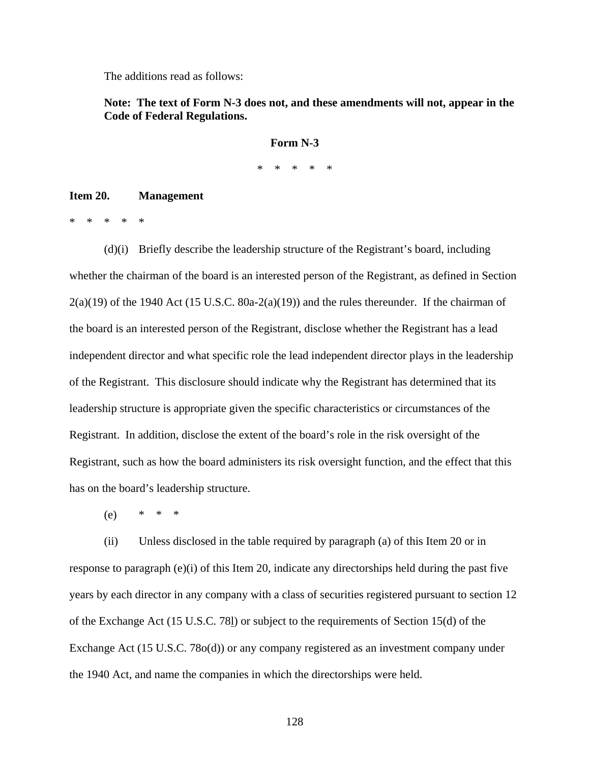The additions read as follows:

## **Note: The text of Form N-3 does not, and these amendments will not, appear in the Code of Federal Regulations.**

## **Form N-3**

\* \* \* \* \*

### **Item 20. Management**

\* \* \* \* \*

(d)(i) Briefly describe the leadership structure of the Registrant's board, including whether the chairman of the board is an interested person of the Registrant, as defined in Section  $2(a)(19)$  of the 1940 Act (15 U.S.C. 80a-2(a)(19)) and the rules thereunder. If the chairman of the board is an interested person of the Registrant, disclose whether the Registrant has a lead independent director and what specific role the lead independent director plays in the leadership of the Registrant. This disclosure should indicate why the Registrant has determined that its leadership structure is appropriate given the specific characteristics or circumstances of the Registrant. In addition, disclose the extent of the board's role in the risk oversight of the Registrant, such as how the board administers its risk oversight function, and the effect that this has on the board's leadership structure.

 $(e)$ 

(ii) Unless disclosed in the table required by paragraph (a) of this Item 20 or in response to paragraph (e)(i) of this Item 20, indicate any directorships held during the past five years by each director in any company with a class of securities registered pursuant to section 12 of the Exchange Act (15 U.S.C. 78l) or subject to the requirements of Section 15(d) of the Exchange Act (15 U.S.C. 78o(d)) or any company registered as an investment company under the 1940 Act, and name the companies in which the directorships were held.